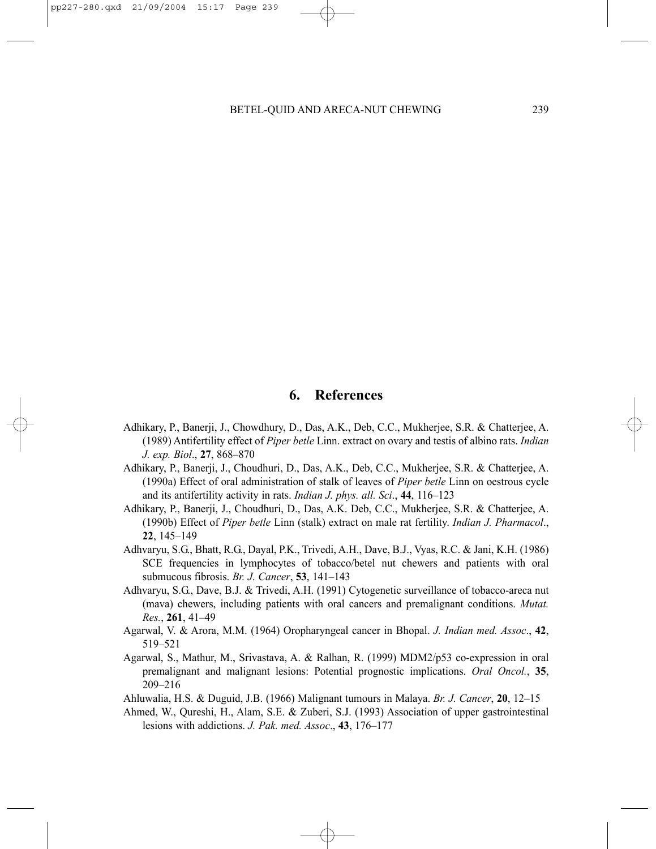## **6. References**

- Adhikary, P., Banerji, J., Chowdhury, D., Das, A.K., Deb, C.C., Mukherjee, S.R. & Chatterjee, A. (1989) Antifertility effect of *Piper betle* Linn. extract on ovary and testis of albino rats. *Indian J. exp. Biol*., **27**, 868–870
- Adhikary, P., Banerji, J., Choudhuri, D., Das, A.K., Deb, C.C., Mukherjee, S.R. & Chatterjee, A. (1990a) Effect of oral administration of stalk of leaves of *Piper betle* Linn on oestrous cycle and its antifertility activity in rats. *Indian J. phys. all. Sci*., **44**, 116–123
- Adhikary, P., Banerji, J., Choudhuri, D., Das, A.K. Deb, C.C., Mukherjee, S.R. & Chatterjee, A. (1990b) Effect of *Piper betle* Linn (stalk) extract on male rat fertility. *Indian J. Pharmacol*., **22**, 145–149
- Adhvaryu, S.G., Bhatt, R.G., Dayal, P.K., Trivedi, A.H., Dave, B.J., Vyas, R.C. & Jani, K.H. (1986) SCE frequencies in lymphocytes of tobacco/betel nut chewers and patients with oral submucous fibrosis. *Br. J. Cancer*, **53**, 141–143
- Adhvaryu, S.G., Dave, B.J. & Trivedi, A.H. (1991) Cytogenetic surveillance of tobacco-areca nut (mava) chewers, including patients with oral cancers and premalignant conditions. *Mutat. Res.*, **261**, 41–49
- Agarwal, V. & Arora, M.M. (1964) Oropharyngeal cancer in Bhopal. *J. Indian med. Assoc*., **42**, 519–521
- Agarwal, S., Mathur, M., Srivastava, A. & Ralhan, R. (1999) MDM2/p53 co-expression in oral premalignant and malignant lesions: Potential prognostic implications. *Oral Oncol.*, **35**, 209–216
- Ahluwalia, H.S. & Duguid, J.B. (1966) Malignant tumours in Malaya. *Br. J. Cancer*, **20**, 12–15
- Ahmed, W., Qureshi, H., Alam, S.E. & Zuberi, S.J. (1993) Association of upper gastrointestinal lesions with addictions. *J. Pak. med. Assoc*., **43**, 176–177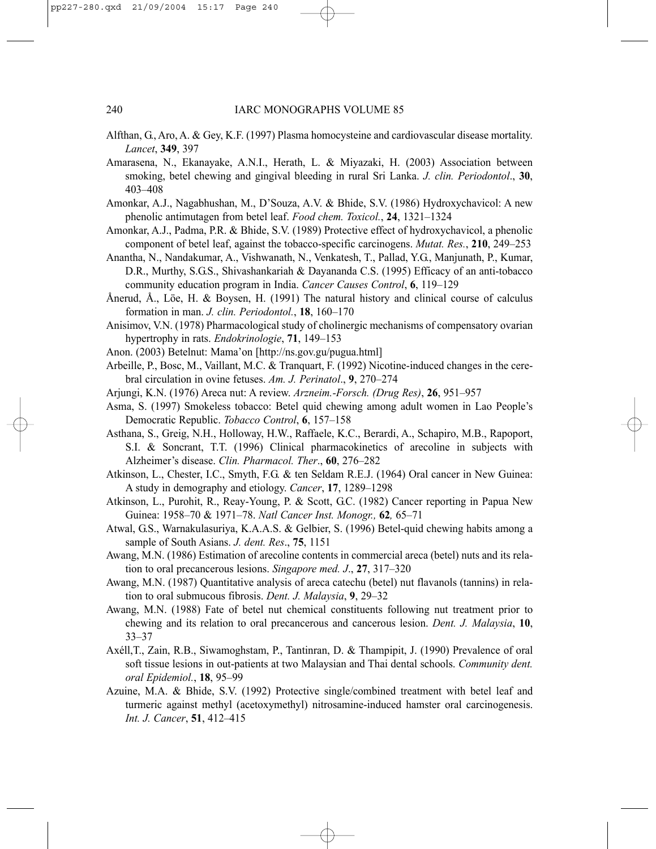- Alfthan, G., Aro, A. & Gey, K.F. (1997) Plasma homocysteine and cardiovascular disease mortality. *Lancet*, **349**, 397
- Amarasena, N., Ekanayake, A.N.I., Herath, L. & Miyazaki, H. (2003) Association between smoking, betel chewing and gingival bleeding in rural Sri Lanka. *J. clin. Periodontol*., **30**, 403–408
- Amonkar, A.J., Nagabhushan, M., D'Souza, A.V. & Bhide, S.V. (1986) Hydroxychavicol: A new phenolic antimutagen from betel leaf. *Food chem. Toxicol.*, **24**, 1321–1324
- Amonkar, A.J., Padma, P.R. & Bhide, S.V. (1989) Protective effect of hydroxychavicol, a phenolic component of betel leaf, against the tobacco-specific carcinogens. *Mutat. Res.*, **210**, 249–253
- Anantha, N., Nandakumar, A., Vishwanath, N., Venkatesh, T., Pallad, Y.G., Manjunath, P., Kumar, D.R., Murthy, S.G.S., Shivashankariah & Dayananda C.S. (1995) Efficacy of an anti-tobacco community education program in India. *Cancer Causes Control*, **6**, 119–129
- Ånerud, Å., Löe, H. & Boysen, H. (1991) The natural history and clinical course of calculus formation in man. *J. clin. Periodontol.*, **18**, 160–170
- Anisimov, V.N. (1978) Pharmacological study of cholinergic mechanisms of compensatory ovarian hypertrophy in rats. *Endokrinologie*, **71**, 149–153
- Anon. (2003) Betelnut: Mama'on [http://ns.gov.gu/pugua.html]
- Arbeille, P., Bosc, M., Vaillant, M.C. & Tranquart, F. (1992) Nicotine-induced changes in the cerebral circulation in ovine fetuses. *Am. J. Perinatol*., **9**, 270–274
- Arjungi, K.N. (1976) Areca nut: A review. *Arzneim.-Forsch. (Drug Res)*, **26**, 951–957
- Asma, S. (1997) Smokeless tobacco: Betel quid chewing among adult women in Lao People's Democratic Republic. *Tobacco Control*, **6**, 157–158
- Asthana, S., Greig, N.H., Holloway, H.W., Raffaele, K.C., Berardi, A., Schapiro, M.B., Rapoport, S.I. & Soncrant, T.T. (1996) Clinical pharmacokinetics of arecoline in subjects with Alzheimer's disease. *Clin. Pharmacol. Ther*., **60**, 276–282
- Atkinson, L., Chester, I.C., Smyth, F.G. & ten Seldam R.E.J. (1964) Oral cancer in New Guinea: A study in demography and etiology. *Cancer*, **17**, 1289–1298
- Atkinson, L., Purohit, R., Reay-Young, P. & Scott, G.C. (1982) Cancer reporting in Papua New Guinea: 1958–70 & 1971–78. *Natl Cancer Inst. Monogr.,* **62***,* 65–71
- Atwal, G.S., Warnakulasuriya, K.A.A.S. & Gelbier, S. (1996) Betel-quid chewing habits among a sample of South Asians. *J. dent. Res*., **75**, 1151
- Awang, M.N. (1986) Estimation of arecoline contents in commercial areca (betel) nuts and its relation to oral precancerous lesions. *Singapore med. J*., **27**, 317–320
- Awang, M.N. (1987) Quantitative analysis of areca catechu (betel) nut flavanols (tannins) in relation to oral submucous fibrosis. *Dent. J. Malaysia*, **9**, 29–32
- Awang, M.N. (1988) Fate of betel nut chemical constituents following nut treatment prior to chewing and its relation to oral precancerous and cancerous lesion. *Dent. J. Malaysia*, **10**, 33–37
- Axéll,T., Zain, R.B., Siwamoghstam, P., Tantinran, D. & Thampipit, J. (1990) Prevalence of oral soft tissue lesions in out-patients at two Malaysian and Thai dental schools. *Community dent. oral Epidemiol.*, **18**, 95–99
- Azuine, M.A. & Bhide, S.V. (1992) Protective single/combined treatment with betel leaf and turmeric against methyl (acetoxymethyl) nitrosamine-induced hamster oral carcinogenesis. *Int. J. Cancer*, **51**, 412–415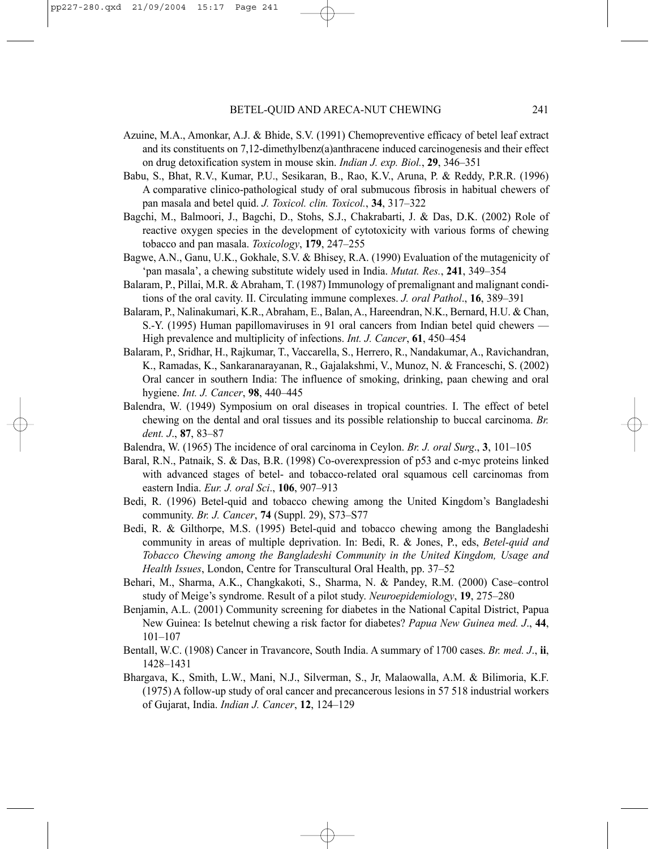- Azuine, M.A., Amonkar, A.J. & Bhide, S.V. (1991) Chemopreventive efficacy of betel leaf extract and its constituents on 7,12-dimethylbenz(a)anthracene induced carcinogenesis and their effect on drug detoxification system in mouse skin. *Indian J. exp. Biol.*, **29**, 346–351
- Babu, S., Bhat, R.V., Kumar, P.U., Sesikaran, B., Rao, K.V., Aruna, P. & Reddy, P.R.R. (1996) A comparative clinico-pathological study of oral submucous fibrosis in habitual chewers of pan masala and betel quid. *J. Toxicol. clin. Toxicol.*, **34**, 317–322
- Bagchi, M., Balmoori, J., Bagchi, D., Stohs, S.J., Chakrabarti, J. & Das, D.K. (2002) Role of reactive oxygen species in the development of cytotoxicity with various forms of chewing tobacco and pan masala. *Toxicology*, **179**, 247–255
- Bagwe, A.N., Ganu, U.K., Gokhale, S.V. & Bhisey, R.A. (1990) Evaluation of the mutagenicity of 'pan masala', a chewing substitute widely used in India. *Mutat. Res.*, **241**, 349–354
- Balaram, P., Pillai, M.R. & Abraham, T. (1987) Immunology of premalignant and malignant conditions of the oral cavity. II. Circulating immune complexes. *J. oral Pathol*., **16**, 389–391
- Balaram, P., Nalinakumari, K.R., Abraham, E., Balan, A., Hareendran, N.K., Bernard, H.U. & Chan, S.-Y. (1995) Human papillomaviruses in 91 oral cancers from Indian betel quid chewers — High prevalence and multiplicity of infections. *Int. J. Cancer*, **61**, 450–454
- Balaram, P., Sridhar, H., Rajkumar, T., Vaccarella, S., Herrero, R., Nandakumar, A., Ravichandran, K., Ramadas, K., Sankaranarayanan, R., Gajalakshmi, V., Munoz, N. & Franceschi, S. (2002) Oral cancer in southern India: The influence of smoking, drinking, paan chewing and oral hygiene. *Int. J. Cancer*, **98**, 440–445
- Balendra, W. (1949) Symposium on oral diseases in tropical countries. I. The effect of betel chewing on the dental and oral tissues and its possible relationship to buccal carcinoma. *Br. dent. J*., **87**, 83–87
- Balendra, W. (1965) The incidence of oral carcinoma in Ceylon. *Br. J. oral Surg*., **3**, 101–105
- Baral, R.N., Patnaik, S. & Das, B.R. (1998) Co-overexpression of p53 and c-myc proteins linked with advanced stages of betel- and tobacco-related oral squamous cell carcinomas from eastern India. *Eur. J. oral Sci*., **106**, 907–913
- Bedi, R. (1996) Betel-quid and tobacco chewing among the United Kingdom's Bangladeshi community. *Br. J. Cancer*, **74** (Suppl. 29), S73–S77
- Bedi, R. & Gilthorpe, M.S. (1995) Betel-quid and tobacco chewing among the Bangladeshi community in areas of multiple deprivation. In: Bedi, R. & Jones, P., eds, *Betel-quid and Tobacco Chewing among the Bangladeshi Community in the United Kingdom, Usage and Health Issues*, London, Centre for Transcultural Oral Health, pp. 37–52
- Behari, M., Sharma, A.K., Changkakoti, S., Sharma, N. & Pandey, R.M. (2000) Case–control study of Meige's syndrome. Result of a pilot study. *Neuroepidemiology*, **19**, 275–280
- Benjamin, A.L. (2001) Community screening for diabetes in the National Capital District, Papua New Guinea: Is betelnut chewing a risk factor for diabetes? *Papua New Guinea med. J*., **44**, 101–107
- Bentall, W.C. (1908) Cancer in Travancore, South India. A summary of 1700 cases. *Br. med. J*., **ii**, 1428–1431
- Bhargava, K., Smith, L.W., Mani, N.J., Silverman, S., Jr, Malaowalla, A.M. & Bilimoria, K.F. (1975) A follow-up study of oral cancer and precancerous lesions in 57 518 industrial workers of Gujarat, India. *Indian J. Cancer*, **12**, 124–129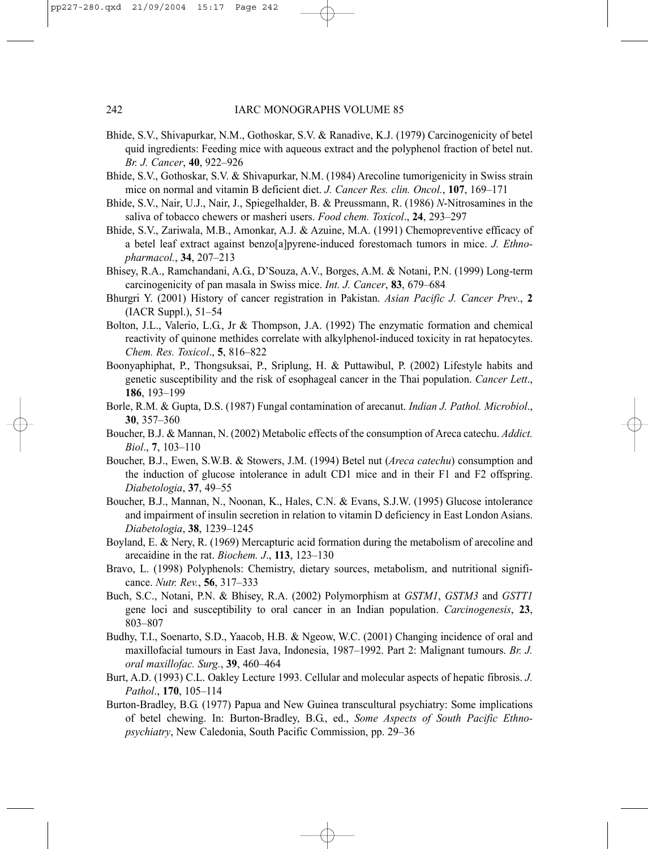- Bhide, S.V., Shivapurkar, N.M., Gothoskar, S.V. & Ranadive, K.J. (1979) Carcinogenicity of betel quid ingredients: Feeding mice with aqueous extract and the polyphenol fraction of betel nut. *Br. J. Cancer*, **40**, 922–926
- Bhide, S.V., Gothoskar, S.V. & Shivapurkar, N.M. (1984) Arecoline tumorigenicity in Swiss strain mice on normal and vitamin B deficient diet. *J. Cancer Res. clin. Oncol.*, **107**, 169–171
- Bhide, S.V., Nair, U.J., Nair, J., Spiegelhalder, B. & Preussmann, R. (1986) *N*-Nitrosamines in the saliva of tobacco chewers or masheri users. *Food chem. Toxicol*., **24**, 293–297
- Bhide, S.V., Zariwala, M.B., Amonkar, A.J. & Azuine, M.A. (1991) Chemopreventive efficacy of a betel leaf extract against benzo[a]pyrene-induced forestomach tumors in mice. *J. Ethnopharmacol.*, **34**, 207–213
- Bhisey, R.A., Ramchandani, A.G., D'Souza, A.V., Borges, A.M. & Notani, P.N. (1999) Long-term carcinogenicity of pan masala in Swiss mice. *Int. J. Cancer*, **83**, 679–684
- Bhurgri Y. (2001) History of cancer registration in Pakistan. *Asian Pacific J. Cancer Prev*., **2** (IACR Suppl.), 51–54
- Bolton, J.L., Valerio, L.G., Jr & Thompson, J.A. (1992) The enzymatic formation and chemical reactivity of quinone methides correlate with alkylphenol-induced toxicity in rat hepatocytes. *Chem. Res. Toxicol*., **5**, 816–822
- Boonyaphiphat, P., Thongsuksai, P., Sriplung, H. & Puttawibul, P. (2002) Lifestyle habits and genetic susceptibility and the risk of esophageal cancer in the Thai population. *Cancer Lett*., **186**, 193–199
- Borle, R.M. & Gupta, D.S. (1987) Fungal contamination of arecanut. *Indian J. Pathol. Microbiol*., **30**, 357–360
- Boucher, B.J. & Mannan, N. (2002) Metabolic effects of the consumption of Areca catechu. *Addict. Biol*., **7**, 103–110
- Boucher, B.J., Ewen, S.W.B. & Stowers, J.M. (1994) Betel nut (*Areca catechu*) consumption and the induction of glucose intolerance in adult CD1 mice and in their F1 and F2 offspring. *Diabetologia*, **37**, 49–55
- Boucher, B.J., Mannan, N., Noonan, K., Hales, C.N. & Evans, S.J.W. (1995) Glucose intolerance and impairment of insulin secretion in relation to vitamin D deficiency in East London Asians. *Diabetologia*, **38**, 1239–1245
- Boyland, E. & Nery, R. (1969) Mercapturic acid formation during the metabolism of arecoline and arecaidine in the rat. *Biochem. J*., **113**, 123–130
- Bravo, L. (1998) Polyphenols: Chemistry, dietary sources, metabolism, and nutritional significance. *Nutr. Rev.*, **56**, 317–333
- Buch, S.C., Notani, P.N. & Bhisey, R.A. (2002) Polymorphism at *GSTM1*, *GSTM3* and *GSTT1* gene loci and susceptibility to oral cancer in an Indian population. *Carcinogenesis*, **23**, 803–807
- Budhy, T.I., Soenarto, S.D., Yaacob, H.B. & Ngeow, W.C. (2001) Changing incidence of oral and maxillofacial tumours in East Java, Indonesia, 1987–1992. Part 2: Malignant tumours. *Br. J. oral maxillofac. Surg.*, **39**, 460–464
- Burt, A.D. (1993) C.L. Oakley Lecture 1993. Cellular and molecular aspects of hepatic fibrosis. *J. Pathol*., **170**, 105–114
- Burton-Bradley, B.G. (1977) Papua and New Guinea transcultural psychiatry: Some implications of betel chewing. In: Burton-Bradley, B.G., ed., *Some Aspects of South Pacific Ethnopsychiatry*, New Caledonia, South Pacific Commission, pp. 29–36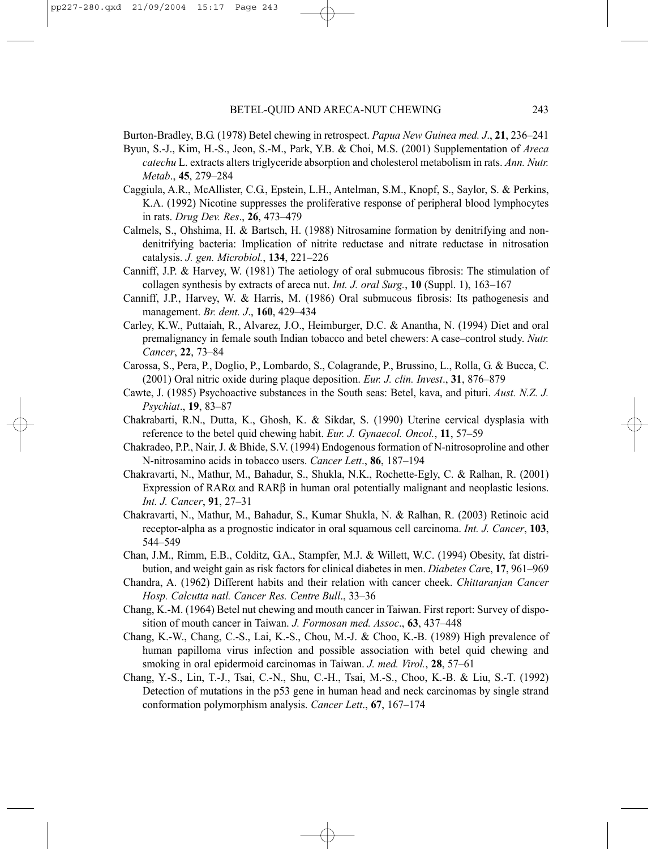Burton-Bradley, B.G. (1978) Betel chewing in retrospect. *Papua New Guinea med. J*., **21**, 236–241

- Byun, S.-J., Kim, H.-S., Jeon, S.-M., Park, Y.B. & Choi, M.S. (2001) Supplementation of *Areca catechu* L. extracts alters triglyceride absorption and cholesterol metabolism in rats. *Ann. Nutr. Metab*., **45**, 279–284
- Caggiula, A.R., McAllister, C.G., Epstein, L.H., Antelman, S.M., Knopf, S., Saylor, S. & Perkins, K.A. (1992) Nicotine suppresses the proliferative response of peripheral blood lymphocytes in rats. *Drug Dev. Res*., **26**, 473–479
- Calmels, S., Ohshima, H. & Bartsch, H. (1988) Nitrosamine formation by denitrifying and nondenitrifying bacteria: Implication of nitrite reductase and nitrate reductase in nitrosation catalysis. *J. gen. Microbiol.*, **134**, 221–226
- Canniff, J.P. & Harvey, W. (1981) The aetiology of oral submucous fibrosis: The stimulation of collagen synthesis by extracts of areca nut. *Int. J. oral Surg.*, **10** (Suppl. 1), 163–167
- Canniff, J.P., Harvey, W. & Harris, M. (1986) Oral submucous fibrosis: Its pathogenesis and management. *Br. dent. J*., **160**, 429–434
- Carley, K.W., Puttaiah, R., Alvarez, J.O., Heimburger, D.C. & Anantha, N. (1994) Diet and oral premalignancy in female south Indian tobacco and betel chewers: A case–control study. *Nutr. Cancer*, **22**, 73–84
- Carossa, S., Pera, P., Doglio, P., Lombardo, S., Colagrande, P., Brussino, L., Rolla, G. & Bucca, C. (2001) Oral nitric oxide during plaque deposition. *Eur. J. clin. Invest*., **31**, 876–879
- Cawte, J. (1985) Psychoactive substances in the South seas: Betel, kava, and pituri. *Aust. N.Z. J. Psychiat*., **19**, 83–87
- Chakrabarti, R.N., Dutta, K., Ghosh, K. & Sikdar, S. (1990) Uterine cervical dysplasia with reference to the betel quid chewing habit. *Eur. J. Gynaecol. Oncol.*, **11**, 57–59
- Chakradeo, P.P., Nair, J. & Bhide, S.V. (1994) Endogenous formation of N-nitrosoproline and other N-nitrosamino acids in tobacco users. *Cancer Lett*., **86**, 187–194
- Chakravarti, N., Mathur, M., Bahadur, S., Shukla, N.K., Rochette-Egly, C. & Ralhan, R. (2001) Expression of RAR $\alpha$  and RAR $\beta$  in human oral potentially malignant and neoplastic lesions. *Int. J. Cancer*, **91**, 27–31
- Chakravarti, N., Mathur, M., Bahadur, S., Kumar Shukla, N. & Ralhan, R. (2003) Retinoic acid receptor-alpha as a prognostic indicator in oral squamous cell carcinoma. *Int. J. Cancer*, **103**, 544–549
- Chan, J.M., Rimm, E.B., Colditz, G.A., Stampfer, M.J. & Willett, W.C. (1994) Obesity, fat distribution, and weight gain as risk factors for clinical diabetes in men. *Diabetes Car*e, **17**, 961–969
- Chandra, A. (1962) Different habits and their relation with cancer cheek. *Chittaranjan Cancer Hosp. Calcutta natl. Cancer Res. Centre Bull*., 33–36
- Chang, K.-M. (1964) Betel nut chewing and mouth cancer in Taiwan. First report: Survey of disposition of mouth cancer in Taiwan. *J. Formosan med. Assoc*., **63**, 437–448
- Chang, K.-W., Chang, C.-S., Lai, K.-S., Chou, M.-J. & Choo, K.-B. (1989) High prevalence of human papilloma virus infection and possible association with betel quid chewing and smoking in oral epidermoid carcinomas in Taiwan. *J. med. Virol.*, **28**, 57–61
- Chang, Y.-S., Lin, T.-J., Tsai, C.-N., Shu, C.-H., Tsai, M.-S., Choo, K.-B. & Liu, S.-T. (1992) Detection of mutations in the p53 gene in human head and neck carcinomas by single strand conformation polymorphism analysis. *Cancer Lett*., **67**, 167–174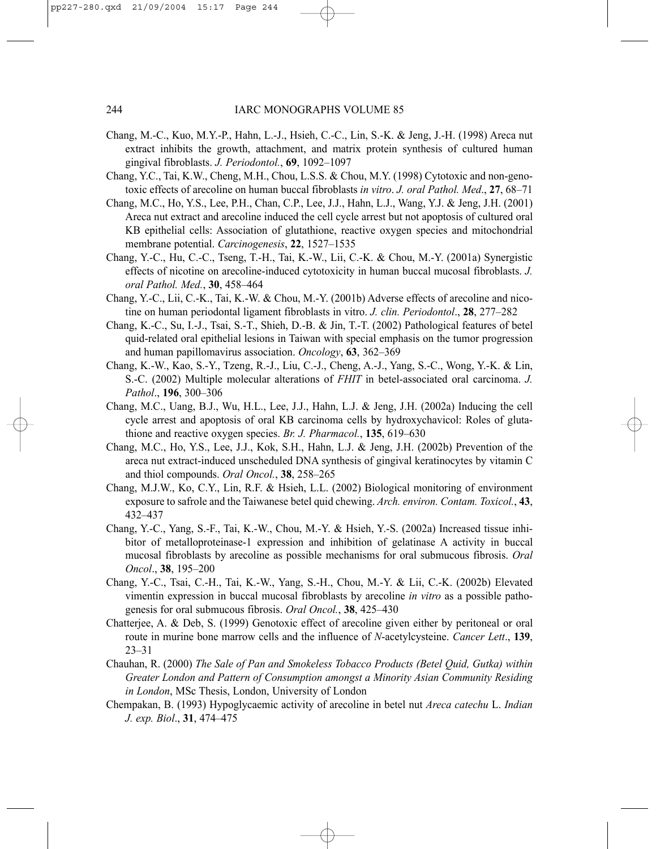- Chang, M.-C., Kuo, M.Y.-P., Hahn, L.-J., Hsieh, C.-C., Lin, S.-K. & Jeng, J.-H. (1998) Areca nut extract inhibits the growth, attachment, and matrix protein synthesis of cultured human gingival fibroblasts. *J. Periodontol.*, **69**, 1092–1097
- Chang, Y.C., Tai, K.W., Cheng, M.H., Chou, L.S.S. & Chou, M.Y. (1998) Cytotoxic and non-genotoxic effects of arecoline on human buccal fibroblasts *in vitro*. *J. oral Pathol. Med*., **27**, 68–71
- Chang, M.C., Ho, Y.S., Lee, P.H., Chan, C.P., Lee, J.J., Hahn, L.J., Wang, Y.J. & Jeng, J.H. (2001) Areca nut extract and arecoline induced the cell cycle arrest but not apoptosis of cultured oral KB epithelial cells: Association of glutathione, reactive oxygen species and mitochondrial membrane potential. *Carcinogenesis*, **22**, 1527–1535
- Chang, Y.-C., Hu, C.-C., Tseng, T.-H., Tai, K.-W., Lii, C.-K. & Chou, M.-Y. (2001a) Synergistic effects of nicotine on arecoline-induced cytotoxicity in human buccal mucosal fibroblasts. *J. oral Pathol. Med.*, **30**, 458–464
- Chang, Y.-C., Lii, C.-K., Tai, K.-W. & Chou, M.-Y. (2001b) Adverse effects of arecoline and nicotine on human periodontal ligament fibroblasts in vitro. *J. clin. Periodontol*., **28**, 277–282
- Chang, K.-C., Su, I.-J., Tsai, S.-T., Shieh, D.-B. & Jin, T.-T. (2002) Pathological features of betel quid-related oral epithelial lesions in Taiwan with special emphasis on the tumor progression and human papillomavirus association. *Oncology*, **63**, 362–369
- Chang, K.-W., Kao, S.-Y., Tzeng, R.-J., Liu, C.-J., Cheng, A.-J., Yang, S.-C., Wong, Y.-K. & Lin, S.-C. (2002) Multiple molecular alterations of *FHIT* in betel-associated oral carcinoma. *J. Pathol*., **196**, 300–306
- Chang, M.C., Uang, B.J., Wu, H.L., Lee, J.J., Hahn, L.J. & Jeng, J.H. (2002a) Inducing the cell cycle arrest and apoptosis of oral KB carcinoma cells by hydroxychavicol: Roles of glutathione and reactive oxygen species. *Br. J. Pharmacol.*, **135**, 619–630
- Chang, M.C., Ho, Y.S., Lee, J.J., Kok, S.H., Hahn, L.J. & Jeng, J.H. (2002b) Prevention of the areca nut extract-induced unscheduled DNA synthesis of gingival keratinocytes by vitamin C and thiol compounds. *Oral Oncol.*, **38**, 258–265
- Chang, M.J.W., Ko, C.Y., Lin, R.F. & Hsieh, L.L. (2002) Biological monitoring of environment exposure to safrole and the Taiwanese betel quid chewing. *Arch. environ. Contam. Toxicol.*, **43**, 432–437
- Chang, Y.-C., Yang, S.-F., Tai, K.-W., Chou, M.-Y. & Hsieh, Y.-S. (2002a) Increased tissue inhibitor of metalloproteinase-1 expression and inhibition of gelatinase A activity in buccal mucosal fibroblasts by arecoline as possible mechanisms for oral submucous fibrosis. *Oral Oncol*., **38**, 195–200
- Chang, Y.-C., Tsai, C.-H., Tai, K.-W., Yang, S.-H., Chou, M.-Y. & Lii, C.-K. (2002b) Elevated vimentin expression in buccal mucosal fibroblasts by arecoline *in vitro* as a possible pathogenesis for oral submucous fibrosis. *Oral Oncol.*, **38**, 425–430
- Chatterjee, A. & Deb, S. (1999) Genotoxic effect of arecoline given either by peritoneal or oral route in murine bone marrow cells and the influence of *N*-acetylcysteine. *Cancer Lett*., **139**, 23–31
- Chauhan, R. (2000) *The Sale of Pan and Smokeless Tobacco Products (Betel Quid, Gutka) within Greater London and Pattern of Consumption amongst a Minority Asian Community Residing in London*, MSc Thesis, London, University of London
- Chempakan, B. (1993) Hypoglycaemic activity of arecoline in betel nut *Areca catechu* L. *Indian J. exp. Biol*., **31**, 474–475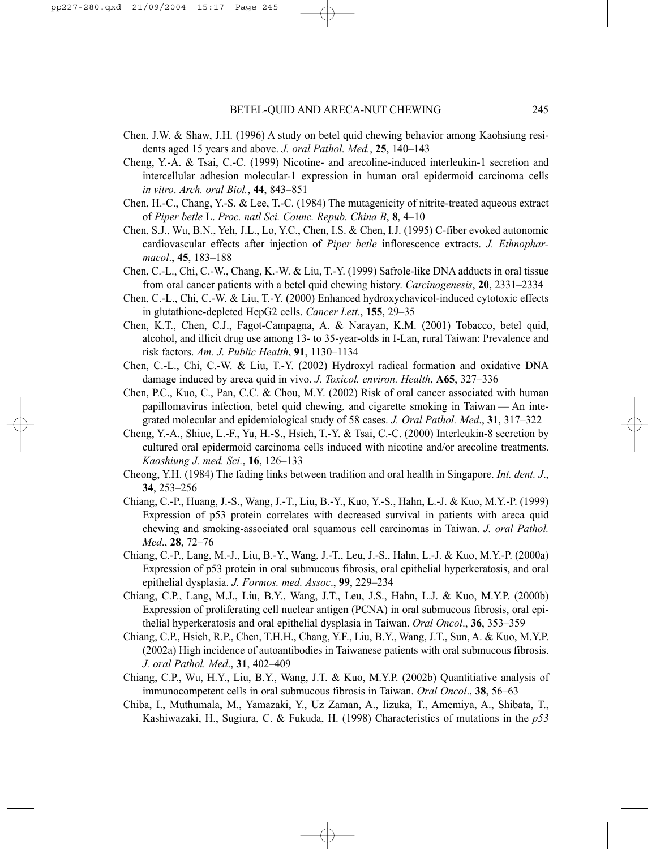- Chen, J.W. & Shaw, J.H. (1996) A study on betel quid chewing behavior among Kaohsiung residents aged 15 years and above. *J. oral Pathol. Med.*, **25**, 140–143
- Cheng, Y.-A. & Tsai, C.-C. (1999) Nicotine- and arecoline-induced interleukin-1 secretion and intercellular adhesion molecular-1 expression in human oral epidermoid carcinoma cells *in vitro*. *Arch. oral Biol.*, **44**, 843–851
- Chen, H.-C., Chang, Y.-S. & Lee, T.-C. (1984) The mutagenicity of nitrite-treated aqueous extract of *Piper betle* L. *Proc. natl Sci. Counc. Repub. China B*, **8**, 4–10
- Chen, S.J., Wu, B.N., Yeh, J.L., Lo, Y.C., Chen, I.S. & Chen, I.J. (1995) C-fiber evoked autonomic cardiovascular effects after injection of *Piper betle* inflorescence extracts. *J. Ethnopharmacol*., **45**, 183–188
- Chen, C.-L., Chi, C.-W., Chang, K.-W. & Liu, T.-Y. (1999) Safrole-like DNA adducts in oral tissue from oral cancer patients with a betel quid chewing history. *Carcinogenesis*, **20**, 2331–2334
- Chen, C.-L., Chi, C.-W. & Liu, T.-Y. (2000) Enhanced hydroxychavicol-induced cytotoxic effects in glutathione-depleted HepG2 cells. *Cancer Lett.*, **155**, 29–35
- Chen, K.T., Chen, C.J., Fagot-Campagna, A. & Narayan, K.M. (2001) Tobacco, betel quid, alcohol, and illicit drug use among 13- to 35-year-olds in I-Lan, rural Taiwan: Prevalence and risk factors. *Am. J. Public Health*, **91**, 1130–1134
- Chen, C.-L., Chi, C.-W. & Liu, T.-Y. (2002) Hydroxyl radical formation and oxidative DNA damage induced by areca quid in vivo. *J. Toxicol. environ. Health*, **A65**, 327–336
- Chen, P.C., Kuo, C., Pan, C.C. & Chou, M.Y. (2002) Risk of oral cancer associated with human papillomavirus infection, betel quid chewing, and cigarette smoking in Taiwan — An integrated molecular and epidemiological study of 58 cases. *J. Oral Pathol. Med*., **31**, 317–322
- Cheng, Y.-A., Shiue, L.-F., Yu, H.-S., Hsieh, T.-Y. & Tsai, C.-C. (2000) Interleukin-8 secretion by cultured oral epidermoid carcinoma cells induced with nicotine and/or arecoline treatments. *Kaoshiung J. med. Sci.*, **16**, 126–133
- Cheong, Y.H. (1984) The fading links between tradition and oral health in Singapore. *Int. dent. J*., **34**, 253–256
- Chiang, C.-P., Huang, J.-S., Wang, J.-T., Liu, B.-Y., Kuo, Y.-S., Hahn, L.-J. & Kuo, M.Y.-P. (1999) Expression of p53 protein correlates with decreased survival in patients with areca quid chewing and smoking-associated oral squamous cell carcinomas in Taiwan. *J. oral Pathol. Med*., **28**, 72–76
- Chiang, C.-P., Lang, M.-J., Liu, B.-Y., Wang, J.-T., Leu, J.-S., Hahn, L.-J. & Kuo, M.Y.-P. (2000a) Expression of p53 protein in oral submucous fibrosis, oral epithelial hyperkeratosis, and oral epithelial dysplasia. *J. Formos. med. Assoc*., **99**, 229–234
- Chiang, C.P., Lang, M.J., Liu, B.Y., Wang, J.T., Leu, J.S., Hahn, L.J. & Kuo, M.Y.P. (2000b) Expression of proliferating cell nuclear antigen (PCNA) in oral submucous fibrosis, oral epithelial hyperkeratosis and oral epithelial dysplasia in Taiwan. *Oral Oncol*., **36**, 353–359
- Chiang, C.P., Hsieh, R.P., Chen, T.H.H., Chang, Y.F., Liu, B.Y., Wang, J.T., Sun, A. & Kuo, M.Y.P. (2002a) High incidence of autoantibodies in Taiwanese patients with oral submucous fibrosis. *J. oral Pathol. Med*., **31**, 402–409
- Chiang, C.P., Wu, H.Y., Liu, B.Y., Wang, J.T. & Kuo, M.Y.P. (2002b) Quantitiative analysis of immunocompetent cells in oral submucous fibrosis in Taiwan. *Oral Oncol*., **38**, 56–63
- Chiba, I., Muthumala, M., Yamazaki, Y., Uz Zaman, A., Iizuka, T., Amemiya, A., Shibata, T., Kashiwazaki, H., Sugiura, C. & Fukuda, H. (1998) Characteristics of mutations in the *p53*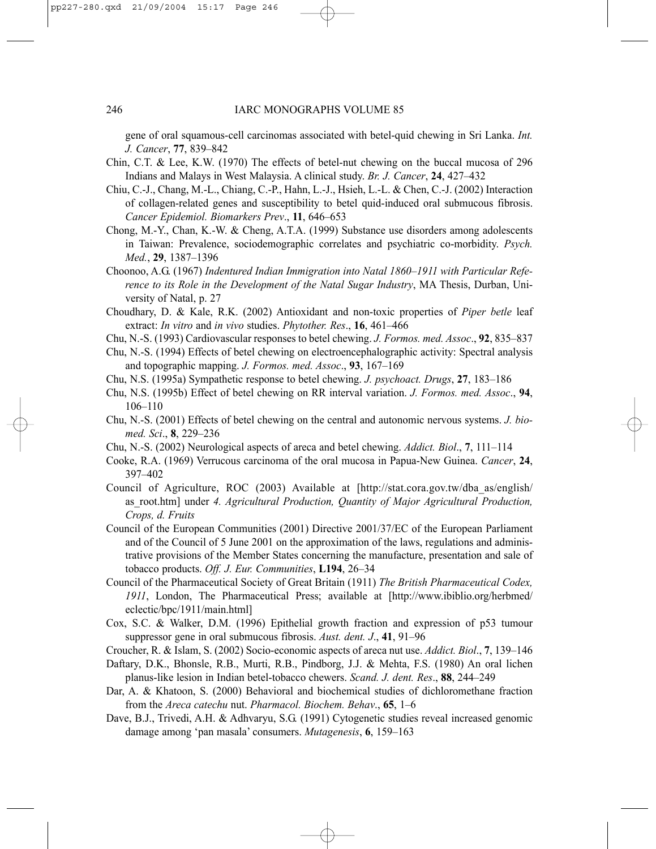gene of oral squamous-cell carcinomas associated with betel-quid chewing in Sri Lanka. *Int. J. Cancer*, **77**, 839–842

- Chin, C.T. & Lee, K.W. (1970) The effects of betel-nut chewing on the buccal mucosa of 296 Indians and Malays in West Malaysia. A clinical study. *Br. J. Cancer*, **24**, 427–432
- Chiu, C.-J., Chang, M.-L., Chiang, C.-P., Hahn, L.-J., Hsieh, L.-L. & Chen, C.-J. (2002) Interaction of collagen-related genes and susceptibility to betel quid-induced oral submucous fibrosis. *Cancer Epidemiol. Biomarkers Prev*., **11**, 646–653
- Chong, M.-Y., Chan, K.-W. & Cheng, A.T.A. (1999) Substance use disorders among adolescents in Taiwan: Prevalence, sociodemographic correlates and psychiatric co-morbidity. *Psych. Med.*, **29**, 1387–1396
- Choonoo, A.G. (1967) *Indentured Indian Immigration into Natal 1860–1911 with Particular Reference to its Role in the Development of the Natal Sugar Industry*, MA Thesis, Durban, University of Natal, p. 27
- Choudhary, D. & Kale, R.K. (2002) Antioxidant and non-toxic properties of *Piper betle* leaf extract: *In vitro* and *in vivo* studies. *Phytother. Res*., **16**, 461–466
- Chu, N.-S. (1993) Cardiovascular responses to betel chewing. *J. Formos. med. Assoc*., **92**, 835–837
- Chu, N.-S. (1994) Effects of betel chewing on electroencephalographic activity: Spectral analysis and topographic mapping. *J. Formos. med. Assoc*., **93**, 167–169
- Chu, N.S. (1995a) Sympathetic response to betel chewing. *J. psychoact. Drugs*, **27**, 183–186
- Chu, N.S. (1995b) Effect of betel chewing on RR interval variation. *J. Formos. med. Assoc*., **94**, 106–110
- Chu, N.-S. (2001) Effects of betel chewing on the central and autonomic nervous systems. *J. biomed. Sci*., **8**, 229–236
- Chu, N.-S. (2002) Neurological aspects of areca and betel chewing. *Addict. Biol*., **7**, 111–114
- Cooke, R.A. (1969) Verrucous carcinoma of the oral mucosa in Papua-New Guinea. *Cancer*, **24**, 397–402
- Council of Agriculture, ROC (2003) Available at [http://stat.cora.gov.tw/dba\_as/english/ as\_root.htm] under *4. Agricultural Production, Quantity of Major Agricultural Production, Crops, d. Fruits*
- Council of the European Communities (2001) Directive 2001/37/EC of the European Parliament and of the Council of 5 June 2001 on the approximation of the laws, regulations and administrative provisions of the Member States concerning the manufacture, presentation and sale of tobacco products. *Off. J. Eur. Communities*, **L194**, 26–34
- Council of the Pharmaceutical Society of Great Britain (1911) *The British Pharmaceutical Codex, 1911*, London, The Pharmaceutical Press; available at [http://www.ibiblio.org/herbmed/ eclectic/bpc/1911/main.html]
- Cox, S.C. & Walker, D.M. (1996) Epithelial growth fraction and expression of p53 tumour suppressor gene in oral submucous fibrosis. *Aust. dent. J*., **41**, 91–96
- Croucher, R. & Islam, S. (2002) Socio-economic aspects of areca nut use. *Addict. Biol*., **7**, 139–146
- Daftary, D.K., Bhonsle, R.B., Murti, R.B., Pindborg, J.J. & Mehta, F.S. (1980) An oral lichen planus-like lesion in Indian betel-tobacco chewers. *Scand. J. dent. Res*., **88**, 244–249
- Dar, A. & Khatoon, S. (2000) Behavioral and biochemical studies of dichloromethane fraction from the *Areca catechu* nut. *Pharmacol. Biochem. Behav*., **65**, 1–6
- Dave, B.J., Trivedi, A.H. & Adhvaryu, S.G. (1991) Cytogenetic studies reveal increased genomic damage among 'pan masala' consumers. *Mutagenesis*, **6**, 159–163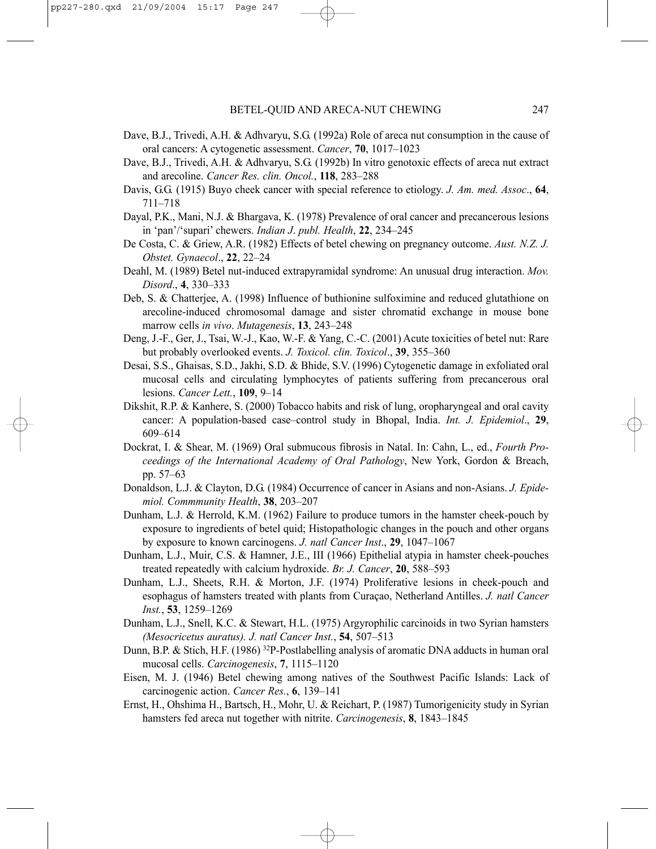- Dave, B.J., Trivedi, A.H. & Adhvaryu, S.G. (1992a) Role of areca nut consumption in the cause of oral cancers: A cytogenetic assessment. *Cancer*, **70**, 1017–1023
- Dave, B.J., Trivedi, A.H. & Adhvaryu, S.G. (1992b) In vitro genotoxic effects of areca nut extract and arecoline. *Cancer Res. clin. Oncol.*, **118**, 283–288
- Davis, G.G. (1915) Buyo cheek cancer with special reference to etiology. *J. Am. med. Assoc*., **64**, 711–718
- Dayal, P.K., Mani, N.J. & Bhargava, K. (1978) Prevalence of oral cancer and precancerous lesions in 'pan'/'supari' chewers. *Indian J*. *publ. Health*, **22**, 234–245
- De Costa, C. & Griew, A.R. (1982) Effects of betel chewing on pregnancy outcome. *Aust. N.Z. J. Obstet. Gynaecol*., **22**, 22–24
- Deahl, M. (1989) Betel nut-induced extrapyramidal syndrome: An unusual drug interaction. *Mov. Disord*., **4**, 330–333
- Deb, S. & Chatterjee, A. (1998) Influence of buthionine sulfoximine and reduced glutathione on arecoline-induced chromosomal damage and sister chromatid exchange in mouse bone marrow cells *in vivo*. *Mutagenesis*, **13**, 243–248
- Deng, J.-F., Ger, J., Tsai, W.-J., Kao, W.-F. & Yang, C.-C. (2001) Acute toxicities of betel nut: Rare but probably overlooked events. *J. Toxicol. clin. Toxicol*., **39**, 355–360
- Desai, S.S., Ghaisas, S.D., Jakhi, S.D. & Bhide, S.V. (1996) Cytogenetic damage in exfoliated oral mucosal cells and circulating lymphocytes of patients suffering from precancerous oral lesions. *Cancer Lett.*, **109**, 9–14
- Dikshit, R.P. & Kanhere, S. (2000) Tobacco habits and risk of lung, oropharyngeal and oral cavity cancer: A population-based case–control study in Bhopal, India. *Int. J. Epidemiol*., **29**, 609–614
- Dockrat, I. & Shear, M. (1969) Oral submucous fibrosis in Natal. In: Cahn, L., ed., *Fourth Proceedings of the International Academy of Oral Pathology*, New York, Gordon & Breach, pp. 57–63
- Donaldson, L.J. & Clayton, D.G. (1984) Occurrence of cancer in Asians and non-Asians. *J. Epidemiol. Commmunity Health*, **38**, 203–207
- Dunham, L.J. & Herrold, K.M. (1962) Failure to produce tumors in the hamster cheek-pouch by exposure to ingredients of betel quid; Histopathologic changes in the pouch and other organs by exposure to known carcinogens. *J. natl Cancer Inst*., **29**, 1047–1067
- Dunham, L.J., Muir, C.S. & Hamner, J.E., III (1966) Epithelial atypia in hamster cheek-pouches treated repeatedly with calcium hydroxide. *Br. J. Cancer*, **20**, 588–593
- Dunham, L.J., Sheets, R.H. & Morton, J.F. (1974) Proliferative lesions in cheek-pouch and esophagus of hamsters treated with plants from Curaçao, Netherland Antilles. *J. natl Cancer Inst.*, **53**, 1259–1269
- Dunham, L.J., Snell, K.C. & Stewart, H.L. (1975) Argyrophilic carcinoids in two Syrian hamsters *(Mesocricetus auratus). J. natl Cancer Inst.*, **54**, 507–513
- Dunn, B.P. & Stich, H.F. (1986) 32P-Postlabelling analysis of aromatic DNA adducts in human oral mucosal cells. *Carcinogenesis*, **7**, 1115–1120
- Eisen, M. J. (1946) Betel chewing among natives of the Southwest Pacific Islands: Lack of carcinogenic action. *Cancer Res.*, **6**, 139–141
- Ernst, H., Ohshima H., Bartsch, H., Mohr, U. & Reichart, P. (1987) Tumorigenicity study in Syrian hamsters fed areca nut together with nitrite. *Carcinogenesis*, **8**, 1843–1845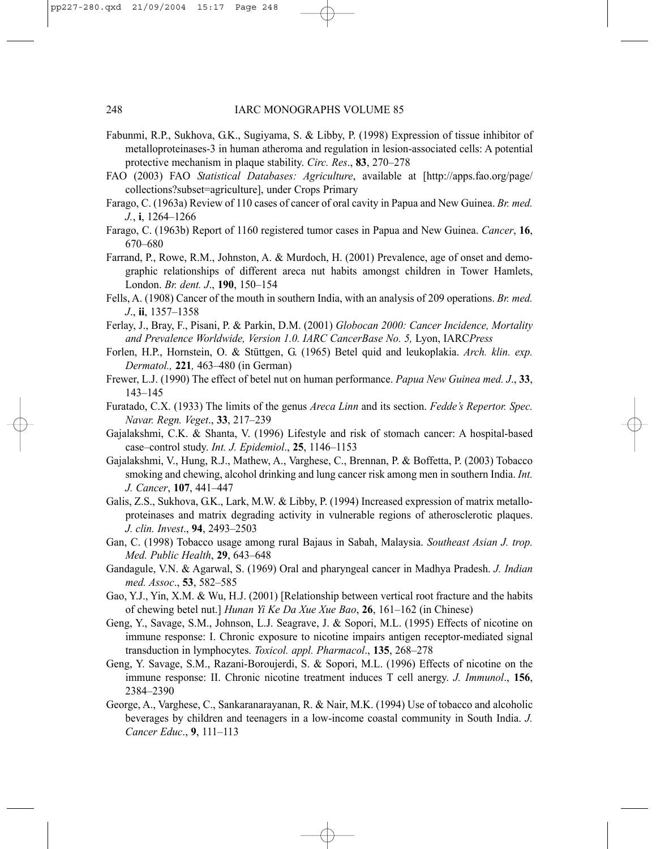- Fabunmi, R.P., Sukhova, G.K., Sugiyama, S. & Libby, P. (1998) Expression of tissue inhibitor of metalloproteinases-3 in human atheroma and regulation in lesion-associated cells: A potential protective mechanism in plaque stability. *Circ. Res*., **83**, 270–278
- FAO (2003) FAO *Statistical Databases: Agriculture*, available at [http://apps.fao.org/page/ collections?subset=agriculture], under Crops Primary
- Farago, C. (1963a) Review of 110 cases of cancer of oral cavity in Papua and New Guinea. *Br. med. J.*, **i**, 1264–1266
- Farago, C. (1963b) Report of 1160 registered tumor cases in Papua and New Guinea. *Cancer*, **16**, 670–680
- Farrand, P., Rowe, R.M., Johnston, A. & Murdoch, H. (2001) Prevalence, age of onset and demographic relationships of different areca nut habits amongst children in Tower Hamlets, London. *Br. dent. J*., **190**, 150–154
- Fells, A. (1908) Cancer of the mouth in southern India, with an analysis of 209 operations. *Br. med. J*., **ii**, 1357–1358
- Ferlay, J., Bray, F., Pisani, P. & Parkin, D.M. (2001) *Globocan 2000: Cancer Incidence, Mortality and Prevalence Worldwide, Version 1.0. IARC CancerBase No. 5,* Lyon, IARC*Press*
- Forlen, H.P., Hornstein, O. & Stüttgen, G. (1965) Betel quid and leukoplakia. *Arch. klin. exp. Dermatol.,* **221***,* 463–480 (in German)
- Frewer, L.J. (1990) The effect of betel nut on human performance. *Papua New Guinea med. J*., **33**, 143–145
- Furatado, C.X. (1933) The limits of the genus *Areca Linn* and its section. *Fedde's Repertor. Spec. Navar. Regn. Veget*., **33**, 217–239
- Gajalakshmi, C.K. & Shanta, V. (1996) Lifestyle and risk of stomach cancer: A hospital-based case–control study. *Int. J. Epidemiol*., **25**, 1146–1153
- Gajalakshmi, V., Hung, R.J., Mathew, A., Varghese, C., Brennan, P. & Boffetta, P. (2003) Tobacco smoking and chewing, alcohol drinking and lung cancer risk among men in southern India. *Int. J. Cancer*, **107**, 441–447
- Galis, Z.S., Sukhova, G.K., Lark, M.W. & Libby, P. (1994) Increased expression of matrix metalloproteinases and matrix degrading activity in vulnerable regions of atherosclerotic plaques. *J. clin. Invest*., **94**, 2493–2503
- Gan, C. (1998) Tobacco usage among rural Bajaus in Sabah, Malaysia. *Southeast Asian J. trop. Med. Public Health*, **29**, 643–648
- Gandagule, V.N. & Agarwal, S. (1969) Oral and pharyngeal cancer in Madhya Pradesh. *J. Indian med. Assoc*., **53**, 582–585
- Gao, Y.J., Yin, X.M. & Wu, H.J. (2001) [Relationship between vertical root fracture and the habits of chewing betel nut.] *Hunan Yi Ke Da Xue Xue Bao*, **26**, 161–162 (in Chinese)
- Geng, Y., Savage, S.M., Johnson, L.J. Seagrave, J. & Sopori, M.L. (1995) Effects of nicotine on immune response: I. Chronic exposure to nicotine impairs antigen receptor-mediated signal transduction in lymphocytes. *Toxicol. appl. Pharmacol*., **135**, 268–278
- Geng, Y. Savage, S.M., Razani-Boroujerdi, S. & Sopori, M.L. (1996) Effects of nicotine on the immune response: II. Chronic nicotine treatment induces T cell anergy. *J. Immunol*., **156**, 2384–2390
- George, A., Varghese, C., Sankaranarayanan, R. & Nair, M.K. (1994) Use of tobacco and alcoholic beverages by children and teenagers in a low-income coastal community in South India. *J. Cancer Educ*., **9**, 111–113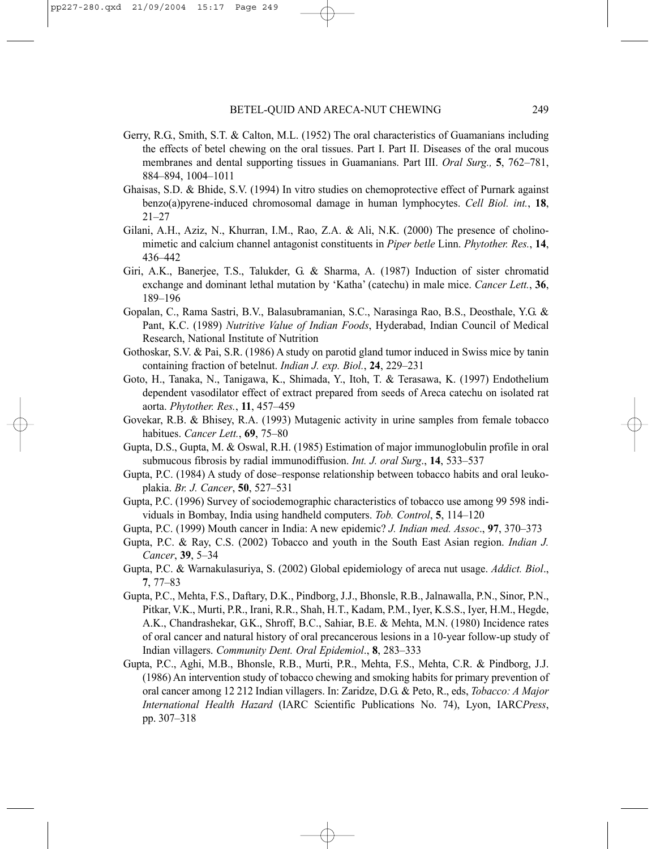- Gerry, R.G., Smith, S.T. & Calton, M.L. (1952) The oral characteristics of Guamanians including the effects of betel chewing on the oral tissues. Part I. Part II. Diseases of the oral mucous membranes and dental supporting tissues in Guamanians. Part III. *Oral Surg.,* **5**, 762–781, 884–894, 1004–1011
- Ghaisas, S.D. & Bhide, S.V. (1994) In vitro studies on chemoprotective effect of Purnark against benzo(a)pyrene-induced chromosomal damage in human lymphocytes. *Cell Biol. int.*, **18**, 21–27
- Gilani, A.H., Aziz, N., Khurran, I.M., Rao, Z.A. & Ali, N.K. (2000) The presence of cholinomimetic and calcium channel antagonist constituents in *Piper betle* Linn. *Phytother. Res.*, **14**, 436–442
- Giri, A.K., Banerjee, T.S., Talukder, G. & Sharma, A. (1987) Induction of sister chromatid exchange and dominant lethal mutation by 'Katha' (catechu) in male mice. *Cancer Lett.*, **36**, 189–196
- Gopalan, C., Rama Sastri, B.V., Balasubramanian, S.C., Narasinga Rao, B.S., Deosthale, Y.G. & Pant, K.C. (1989) *Nutritive Value of Indian Foods*, Hyderabad, Indian Council of Medical Research, National Institute of Nutrition
- Gothoskar, S.V. & Pai, S.R. (1986) A study on parotid gland tumor induced in Swiss mice by tanin containing fraction of betelnut. *Indian J. exp. Biol.*, **24**, 229–231
- Goto, H., Tanaka, N., Tanigawa, K., Shimada, Y., Itoh, T. & Terasawa, K. (1997) Endothelium dependent vasodilator effect of extract prepared from seeds of Areca catechu on isolated rat aorta. *Phytother. Res.*, **11**, 457–459
- Govekar, R.B. & Bhisey, R.A. (1993) Mutagenic activity in urine samples from female tobacco habitues. *Cancer Lett.*, **69**, 75–80
- Gupta, D.S., Gupta, M. & Oswal, R.H. (1985) Estimation of major immunoglobulin profile in oral submucous fibrosis by radial immunodiffusion. *Int. J. oral Surg*., **14**, 533–537
- Gupta, P.C. (1984) A study of dose–response relationship between tobacco habits and oral leukoplakia. *Br. J. Cancer*, **50**, 527–531
- Gupta, P.C. (1996) Survey of sociodemographic characteristics of tobacco use among 99 598 individuals in Bombay, India using handheld computers. *Tob. Control*, **5**, 114–120
- Gupta, P.C. (1999) Mouth cancer in India: A new epidemic? *J. Indian med. Assoc*., **97**, 370–373
- Gupta, P.C. & Ray, C.S. (2002) Tobacco and youth in the South East Asian region. *Indian J. Cancer*, **39**, 5–34
- Gupta, P.C. & Warnakulasuriya, S. (2002) Global epidemiology of areca nut usage. *Addict. Biol*., **7**, 77–83
- Gupta, P.C., Mehta, F.S., Daftary, D.K., Pindborg, J.J., Bhonsle, R.B., Jalnawalla, P.N., Sinor, P.N., Pitkar, V.K., Murti, P.R., Irani, R.R., Shah, H.T., Kadam, P.M., Iyer, K.S.S., Iyer, H.M., Hegde, A.K., Chandrashekar, G.K., Shroff, B.C., Sahiar, B.E. & Mehta, M.N. (1980) Incidence rates of oral cancer and natural history of oral precancerous lesions in a 10-year follow-up study of Indian villagers. *Community Dent. Oral Epidemiol*., **8**, 283–333
- Gupta, P.C., Aghi, M.B., Bhonsle, R.B., Murti, P.R., Mehta, F.S., Mehta, C.R. & Pindborg, J.J. (1986) An intervention study of tobacco chewing and smoking habits for primary prevention of oral cancer among 12 212 Indian villagers. In: Zaridze, D.G. & Peto, R., eds, *Tobacco: A Major International Health Hazard* (IARC Scientific Publications No. 74), Lyon, IARC*Press*, pp. 307–318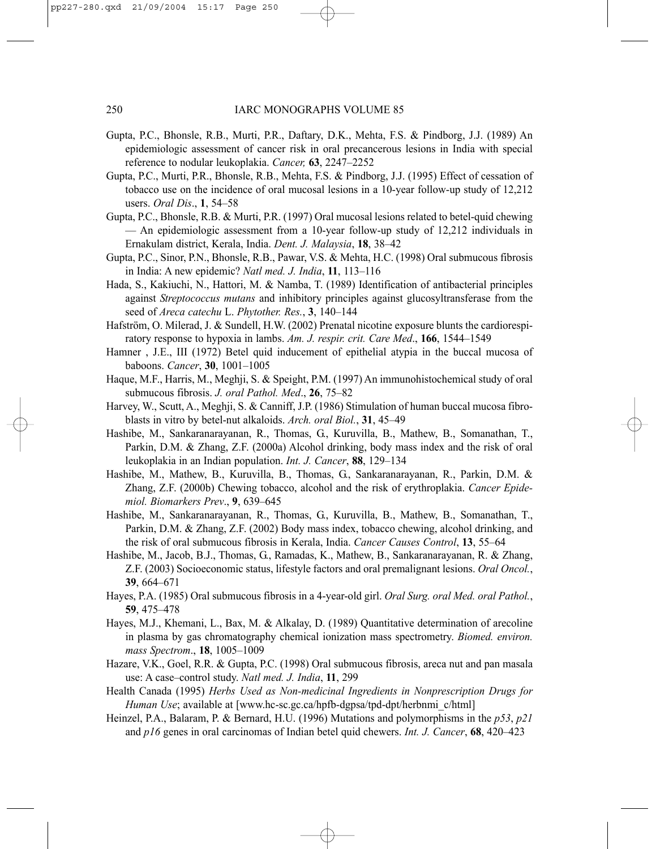- Gupta, P.C., Bhonsle, R.B., Murti, P.R., Daftary, D.K., Mehta, F.S. & Pindborg, J.J. (1989) An epidemiologic assessment of cancer risk in oral precancerous lesions in India with special reference to nodular leukoplakia. *Cancer,* **63**, 2247–2252
- Gupta, P.C., Murti, P.R., Bhonsle, R.B., Mehta, F.S. & Pindborg, J.J. (1995) Effect of cessation of tobacco use on the incidence of oral mucosal lesions in a 10-year follow-up study of 12,212 users. *Oral Dis*., **1**, 54–58
- Gupta, P.C., Bhonsle, R.B. & Murti, P.R. (1997) Oral mucosal lesions related to betel-quid chewing — An epidemiologic assessment from a 10-year follow-up study of 12,212 individuals in Ernakulam district, Kerala, India. *Dent. J. Malaysia*, **18**, 38–42
- Gupta, P.C., Sinor, P.N., Bhonsle, R.B., Pawar, V.S. & Mehta, H.C. (1998) Oral submucous fibrosis in India: A new epidemic? *Natl med. J. India*, **11**, 113–116
- Hada, S., Kakiuchi, N., Hattori, M. & Namba, T. (1989) Identification of antibacterial principles against *Streptococcus mutans* and inhibitory principles against glucosyltransferase from the seed of *Areca catechu* L. *Phytother. Res.*, **3**, 140–144
- Hafström, O. Milerad, J. & Sundell, H.W. (2002) Prenatal nicotine exposure blunts the cardiorespiratory response to hypoxia in lambs. *Am. J. respir. crit. Care Med*., **166**, 1544–1549
- Hamner , J.E., III (1972) Betel quid inducement of epithelial atypia in the buccal mucosa of baboons. *Cancer*, **30**, 1001–1005
- Haque, M.F., Harris, M., Meghji, S. & Speight, P.M. (1997) An immunohistochemical study of oral submucous fibrosis. *J. oral Pathol. Med*., **26**, 75–82
- Harvey, W., Scutt, A., Meghji, S. & Canniff, J.P. (1986) Stimulation of human buccal mucosa fibroblasts in vitro by betel-nut alkaloids. *Arch. oral Biol.*, **31**, 45–49
- Hashibe, M., Sankaranarayanan, R., Thomas, G., Kuruvilla, B., Mathew, B., Somanathan, T., Parkin, D.M. & Zhang, Z.F. (2000a) Alcohol drinking, body mass index and the risk of oral leukoplakia in an Indian population. *Int. J. Cancer*, **88**, 129–134
- Hashibe, M., Mathew, B., Kuruvilla, B., Thomas, G., Sankaranarayanan, R., Parkin, D.M. & Zhang, Z.F. (2000b) Chewing tobacco, alcohol and the risk of erythroplakia. *Cancer Epidemiol. Biomarkers Prev*., **9**, 639–645
- Hashibe, M., Sankaranarayanan, R., Thomas, G., Kuruvilla, B., Mathew, B., Somanathan, T., Parkin, D.M. & Zhang, Z.F. (2002) Body mass index, tobacco chewing, alcohol drinking, and the risk of oral submucous fibrosis in Kerala, India. *Cancer Causes Control*, **13**, 55–64
- Hashibe, M., Jacob, B.J., Thomas, G., Ramadas, K., Mathew, B., Sankaranarayanan, R. & Zhang, Z.F. (2003) Socioeconomic status, lifestyle factors and oral premalignant lesions. *Oral Oncol.*, **39**, 664–671
- Hayes, P.A. (1985) Oral submucous fibrosis in a 4-year-old girl. *Oral Surg. oral Med. oral Pathol.*, **59**, 475–478
- Hayes, M.J., Khemani, L., Bax, M. & Alkalay, D. (1989) Quantitative determination of arecoline in plasma by gas chromatography chemical ionization mass spectrometry. *Biomed. environ. mass Spectrom*., **18**, 1005–1009
- Hazare, V.K., Goel, R.R. & Gupta, P.C. (1998) Oral submucous fibrosis, areca nut and pan masala use: A case–control study. *Natl med. J. India*, **11**, 299
- Health Canada (1995) *Herbs Used as Non-medicinal Ingredients in Nonprescription Drugs for Human Use*; available at [www.hc-sc.gc.ca/hpfb-dgpsa/tpd-dpt/herbnmi\_c/html]
- Heinzel, P.A., Balaram, P. & Bernard, H.U. (1996) Mutations and polymorphisms in the *p53*, *p21* and *p16* genes in oral carcinomas of Indian betel quid chewers. *Int. J. Cancer*, **68**, 420–423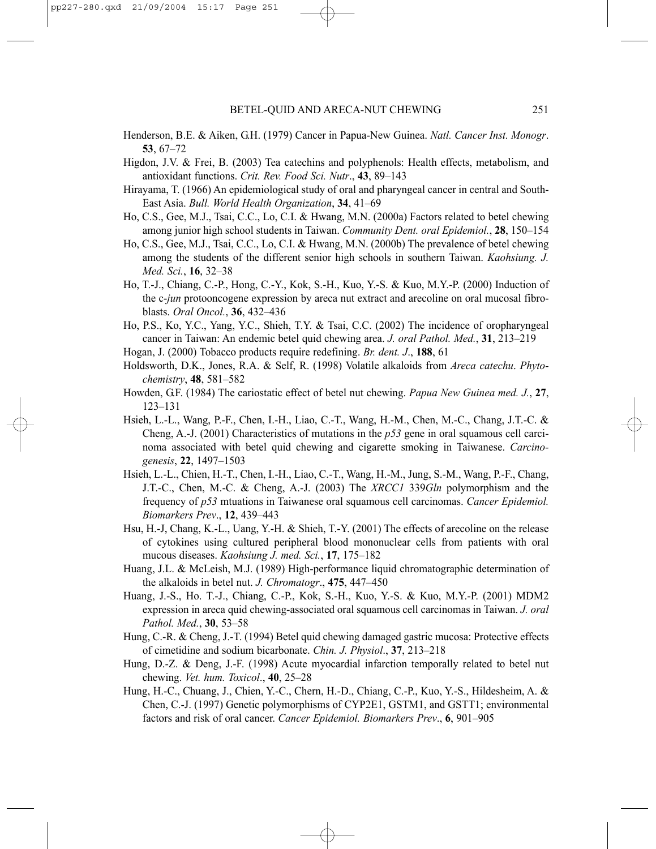- Henderson, B.E. & Aiken, G.H. (1979) Cancer in Papua-New Guinea. *Natl. Cancer Inst. Monogr*. **53**, 67–72
- Higdon, J.V. & Frei, B. (2003) Tea catechins and polyphenols: Health effects, metabolism, and antioxidant functions. *Crit. Rev. Food Sci. Nutr*., **43**, 89–143
- Hirayama, T. (1966) An epidemiological study of oral and pharyngeal cancer in central and South-East Asia. *Bull. World Health Organization*, **34**, 41–69
- Ho, C.S., Gee, M.J., Tsai, C.C., Lo, C.I. & Hwang, M.N. (2000a) Factors related to betel chewing among junior high school students in Taiwan. *Community Dent. oral Epidemiol.*, **28**, 150–154
- Ho, C.S., Gee, M.J., Tsai, C.C., Lo, C.I. & Hwang, M.N. (2000b) The prevalence of betel chewing among the students of the different senior high schools in southern Taiwan. *Kaohsiung. J. Med. Sci.*, **16**, 32–38
- Ho, T.-J., Chiang, C.-P., Hong, C.-Y., Kok, S.-H., Kuo, Y.-S. & Kuo, M.Y.-P. (2000) Induction of the c-*jun* protooncogene expression by areca nut extract and arecoline on oral mucosal fibroblasts. *Oral Oncol.*, **36**, 432–436
- Ho, P.S., Ko, Y.C., Yang, Y.C., Shieh, T.Y. & Tsai, C.C. (2002) The incidence of oropharyngeal cancer in Taiwan: An endemic betel quid chewing area. *J. oral Pathol. Med.*, **31**, 213–219
- Hogan, J. (2000) Tobacco products require redefining. *Br. dent. J*., **188**, 61
- Holdsworth, D.K., Jones, R.A. & Self, R. (1998) Volatile alkaloids from *Areca catechu*. *Phytochemistry*, **48**, 581–582
- Howden, G.F. (1984) The cariostatic effect of betel nut chewing. *Papua New Guinea med. J.*, **27**, 123–131
- Hsieh, L.-L., Wang, P.-F., Chen, I.-H., Liao, C.-T., Wang, H.-M., Chen, M.-C., Chang, J.T.-C. & Cheng, A.-J. (2001) Characteristics of mutations in the *p53* gene in oral squamous cell carcinoma associated with betel quid chewing and cigarette smoking in Taiwanese. *Carcinogenesis*, **22**, 1497–1503
- Hsieh, L.-L., Chien, H.-T., Chen, I.-H., Liao, C.-T., Wang, H.-M., Jung, S.-M., Wang, P.-F., Chang, J.T.-C., Chen, M.-C. & Cheng, A.-J. (2003) The *XRCC1* 339*Gln* polymorphism and the frequency of *p53* mtuations in Taiwanese oral squamous cell carcinomas. *Cancer Epidemiol. Biomarkers Prev*., **12**, 439–443
- Hsu, H.-J, Chang, K.-L., Uang, Y.-H. & Shieh, T.-Y. (2001) The effects of arecoline on the release of cytokines using cultured peripheral blood mononuclear cells from patients with oral mucous diseases. *Kaohsiung J. med. Sci.*, **17**, 175–182
- Huang, J.L. & McLeish, M.J. (1989) High-performance liquid chromatographic determination of the alkaloids in betel nut. *J. Chromatogr*., **475**, 447–450
- Huang, J.-S., Ho. T.-J., Chiang, C.-P., Kok, S.-H., Kuo, Y.-S. & Kuo, M.Y.-P. (2001) MDM2 expression in areca quid chewing-associated oral squamous cell carcinomas in Taiwan. *J. oral Pathol. Med.*, **30**, 53–58
- Hung, C.-R. & Cheng, J.-T. (1994) Betel quid chewing damaged gastric mucosa: Protective effects of cimetidine and sodium bicarbonate. *Chin. J. Physiol*., **37**, 213–218
- Hung, D.-Z. & Deng, J.-F. (1998) Acute myocardial infarction temporally related to betel nut chewing. *Vet. hum. Toxicol*., **40**, 25–28
- Hung, H.-C., Chuang, J., Chien, Y.-C., Chern, H.-D., Chiang, C.-P., Kuo, Y.-S., Hildesheim, A. & Chen, C.-J. (1997) Genetic polymorphisms of CYP2E1, GSTM1, and GSTT1; environmental factors and risk of oral cancer. *Cancer Epidemiol. Biomarkers Prev*., **6**, 901–905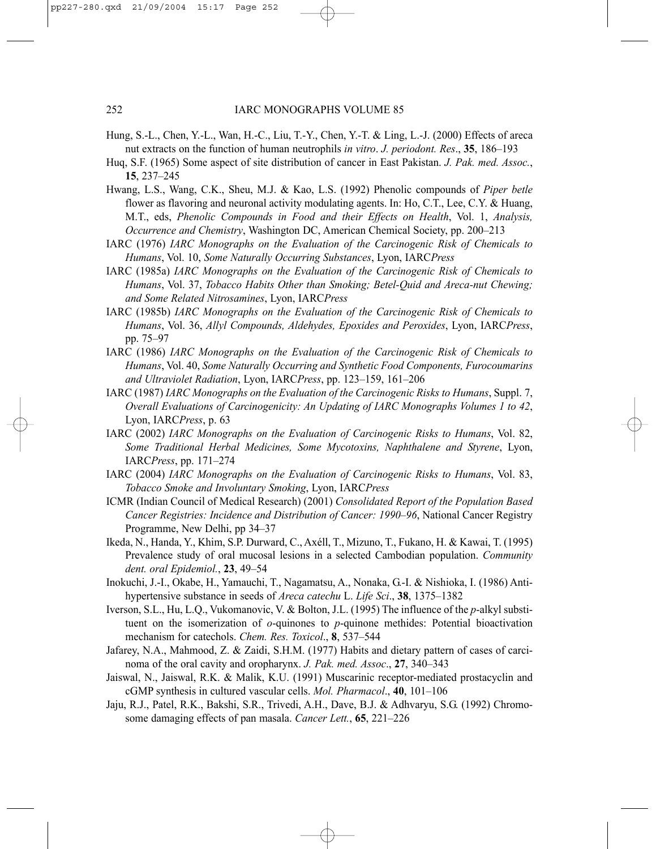- Hung, S.-L., Chen, Y.-L., Wan, H.-C., Liu, T.-Y., Chen, Y.-T. & Ling, L.-J. (2000) Effects of areca nut extracts on the function of human neutrophils *in vitro*. *J. periodont. Res*., **35**, 186–193
- Huq, S.F. (1965) Some aspect of site distribution of cancer in East Pakistan. *J. Pak. med. Assoc.*, **15**, 237–245
- Hwang, L.S., Wang, C.K., Sheu, M.J. & Kao, L.S. (1992) Phenolic compounds of *Piper betle* flower as flavoring and neuronal activity modulating agents. In: Ho, C.T., Lee, C.Y. & Huang, M.T., eds, *Phenolic Compounds in Food and their Effects on Health*, Vol. 1, *Analysis, Occurrence and Chemistry*, Washington DC, American Chemical Society, pp. 200–213
- IARC (1976) *IARC Monographs on the Evaluation of the Carcinogenic Risk of Chemicals to Humans*, Vol. 10, *Some Naturally Occurring Substances*, Lyon, IARC*Press*
- IARC (1985a) *IARC Monographs on the Evaluation of the Carcinogenic Risk of Chemicals to Humans*, Vol. 37, *Tobacco Habits Other than Smoking; Betel-Quid and Areca-nut Chewing; and Some Related Nitrosamines*, Lyon, IARC*Press*
- IARC (1985b) *IARC Monographs on the Evaluation of the Carcinogenic Risk of Chemicals to Humans*, Vol. 36, *Allyl Compounds, Aldehydes, Epoxides and Peroxides*, Lyon, IARC*Press*, pp. 75–97
- IARC (1986) *IARC Monographs on the Evaluation of the Carcinogenic Risk of Chemicals to Humans*, Vol. 40, *Some Naturally Occurring and Synthetic Food Components, Furocoumarins and Ultraviolet Radiation*, Lyon, IARC*Press*, pp. 123–159, 161–206
- IARC (1987) *IARC Monographs on the Evaluation of the Carcinogenic Risks to Humans*, Suppl. 7, *Overall Evaluations of Carcinogenicity: An Updating of IARC Monographs Volumes 1 to 42*, Lyon, IARC*Press*, p. 63
- IARC (2002) *IARC Monographs on the Evaluation of Carcinogenic Risks to Humans*, Vol. 82, *Some Traditional Herbal Medicines, Some Mycotoxins, Naphthalene and Styrene*, Lyon, IARC*Press*, pp. 171–274
- IARC (2004) *IARC Monographs on the Evaluation of Carcinogenic Risks to Humans*, Vol. 83, *Tobacco Smoke and Involuntary Smoking*, Lyon, IARC*Press*
- ICMR (Indian Council of Medical Research) (2001) *Consolidated Report of the Population Based Cancer Registries: Incidence and Distribution of Cancer: 1990–96*, National Cancer Registry Programme, New Delhi, pp 34–37
- Ikeda, N., Handa, Y., Khim, S.P. Durward, C., Axéll, T., Mizuno, T., Fukano, H. & Kawai, T. (1995) Prevalence study of oral mucosal lesions in a selected Cambodian population. *Community dent. oral Epidemiol.*, **23**, 49–54
- Inokuchi, J.-I., Okabe, H., Yamauchi, T., Nagamatsu, A., Nonaka, G.-I. & Nishioka, I. (1986) Antihypertensive substance in seeds of *Areca catechu* L. *Life Sci*., **38**, 1375–1382
- Iverson, S.L., Hu, L.Q., Vukomanovic, V. & Bolton, J.L. (1995) The influence of the *p*-alkyl substituent on the isomerization of *o*-quinones to *p*-quinone methides: Potential bioactivation mechanism for catechols. *Chem. Res. Toxicol*., **8**, 537–544
- Jafarey, N.A., Mahmood, Z. & Zaidi, S.H.M. (1977) Habits and dietary pattern of cases of carcinoma of the oral cavity and oropharynx. *J. Pak. med. Assoc*., **27**, 340–343
- Jaiswal, N., Jaiswal, R.K. & Malik, K.U. (1991) Muscarinic receptor-mediated prostacyclin and cGMP synthesis in cultured vascular cells. *Mol. Pharmacol*., **40**, 101–106
- Jaju, R.J., Patel, R.K., Bakshi, S.R., Trivedi, A.H., Dave, B.J. & Adhvaryu, S.G. (1992) Chromosome damaging effects of pan masala. *Cancer Lett.*, **65**, 221–226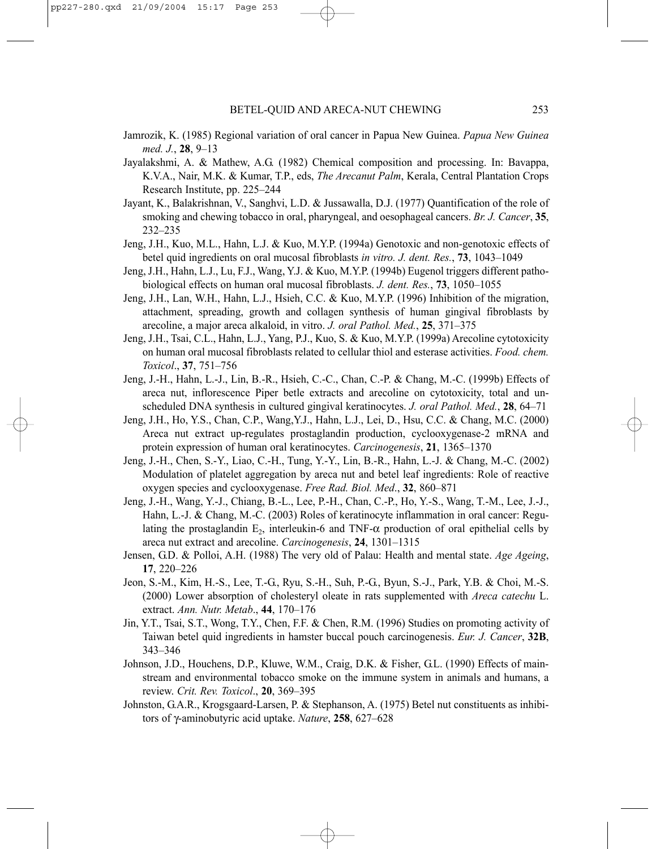- Jamrozik, K. (1985) Regional variation of oral cancer in Papua New Guinea. *Papua New Guinea med. J.*, **28**, 9–13
- Jayalakshmi, A. & Mathew, A.G. (1982) Chemical composition and processing. In: Bavappa, K.V.A., Nair, M.K. & Kumar, T.P., eds, *The Arecanut Palm*, Kerala, Central Plantation Crops Research Institute, pp. 225–244
- Jayant, K., Balakrishnan, V., Sanghvi, L.D. & Jussawalla, D.J. (1977) Quantification of the role of smoking and chewing tobacco in oral, pharyngeal, and oesophageal cancers. *Br. J. Cancer*, **35**, 232–235
- Jeng, J.H., Kuo, M.L., Hahn, L.J. & Kuo, M.Y.P. (1994a) Genotoxic and non-genotoxic effects of betel quid ingredients on oral mucosal fibroblasts *in vitro. J. dent. Res.*, **73**, 1043–1049
- Jeng, J.H., Hahn, L.J., Lu, F.J., Wang, Y.J. & Kuo, M.Y.P. (1994b) Eugenol triggers different pathobiological effects on human oral mucosal fibroblasts. *J. dent. Res.*, **73**, 1050–1055
- Jeng, J.H., Lan, W.H., Hahn, L.J., Hsieh, C.C. & Kuo, M.Y.P. (1996) Inhibition of the migration, attachment, spreading, growth and collagen synthesis of human gingival fibroblasts by arecoline, a major areca alkaloid, in vitro. *J. oral Pathol. Med.*, **25**, 371–375
- Jeng, J.H., Tsai, C.L., Hahn, L.J., Yang, P.J., Kuo, S. & Kuo, M.Y.P. (1999a) Arecoline cytotoxicity on human oral mucosal fibroblasts related to cellular thiol and esterase activities. *Food. chem. Toxicol*., **37**, 751–756
- Jeng, J.-H., Hahn, L.-J., Lin, B.-R., Hsieh, C.-C., Chan, C.-P. & Chang, M.-C. (1999b) Effects of areca nut, inflorescence Piper betle extracts and arecoline on cytotoxicity, total and unscheduled DNA synthesis in cultured gingival keratinocytes. *J. oral Pathol. Med.*, **28**, 64–71
- Jeng, J.H., Ho, Y.S., Chan, C.P., Wang,Y.J., Hahn, L.J., Lei, D., Hsu, C.C. & Chang, M.C. (2000) Areca nut extract up-regulates prostaglandin production, cyclooxygenase-2 mRNA and protein expression of human oral keratinocytes. *Carcinogenesis*, **21**, 1365–1370
- Jeng, J.-H., Chen, S.-Y., Liao, C.-H., Tung, Y.-Y., Lin, B.-R., Hahn, L.-J. & Chang, M.-C. (2002) Modulation of platelet aggregation by areca nut and betel leaf ingredients: Role of reactive oxygen species and cyclooxygenase. *Free Rad. Biol. Med*., **32**, 860–871
- Jeng, J.-H., Wang, Y.-J., Chiang, B.-L., Lee, P.-H., Chan, C.-P., Ho, Y.-S., Wang, T.-M., Lee, J.-J., Hahn, L.-J. & Chang, M.-C. (2003) Roles of keratinocyte inflammation in oral cancer: Regulating the prostaglandin  $E_2$ , interleukin-6 and TNF- $\alpha$  production of oral epithelial cells by areca nut extract and arecoline. *Carcinogenesis*, **24**, 1301–1315
- Jensen, G.D. & Polloi, A.H. (1988) The very old of Palau: Health and mental state. *Age Ageing*, **17**, 220–226
- Jeon, S.-M., Kim, H.-S., Lee, T.-G., Ryu, S.-H., Suh, P.-G., Byun, S.-J., Park, Y.B. & Choi, M.-S. (2000) Lower absorption of cholesteryl oleate in rats supplemented with *Areca catechu* L. extract. *Ann. Nutr. Metab*., **44**, 170–176
- Jin, Y.T., Tsai, S.T., Wong, T.Y., Chen, F.F. & Chen, R.M. (1996) Studies on promoting activity of Taiwan betel quid ingredients in hamster buccal pouch carcinogenesis. *Eur. J. Cancer*, **32B**, 343–346
- Johnson, J.D., Houchens, D.P., Kluwe, W.M., Craig, D.K. & Fisher, G.L. (1990) Effects of mainstream and environmental tobacco smoke on the immune system in animals and humans, a review. *Crit. Rev. Toxicol*., **20**, 369–395
- Johnston, G.A.R., Krogsgaard-Larsen, P. & Stephanson, A. (1975) Betel nut constituents as inhibitors of γ-aminobutyric acid uptake. *Nature*, **258**, 627–628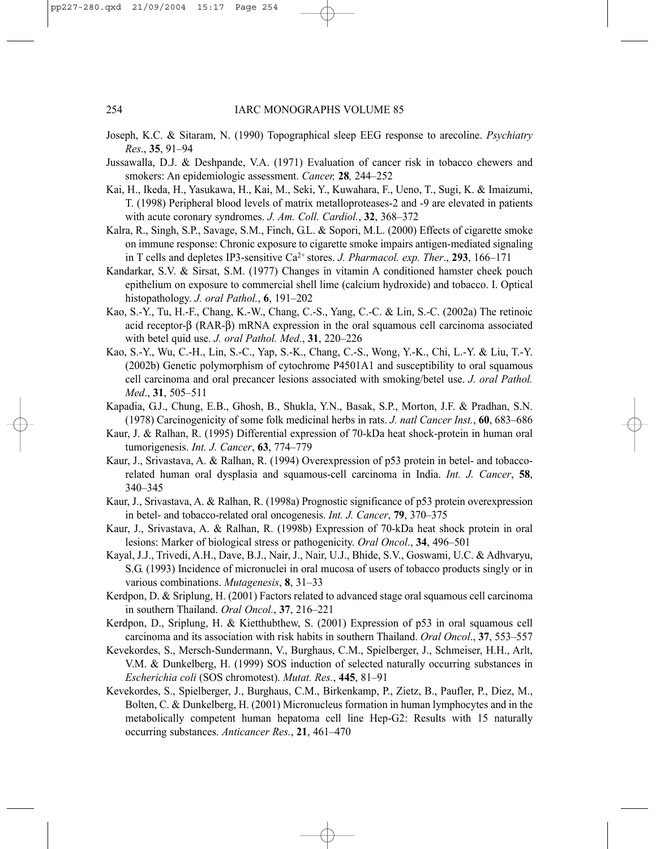- Joseph, K.C. & Sitaram, N. (1990) Topographical sleep EEG response to arecoline. *Psychiatry Res*., **35**, 91–94
- Jussawalla, D.J. & Deshpande, V.A. (1971) Evaluation of cancer risk in tobacco chewers and smokers: An epidemiologic assessment. *Cancer,* **28***,* 244–252
- Kai, H., Ikeda, H., Yasukawa, H., Kai, M., Seki, Y., Kuwahara, F., Ueno, T., Sugi, K. & Imaizumi, T. (1998) Peripheral blood levels of matrix metalloproteases-2 and -9 are elevated in patients with acute coronary syndromes. *J. Am. Coll. Cardiol.*, **32**, 368–372
- Kalra, R., Singh, S.P., Savage, S.M., Finch, G.L. & Sopori, M.L. (2000) Effects of cigarette smoke on immune response: Chronic exposure to cigarette smoke impairs antigen-mediated signaling in T cells and depletes IP3-sensitive Ca2+ stores. *J. Pharmacol. exp. Ther*., **293**, 166–171
- Kandarkar, S.V. & Sirsat, S.M. (1977) Changes in vitamin A conditioned hamster cheek pouch epithelium on exposure to commercial shell lime (calcium hydroxide) and tobacco. I. Optical histopathology. *J. oral Pathol.*, **6**, 191–202
- Kao, S.-Y., Tu, H.-F., Chang, K.-W., Chang, C.-S., Yang, C.-C. & Lin, S.-C. (2002a) The retinoic acid receptor-β (RAR-β) mRNA expression in the oral squamous cell carcinoma associated with betel quid use. *J. oral Pathol. Med.*, **31**, 220–226
- Kao, S.-Y., Wu, C.-H., Lin, S.-C., Yap, S.-K., Chang, C.-S., Wong, Y.-K., Chi, L.-Y. & Liu, T.-Y. (2002b) Genetic polymorphism of cytochrome P4501A1 and susceptibility to oral squamous cell carcinoma and oral precancer lesions associated with smoking/betel use. *J. oral Pathol. Med*., **31**, 505–511
- Kapadia, G.J., Chung, E.B., Ghosh, B., Shukla, Y.N., Basak, S.P., Morton, J.F. & Pradhan, S.N. (1978) Carcinogenicity of some folk medicinal herbs in rats. *J. natl Cancer Inst.*, **60**, 683–686
- Kaur, J. & Ralhan, R. (1995) Differential expression of 70-kDa heat shock-protein in human oral tumorigenesis. *Int. J. Cancer*, **63**, 774–779
- Kaur, J., Srivastava, A. & Ralhan, R. (1994) Overexpression of p53 protein in betel- and tobaccorelated human oral dysplasia and squamous-cell carcinoma in India. *Int. J. Cancer*, **58**, 340–345
- Kaur, J., Srivastava, A. & Ralhan, R. (1998a) Prognostic significance of p53 protein overexpression in betel- and tobacco-related oral oncogenesis. *Int. J. Cancer*, **79**, 370–375
- Kaur, J., Srivastava, A. & Ralhan, R. (1998b) Expression of 70-kDa heat shock protein in oral lesions: Marker of biological stress or pathogenicity. *Oral Oncol*., **34**, 496–501
- Kayal, J.J., Trivedi, A.H., Dave, B.J., Nair, J., Nair, U.J., Bhide, S.V., Goswami, U.C. & Adhvaryu, S.G. (1993) Incidence of micronuclei in oral mucosa of users of tobacco products singly or in various combinations. *Mutagenesis*, **8**, 31–33
- Kerdpon, D. & Sriplung, H. (2001) Factors related to advanced stage oral squamous cell carcinoma in southern Thailand. *Oral Oncol.*, **37**, 216–221
- Kerdpon, D., Sriplung, H. & Kietthubthew, S. (2001) Expression of p53 in oral squamous cell carcinoma and its association with risk habits in southern Thailand. *Oral Oncol*., **37**, 553–557
- Kevekordes, S., Mersch-Sundermann, V., Burghaus, C.M., Spielberger, J., Schmeiser, H.H., Arlt, V.M. & Dunkelberg, H. (1999) SOS induction of selected naturally occurring substances in *Escherichia coli* (SOS chromotest). *Mutat. Res.*, **445**, 81–91
- Kevekordes, S., Spielberger, J., Burghaus, C.M., Birkenkamp, P., Zietz, B., Paufler, P., Diez, M., Bolten, C. & Dunkelberg, H. (2001) Micronucleus formation in human lymphocytes and in the metabolically competent human hepatoma cell line Hep-G2: Results with 15 naturally occurring substances. *Anticancer Res.*, **21**, 461–470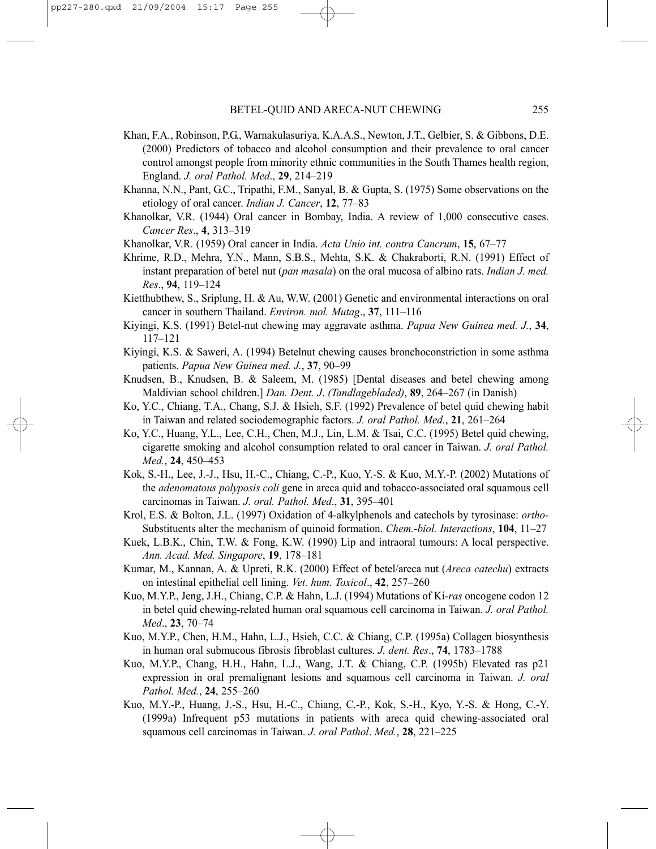- Khan, F.A., Robinson, P.G., Warnakulasuriya, K.A.A.S., Newton, J.T., Gelbier, S. & Gibbons, D.E. (2000) Predictors of tobacco and alcohol consumption and their prevalence to oral cancer control amongst people from minority ethnic communities in the South Thames health region, England. *J. oral Pathol. Med*., **29**, 214–219
- Khanna, N.N., Pant, G.C., Tripathi, F.M., Sanyal, B. & Gupta, S. (1975) Some observations on the etiology of oral cancer. *Indian J. Cancer*, **12**, 77–83
- Khanolkar, V.R. (1944) Oral cancer in Bombay, India. A review of 1,000 consecutive cases. *Cancer Res*., **4**, 313–319
- Khanolkar, V.R. (1959) Oral cancer in India. *Acta Unio int. contra Cancrum*, **15**, 67–77
- Khrime, R.D., Mehra, Y.N., Mann, S.B.S., Mehta, S.K. & Chakraborti, R.N. (1991) Effect of instant preparation of betel nut (*pan masala*) on the oral mucosa of albino rats. *Indian J. med. Res*., **94**, 119–124
- Kietthubthew, S., Sriplung, H. & Au, W.W. (2001) Genetic and environmental interactions on oral cancer in southern Thailand. *Environ. mol. Mutag*., **37**, 111–116
- Kiyingi, K.S. (1991) Betel-nut chewing may aggravate asthma. *Papua New Guinea med. J.*, **34**, 117–121
- Kiyingi, K.S. & Saweri, A. (1994) Betelnut chewing causes bronchoconstriction in some asthma patients. *Papua New Guinea med. J.*, **37**, 90–99
- Knudsen, B., Knudsen, B. & Saleem, M. (1985) [Dental diseases and betel chewing among Maldivian school children.] *Dan. Dent. J*. *(Tandlagebladed)*, **89**, 264–267 (in Danish)
- Ko, Y.C., Chiang, T.A., Chang, S.J. & Hsieh, S.F. (1992) Prevalence of betel quid chewing habit in Taiwan and related sociodemographic factors. *J. oral Pathol. Med.*, **21**, 261–264
- Ko, Y.C., Huang, Y.L., Lee, C.H., Chen, M.J., Lin, L.M. & Tsai, C.C. (1995) Betel quid chewing, cigarette smoking and alcohol consumption related to oral cancer in Taiwan. *J. oral Pathol. Med.*, **24**, 450–453
- Kok, S.-H., Lee, J.-J., Hsu, H.-C., Chiang, C.-P., Kuo, Y.-S. & Kuo, M.Y.-P. (2002) Mutations of the *adenomatous polyposis coli* gene in areca quid and tobacco-associated oral squamous cell carcinomas in Taiwan. *J. oral. Pathol. Med*., **31**, 395–401
- Krol, E.S. & Bolton, J.L. (1997) Oxidation of 4-alkylphenols and catechols by tyrosinase: *ortho*-Substituents alter the mechanism of quinoid formation. *Chem.-biol. Interactions*, **104**, 11–27
- Kuek, L.B.K., Chin, T.W. & Fong, K.W. (1990) Lip and intraoral tumours: A local perspective. *Ann. Acad. Med. Singapore*, **19**, 178–181
- Kumar, M., Kannan, A. & Upreti, R.K. (2000) Effect of betel/areca nut (*Areca catechu*) extracts on intestinal epithelial cell lining. *Vet. hum. Toxicol*., **42**, 257–260
- Kuo, M.Y.P., Jeng, J.H., Chiang, C.P. & Hahn, L.J. (1994) Mutations of Ki-*ras* oncogene codon 12 in betel quid chewing-related human oral squamous cell carcinoma in Taiwan. *J. oral Pathol. Med*., **23**, 70–74
- Kuo, M.Y.P., Chen, H.M., Hahn, L.J., Hsieh, C.C. & Chiang, C.P. (1995a) Collagen biosynthesis in human oral submucous fibrosis fibroblast cultures. *J. dent. Res*., **74**, 1783–1788
- Kuo, M.Y.P., Chang, H.H., Hahn, L.J., Wang, J.T. & Chiang, C.P. (1995b) Elevated ras p21 expression in oral premalignant lesions and squamous cell carcinoma in Taiwan. *J. oral Pathol. Med.*, **24**, 255–260
- Kuo, M.Y.-P., Huang, J.-S., Hsu, H.-C., Chiang, C.-P., Kok, S.-H., Kyo, Y.-S. & Hong, C.-Y. (1999a) Infrequent p53 mutations in patients with areca quid chewing-associated oral squamous cell carcinomas in Taiwan. *J. oral Pathol*. *Med.*, **28**, 221–225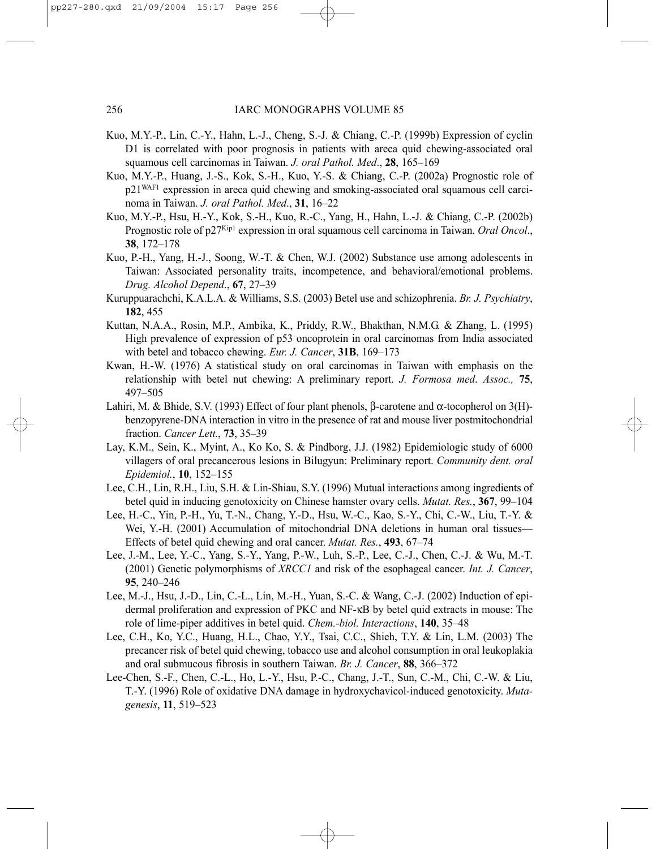- Kuo, M.Y.-P., Lin, C.-Y., Hahn, L.-J., Cheng, S.-J. & Chiang, C.-P. (1999b) Expression of cyclin D1 is correlated with poor prognosis in patients with areca quid chewing-associated oral squamous cell carcinomas in Taiwan. *J. oral Pathol. Med*., **28**, 165–169
- Kuo, M.Y.-P., Huang, J.-S., Kok, S.-H., Kuo, Y.-S. & Chiang, C.-P. (2002a) Prognostic role of p21WAF1 expression in areca quid chewing and smoking-associated oral squamous cell carcinoma in Taiwan. *J. oral Pathol. Med*., **31**, 16–22
- Kuo, M.Y.-P., Hsu, H.-Y., Kok, S.-H., Kuo, R.-C., Yang, H., Hahn, L.-J. & Chiang, C.-P. (2002b) Prognostic role of p27Kip1 expression in oral squamous cell carcinoma in Taiwan. *Oral Oncol*., **38**, 172–178
- Kuo, P.-H., Yang, H.-J., Soong, W.-T. & Chen, W.J. (2002) Substance use among adolescents in Taiwan: Associated personality traits, incompetence, and behavioral/emotional problems. *Drug. Alcohol Depend*., **67**, 27–39
- Kuruppuarachchi, K.A.L.A. & Williams, S.S. (2003) Betel use and schizophrenia. *Br. J. Psychiatry*, **182**, 455
- Kuttan, N.A.A., Rosin, M.P., Ambika, K., Priddy, R.W., Bhakthan, N.M.G. & Zhang, L. (1995) High prevalence of expression of p53 oncoprotein in oral carcinomas from India associated with betel and tobacco chewing. *Eur. J. Cancer*, **31B**, 169–173
- Kwan, H.-W. (1976) A statistical study on oral carcinomas in Taiwan with emphasis on the relationship with betel nut chewing: A preliminary report. *J. Formosa med*. *Assoc.,* **75**, 497–505
- Lahiri, M. & Bhide, S.V. (1993) Effect of four plant phenols, β-carotene and α-tocopherol on 3(H) benzopyrene-DNA interaction in vitro in the presence of rat and mouse liver postmitochondrial fraction. *Cancer Lett.*, **73**, 35–39
- Lay, K.M., Sein, K., Myint, A., Ko Ko, S. & Pindborg, J.J. (1982) Epidemiologic study of 6000 villagers of oral precancerous lesions in Bilugyun: Preliminary report. *Community dent. oral Epidemiol.*, **10**, 152–155
- Lee, C.H., Lin, R.H., Liu, S.H. & Lin-Shiau, S.Y. (1996) Mutual interactions among ingredients of betel quid in inducing genotoxicity on Chinese hamster ovary cells. *Mutat. Res.*, **367**, 99–104
- Lee, H.-C., Yin, P.-H., Yu, T.-N., Chang, Y.-D., Hsu, W.-C., Kao, S.-Y., Chi, C.-W., Liu, T.-Y. & Wei, Y.-H. (2001) Accumulation of mitochondrial DNA deletions in human oral tissues— Effects of betel quid chewing and oral cancer. *Mutat. Res.*, **493**, 67–74
- Lee, J.-M., Lee, Y.-C., Yang, S.-Y., Yang, P.-W., Luh, S.-P., Lee, C.-J., Chen, C.-J. & Wu, M.-T. (2001) Genetic polymorphisms of *XRCC1* and risk of the esophageal cancer. *Int. J. Cancer*, **95**, 240–246
- Lee, M.-J., Hsu, J.-D., Lin, C.-L., Lin, M.-H., Yuan, S.-C. & Wang, C.-J. (2002) Induction of epidermal proliferation and expression of PKC and NF-κB by betel quid extracts in mouse: The role of lime-piper additives in betel quid. *Chem.-biol. Interactions*, **140**, 35–48
- Lee, C.H., Ko, Y.C., Huang, H.L., Chao, Y.Y., Tsai, C.C., Shieh, T.Y. & Lin, L.M. (2003) The precancer risk of betel quid chewing, tobacco use and alcohol consumption in oral leukoplakia and oral submucous fibrosis in southern Taiwan. *Br. J. Cancer*, **88**, 366–372
- Lee-Chen, S.-F., Chen, C.-L., Ho, L.-Y., Hsu, P.-C., Chang, J.-T., Sun, C.-M., Chi, C.-W. & Liu, T.-Y. (1996) Role of oxidative DNA damage in hydroxychavicol-induced genotoxicity. *Mutagenesis*, **11**, 519–523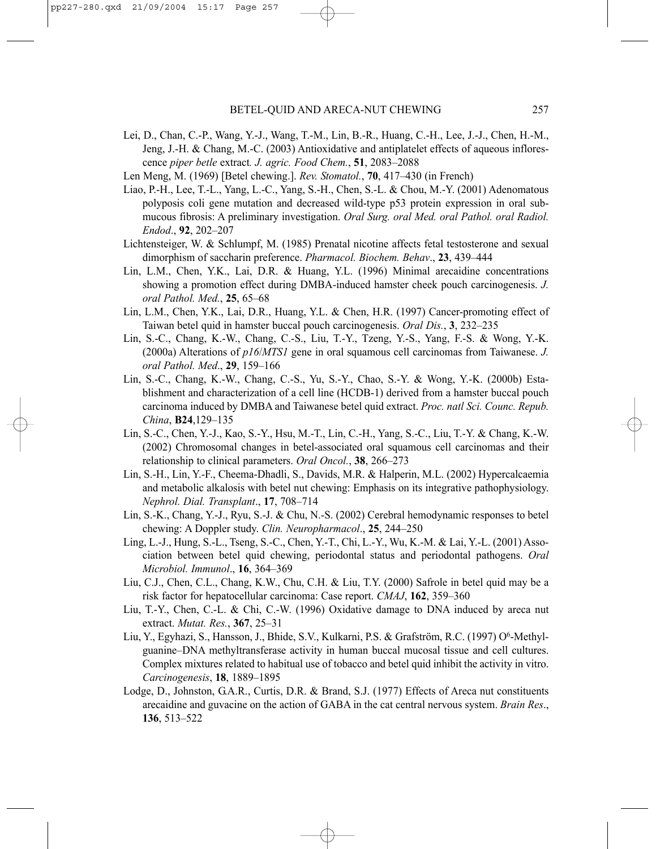- Lei, D., Chan, C.-P., Wang, Y.-J., Wang, T.-M., Lin, B.-R., Huang, C.-H., Lee, J.-J., Chen, H.-M., Jeng, J.-H. & Chang, M.-C. (2003) Antioxidative and antiplatelet effects of aqueous inflorescence *piper betle* extract*. J. agric. Food Chem.*, **51**, 2083–2088
- Len Meng, M. (1969) [Betel chewing.]. *Rev. Stomatol.*, **70**, 417–430 (in French)
- Liao, P.-H., Lee, T.-L., Yang, L.-C., Yang, S.-H., Chen, S.-L. & Chou, M.-Y. (2001) Adenomatous polyposis coli gene mutation and decreased wild-type p53 protein expression in oral submucous fibrosis: A preliminary investigation. *Oral Surg. oral Med. oral Pathol. oral Radiol. Endod*., **92**, 202–207
- Lichtensteiger, W. & Schlumpf, M. (1985) Prenatal nicotine affects fetal testosterone and sexual dimorphism of saccharin preference. *Pharmacol. Biochem. Behav*., **23**, 439–444
- Lin, L.M., Chen, Y.K., Lai, D.R. & Huang, Y.L. (1996) Minimal arecaidine concentrations showing a promotion effect during DMBA-induced hamster cheek pouch carcinogenesis. *J. oral Pathol. Med.*, **25**, 65–68
- Lin, L.M., Chen, Y.K., Lai, D.R., Huang, Y.L. & Chen, H.R. (1997) Cancer-promoting effect of Taiwan betel quid in hamster buccal pouch carcinogenesis. *Oral Dis.*, **3**, 232–235
- Lin, S.-C., Chang, K.-W., Chang, C.-S., Liu, T.-Y., Tzeng, Y.-S., Yang, F.-S. & Wong, Y.-K. (2000a) Alterations of *p16*/*MTS1* gene in oral squamous cell carcinomas from Taiwanese. *J. oral Pathol. Med*., **29**, 159–166
- Lin, S.-C., Chang, K.-W., Chang, C.-S., Yu, S.-Y., Chao, S.-Y. & Wong, Y.-K. (2000b) Establishment and characterization of a cell line (HCDB-1) derived from a hamster buccal pouch carcinoma induced by DMBA and Taiwanese betel quid extract. *Proc. natl Sci. Counc. Repub. China*, **B24**,129–135
- Lin, S.-C., Chen, Y.-J., Kao, S.-Y., Hsu, M.-T., Lin, C.-H., Yang, S.-C., Liu, T.-Y. & Chang, K.-W. (2002) Chromosomal changes in betel-associated oral squamous cell carcinomas and their relationship to clinical parameters. *Oral Oncol.*, **38**, 266–273
- Lin, S.-H., Lin, Y.-F., Cheema-Dhadli, S., Davids, M.R. & Halperin, M.L. (2002) Hypercalcaemia and metabolic alkalosis with betel nut chewing: Emphasis on its integrative pathophysiology. *Nephrol. Dial. Transplant*., **17**, 708–714
- Lin, S.-K., Chang, Y.-J., Ryu, S.-J. & Chu, N.-S. (2002) Cerebral hemodynamic responses to betel chewing: A Doppler study. *Clin. Neuropharmacol*., **25**, 244–250
- Ling, L.-J., Hung, S.-L., Tseng, S.-C., Chen, Y.-T., Chi, L.-Y., Wu, K.-M. & Lai, Y.-L. (2001) Association between betel quid chewing, periodontal status and periodontal pathogens. *Oral Microbiol. Immunol*., **16**, 364–369
- Liu, C.J., Chen, C.L., Chang, K.W., Chu, C.H. & Liu, T.Y. (2000) Safrole in betel quid may be a risk factor for hepatocellular carcinoma: Case report. *CMAJ*, **162**, 359–360
- Liu, T.-Y., Chen, C.-L. & Chi, C.-W. (1996) Oxidative damage to DNA induced by areca nut extract. *Mutat. Res.*, **367**, 25–31
- Liu, Y., Egyhazi, S., Hansson, J., Bhide, S.V., Kulkarni, P.S. & Grafström, R.C. (1997) O<sup>6</sup>-Methylguanine–DNA methyltransferase activity in human buccal mucosal tissue and cell cultures. Complex mixtures related to habitual use of tobacco and betel quid inhibit the activity in vitro. *Carcinogenesis*, **18**, 1889–1895
- Lodge, D., Johnston, G.A.R., Curtis, D.R. & Brand, S.J. (1977) Effects of Areca nut constituents arecaidine and guvacine on the action of GABA in the cat central nervous system. *Brain Res*., **136**, 513–522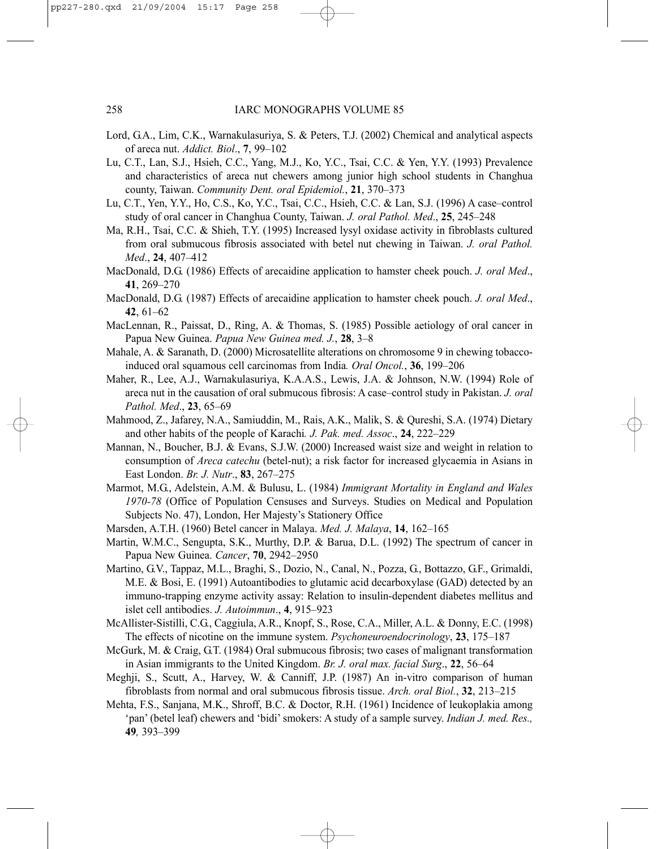- Lord, G.A., Lim, C.K., Warnakulasuriya, S. & Peters, T.J. (2002) Chemical and analytical aspects of areca nut. *Addict. Biol*., **7**, 99–102
- Lu, C.T., Lan, S.J., Hsieh, C.C., Yang, M.J., Ko, Y.C., Tsai, C.C. & Yen, Y.Y. (1993) Prevalence and characteristics of areca nut chewers among junior high school students in Changhua county, Taiwan. *Community Dent. oral Epidemiol.*, **21**, 370–373
- Lu, C.T., Yen, Y.Y., Ho, C.S., Ko, Y.C., Tsai, C.C., Hsieh, C.C. & Lan, S.J. (1996) A case–control study of oral cancer in Changhua County, Taiwan. *J. oral Pathol. Med*., **25**, 245–248
- Ma, R.H., Tsai, C.C. & Shieh, T.Y. (1995) Increased lysyl oxidase activity in fibroblasts cultured from oral submucous fibrosis associated with betel nut chewing in Taiwan. *J. oral Pathol. Med*., **24**, 407–412
- MacDonald, D.G. (1986) Effects of arecaidine application to hamster cheek pouch. *J. oral Med*., **41**, 269–270
- MacDonald, D.G. (1987) Effects of arecaidine application to hamster cheek pouch. *J. oral Med*., **42**, 61–62
- MacLennan, R., Paissat, D., Ring, A. & Thomas, S. (1985) Possible aetiology of oral cancer in Papua New Guinea. *Papua New Guinea med. J.*, **28**, 3–8
- Mahale, A. & Saranath, D. (2000) Microsatellite alterations on chromosome 9 in chewing tobaccoinduced oral squamous cell carcinomas from India*. Oral Oncol.*, **36**, 199–206
- Maher, R., Lee, A.J., Warnakulasuriya, K.A.A.S., Lewis, J.A. & Johnson, N.W. (1994) Role of areca nut in the causation of oral submucous fibrosis: A case–control study in Pakistan. *J. oral Pathol. Med*., **23**, 65–69
- Mahmood, Z., Jafarey, N.A., Samiuddin, M., Rais, A.K., Malik, S. & Qureshi, S.A. (1974) Dietary and other habits of the people of Karachi*. J. Pak. med. Assoc*., **24**, 222–229
- Mannan, N., Boucher, B.J. & Evans, S.J.W. (2000) Increased waist size and weight in relation to consumption of *Areca catechu* (betel-nut); a risk factor for increased glycaemia in Asians in East London. *Br. J. Nutr*., **83**, 267–275
- Marmot, M.G., Adelstein, A.M. & Bulusu, L. (1984) *Immigrant Mortality in England and Wales 1970-78* (Office of Population Censuses and Surveys. Studies on Medical and Population Subjects No. 47), London, Her Majesty's Stationery Office
- Marsden, A.T.H. (1960) Betel cancer in Malaya. *Med. J. Malaya*, **14**, 162–165
- Martin, W.M.C., Sengupta, S.K., Murthy, D.P. & Barua, D.L. (1992) The spectrum of cancer in Papua New Guinea. *Cancer*, **70**, 2942–2950
- Martino, G.V., Tappaz, M.L., Braghi, S., Dozio, N., Canal, N., Pozza, G., Bottazzo, G.F., Grimaldi, M.E. & Bosi, E. (1991) Autoantibodies to glutamic acid decarboxylase (GAD) detected by an immuno-trapping enzyme activity assay: Relation to insulin-dependent diabetes mellitus and islet cell antibodies. *J. Autoimmun*., **4**, 915–923
- McAllister-Sistilli, C.G., Caggiula, A.R., Knopf, S., Rose, C.A., Miller, A.L. & Donny, E.C. (1998) The effects of nicotine on the immune system. *Psychoneuroendocrinology*, **23**, 175–187
- McGurk, M. & Craig, G.T. (1984) Oral submucous fibrosis; two cases of malignant transformation in Asian immigrants to the United Kingdom. *Br. J. oral max. facial Surg*., **22**, 56–64
- Meghji, S., Scutt, A., Harvey, W. & Canniff, J.P. (1987) An in-vitro comparison of human fibroblasts from normal and oral submucous fibrosis tissue. *Arch. oral Biol.*, **32**, 213–215
- Mehta, F.S., Sanjana, M.K., Shroff, B.C. & Doctor, R.H. (1961) Incidence of leukoplakia among 'pan' (betel leaf) chewers and 'bidi' smokers: A study of a sample survey. *Indian J. med. Res.,* **49***,* 393–399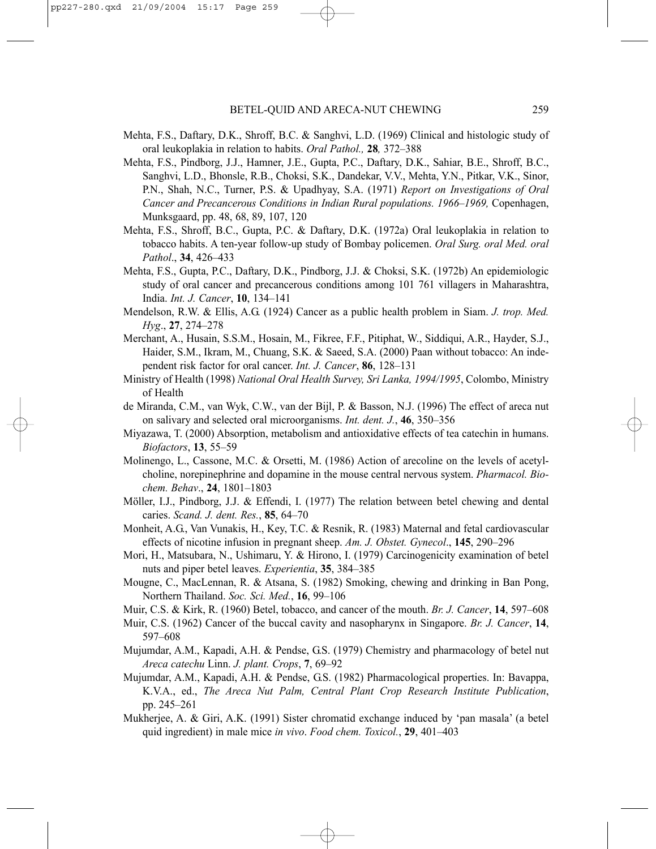- Mehta, F.S., Daftary, D.K., Shroff, B.C. & Sanghvi, L.D. (1969) Clinical and histologic study of oral leukoplakia in relation to habits. *Oral Pathol.,* **28***,* 372–388
- Mehta, F.S., Pindborg, J.J., Hamner, J.E., Gupta, P.C., Daftary, D.K., Sahiar, B.E., Shroff, B.C., Sanghvi, L.D., Bhonsle, R.B., Choksi, S.K., Dandekar, V.V., Mehta, Y.N., Pitkar, V.K., Sinor, P.N., Shah, N.C., Turner, P.S. & Upadhyay, S.A. (1971) *Report on Investigations of Oral Cancer and Precancerous Conditions in Indian Rural populations. 1966–1969,* Copenhagen, Munksgaard, pp. 48, 68, 89, 107, 120
- Mehta, F.S., Shroff, B.C., Gupta, P.C. & Daftary, D.K. (1972a) Oral leukoplakia in relation to tobacco habits. A ten-year follow-up study of Bombay policemen. *Oral Surg. oral Med. oral Pathol*., **34**, 426–433
- Mehta, F.S., Gupta, P.C., Daftary, D.K., Pindborg, J.J. & Choksi, S.K. (1972b) An epidemiologic study of oral cancer and precancerous conditions among 101 761 villagers in Maharashtra, India. *Int. J. Cancer*, **10**, 134–141
- Mendelson, R.W. & Ellis, A.G. (1924) Cancer as a public health problem in Siam. *J. trop. Med. Hyg*., **27**, 274–278
- Merchant, A., Husain, S.S.M., Hosain, M., Fikree, F.F., Pitiphat, W., Siddiqui, A.R., Hayder, S.J., Haider, S.M., Ikram, M., Chuang, S.K. & Saeed, S.A. (2000) Paan without tobacco: An independent risk factor for oral cancer. *Int. J. Cancer*, **86**, 128–131
- Ministry of Health (1998) *National Oral Health Survey, Sri Lanka, 1994/1995*, Colombo, Ministry of Health
- de Miranda, C.M., van Wyk, C.W., van der Bijl, P. & Basson, N.J. (1996) The effect of areca nut on salivary and selected oral microorganisms. *Int. dent. J.*, **46**, 350–356
- Miyazawa, T. (2000) Absorption, metabolism and antioxidative effects of tea catechin in humans. *Biofactors*, **13**, 55–59
- Molinengo, L., Cassone, M.C. & Orsetti, M. (1986) Action of arecoline on the levels of acetylcholine, norepinephrine and dopamine in the mouse central nervous system. *Pharmacol. Biochem. Behav*., **24**, 1801–1803
- Möller, I.J., Pindborg, J.J. & Effendi, I. (1977) The relation between betel chewing and dental caries. *Scand. J. dent. Res.*, **85**, 64–70
- Monheit, A.G., Van Vunakis, H., Key, T.C. & Resnik, R. (1983) Maternal and fetal cardiovascular effects of nicotine infusion in pregnant sheep. *Am. J. Obstet. Gynecol*., **145**, 290–296
- Mori, H., Matsubara, N., Ushimaru, Y. & Hirono, I. (1979) Carcinogenicity examination of betel nuts and piper betel leaves. *Experientia*, **35**, 384–385
- Mougne, C., MacLennan, R. & Atsana, S. (1982) Smoking, chewing and drinking in Ban Pong, Northern Thailand. *Soc. Sci. Med.*, **16**, 99–106
- Muir, C.S. & Kirk, R. (1960) Betel, tobacco, and cancer of the mouth. *Br. J. Cancer*, **14**, 597–608
- Muir, C.S. (1962) Cancer of the buccal cavity and nasopharynx in Singapore. *Br. J. Cancer*, **14**, 597–608
- Mujumdar, A.M., Kapadi, A.H. & Pendse, G.S. (1979) Chemistry and pharmacology of betel nut *Areca catechu* Linn. *J. plant. Crops*, **7**, 69–92
- Mujumdar, A.M., Kapadi, A.H. & Pendse, G.S. (1982) Pharmacological properties. In: Bavappa, K.V.A., ed., *The Areca Nut Palm, Central Plant Crop Research Institute Publication*, pp. 245–261
- Mukherjee, A. & Giri, A.K. (1991) Sister chromatid exchange induced by 'pan masala' (a betel quid ingredient) in male mice *in vivo*. *Food chem. Toxicol.*, **29**, 401–403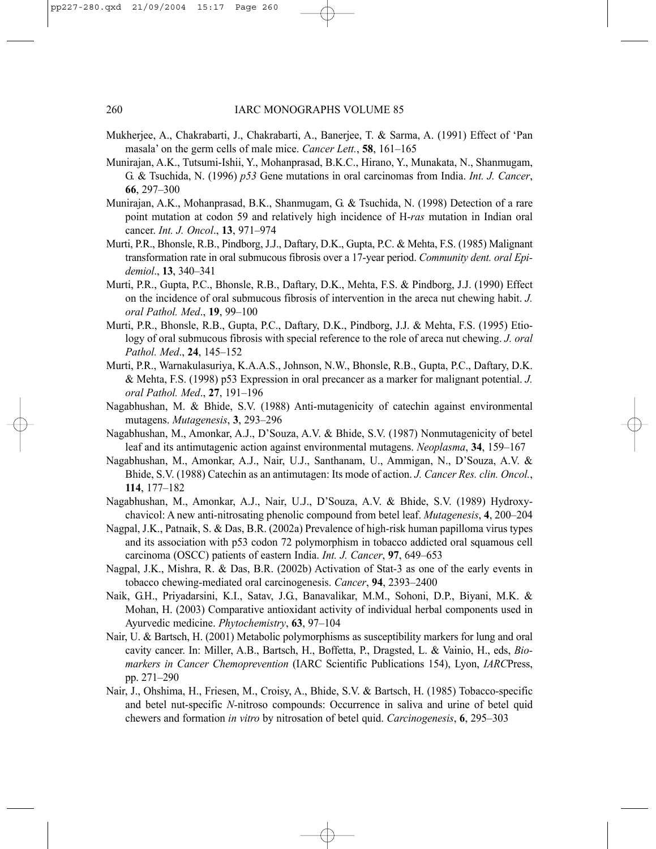- Mukherjee, A., Chakrabarti, J., Chakrabarti, A., Banerjee, T. & Sarma, A. (1991) Effect of 'Pan masala' on the germ cells of male mice. *Cancer Lett.*, **58**, 161–165
- Munirajan, A.K., Tutsumi-Ishii, Y., Mohanprasad, B.K.C., Hirano, Y., Munakata, N., Shanmugam, G. & Tsuchida, N. (1996) *p53* Gene mutations in oral carcinomas from India. *Int. J. Cancer*, **66**, 297–300
- Munirajan, A.K., Mohanprasad, B.K., Shanmugam, G. & Tsuchida, N. (1998) Detection of a rare point mutation at codon 59 and relatively high incidence of H-*ras* mutation in Indian oral cancer. *Int. J. Oncol*., **13**, 971–974
- Murti, P.R., Bhonsle, R.B., Pindborg, J.J., Daftary, D.K., Gupta, P.C. & Mehta, F.S. (1985) Malignant transformation rate in oral submucous fibrosis over a 17-year period. *Community dent. oral Epidemiol*., **13**, 340–341
- Murti, P.R., Gupta, P.C., Bhonsle, R.B., Daftary, D.K., Mehta, F.S. & Pindborg, J.J. (1990) Effect on the incidence of oral submucous fibrosis of intervention in the areca nut chewing habit. *J. oral Pathol. Med*., **19**, 99–100
- Murti, P.R., Bhonsle, R.B., Gupta, P.C., Daftary, D.K., Pindborg, J.J. & Mehta, F.S. (1995) Etiology of oral submucous fibrosis with special reference to the role of areca nut chewing. *J. oral Pathol. Med*., **24**, 145–152
- Murti, P.R., Warnakulasuriya, K.A.A.S., Johnson, N.W., Bhonsle, R.B., Gupta, P.C., Daftary, D.K. & Mehta, F.S. (1998) p53 Expression in oral precancer as a marker for malignant potential. *J. oral Pathol. Med*., **27**, 191–196
- Nagabhushan, M. & Bhide, S.V. (1988) Anti-mutagenicity of catechin against environmental mutagens. *Mutagenesis*, **3**, 293–296
- Nagabhushan, M., Amonkar, A.J., D'Souza, A.V. & Bhide, S.V. (1987) Nonmutagenicity of betel leaf and its antimutagenic action against environmental mutagens. *Neoplasma*, **34**, 159–167
- Nagabhushan, M., Amonkar, A.J., Nair, U.J., Santhanam, U., Ammigan, N., D'Souza, A.V. & Bhide, S.V. (1988) Catechin as an antimutagen: Its mode of action. *J. Cancer Res. clin. Oncol.*, **114**, 177–182
- Nagabhushan, M., Amonkar, A.J., Nair, U.J., D'Souza, A.V. & Bhide, S.V. (1989) Hydroxychavicol: A new anti-nitrosating phenolic compound from betel leaf. *Mutagenesis*, **4**, 200–204
- Nagpal, J.K., Patnaik, S. & Das, B.R. (2002a) Prevalence of high-risk human papilloma virus types and its association with p53 codon 72 polymorphism in tobacco addicted oral squamous cell carcinoma (OSCC) patients of eastern India. *Int. J. Cancer*, **97**, 649–653
- Nagpal, J.K., Mishra, R. & Das, B.R. (2002b) Activation of Stat-3 as one of the early events in tobacco chewing-mediated oral carcinogenesis. *Cancer*, **94**, 2393–2400
- Naik, G.H., Priyadarsini, K.I., Satav, J.G., Banavalikar, M.M., Sohoni, D.P., Biyani, M.K. & Mohan, H. (2003) Comparative antioxidant activity of individual herbal components used in Ayurvedic medicine. *Phytochemistry*, **63**, 97–104
- Nair, U. & Bartsch, H. (2001) Metabolic polymorphisms as susceptibility markers for lung and oral cavity cancer. In: Miller, A.B., Bartsch, H., Boffetta, P., Dragsted, L. & Vainio, H., eds, *Biomarkers in Cancer Chemoprevention* (IARC Scientific Publications 154), Lyon, *IARC*Press, pp. 271–290
- Nair, J., Ohshima, H., Friesen, M., Croisy, A., Bhide, S.V. & Bartsch, H. (1985) Tobacco-specific and betel nut-specific *N-*nitroso compounds: Occurrence in saliva and urine of betel quid chewers and formation *in vitro* by nitrosation of betel quid. *Carcinogenesis*, **6**, 295–303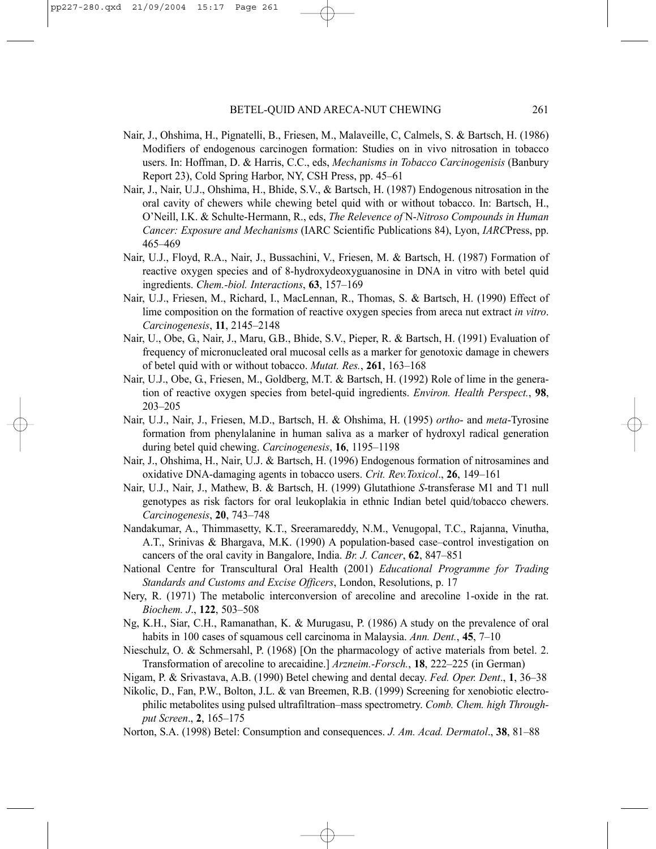- Nair, J., Ohshima, H., Pignatelli, B., Friesen, M., Malaveille, C, Calmels, S. & Bartsch, H. (1986) Modifiers of endogenous carcinogen formation: Studies on in vivo nitrosation in tobacco users. In: Hoffman, D. & Harris, C.C., eds, *Mechanisms in Tobacco Carcinogenisis* (Banbury Report 23), Cold Spring Harbor, NY, CSH Press, pp. 45–61
- Nair, J., Nair, U.J., Ohshima, H., Bhide, S.V., & Bartsch, H. (1987) Endogenous nitrosation in the oral cavity of chewers while chewing betel quid with or without tobacco. In: Bartsch, H., O'Neill, I.K. & Schulte-Hermann, R., eds, *The Relevence of* N-*Nitroso Compounds in Human Cancer: Exposure and Mechanisms* (IARC Scientific Publications 84), Lyon, *IARC*Press, pp. 465–469
- Nair, U.J., Floyd, R.A., Nair, J., Bussachini, V., Friesen, M. & Bartsch, H. (1987) Formation of reactive oxygen species and of 8-hydroxydeoxyguanosine in DNA in vitro with betel quid ingredients. *Chem.-biol. Interactions*, **63**, 157–169
- Nair, U.J., Friesen, M., Richard, I., MacLennan, R., Thomas, S. & Bartsch, H. (1990) Effect of lime composition on the formation of reactive oxygen species from areca nut extract *in vitro*. *Carcinogenesis*, **11**, 2145–2148
- Nair, U., Obe, G., Nair, J., Maru, G.B., Bhide, S.V., Pieper, R. & Bartsch, H. (1991) Evaluation of frequency of micronucleated oral mucosal cells as a marker for genotoxic damage in chewers of betel quid with or without tobacco. *Mutat. Res.*, **261**, 163–168
- Nair, U.J., Obe, G., Friesen, M., Goldberg, M.T. & Bartsch, H. (1992) Role of lime in the generation of reactive oxygen species from betel-quid ingredients. *Environ. Health Perspect.*, **98**, 203–205
- Nair, U.J., Nair, J., Friesen, M.D., Bartsch, H. & Ohshima, H. (1995) *ortho* and *meta*-Tyrosine formation from phenylalanine in human saliva as a marker of hydroxyl radical generation during betel quid chewing. *Carcinogenesis*, **16**, 1195–1198
- Nair, J., Ohshima, H., Nair, U.J. & Bartsch, H. (1996) Endogenous formation of nitrosamines and oxidative DNA-damaging agents in tobacco users. *Crit. Rev.Toxicol*., **26**, 149–161
- Nair, U.J., Nair, J., Mathew, B. & Bartsch, H. (1999) Glutathione *S*-transferase M1 and T1 null genotypes as risk factors for oral leukoplakia in ethnic Indian betel quid/tobacco chewers. *Carcinogenesis*, **20**, 743–748
- Nandakumar, A., Thimmasetty, K.T., Sreeramareddy, N.M., Venugopal, T.C., Rajanna, Vinutha, A.T., Srinivas & Bhargava, M.K. (1990) A population-based case–control investigation on cancers of the oral cavity in Bangalore, India. *Br. J. Cancer*, **62**, 847–851
- National Centre for Transcultural Oral Health (2001) *Educational Programme for Trading Standards and Customs and Excise Officers*, London, Resolutions, p. 17
- Nery, R. (1971) The metabolic interconversion of arecoline and arecoline 1-oxide in the rat. *Biochem. J*., **122**, 503–508
- Ng, K.H., Siar, C.H., Ramanathan, K. & Murugasu, P. (1986) A study on the prevalence of oral habits in 100 cases of squamous cell carcinoma in Malaysia. *Ann. Dent.*, **45**, 7–10
- Nieschulz, O. & Schmersahl, P. (1968) [On the pharmacology of active materials from betel. 2. Transformation of arecoline to arecaidine.] *Arzneim.-Forsch.*, **18**, 222–225 (in German)
- Nigam, P. & Srivastava, A.B. (1990) Betel chewing and dental decay. *Fed. Oper. Dent*., **1**, 36–38
- Nikolic, D., Fan, P.W., Bolton, J.L. & van Breemen, R.B. (1999) Screening for xenobiotic electrophilic metabolites using pulsed ultrafiltration–mass spectrometry. *Comb. Chem. high Throughput Screen*., **2**, 165–175
- Norton, S.A. (1998) Betel: Consumption and consequences. *J. Am. Acad. Dermatol*., **38**, 81–88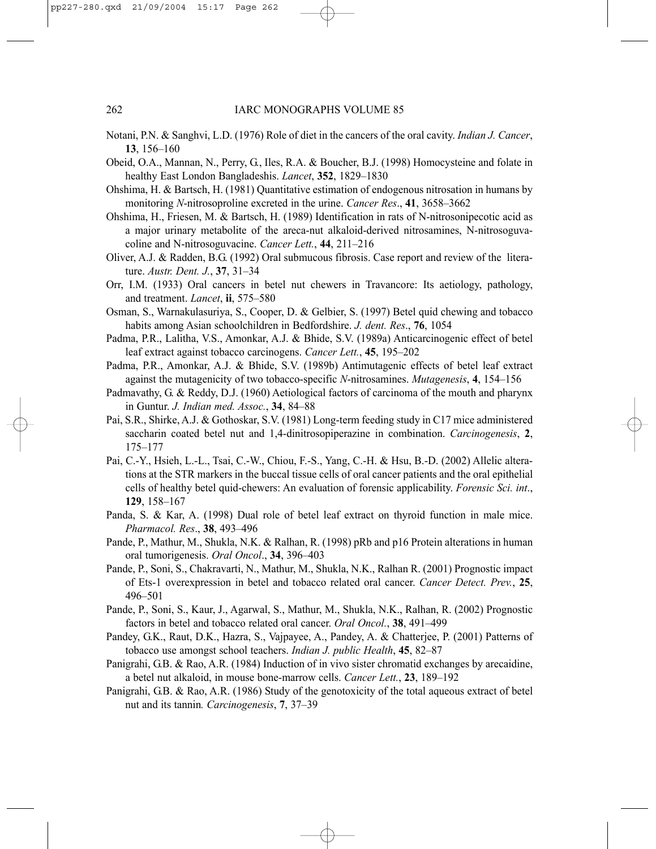- Notani, P.N. & Sanghvi, L.D. (1976) Role of diet in the cancers of the oral cavity. *Indian J. Cancer*, **13**, 156–160
- Obeid, O.A., Mannan, N., Perry, G., Iles, R.A. & Boucher, B.J. (1998) Homocysteine and folate in healthy East London Bangladeshis. *Lancet*, **352**, 1829–1830
- Ohshima, H. & Bartsch, H. (1981) Quantitative estimation of endogenous nitrosation in humans by monitoring *N*-nitrosoproline excreted in the urine. *Cancer Res*., **41**, 3658–3662
- Ohshima, H., Friesen, M. & Bartsch, H. (1989) Identification in rats of N-nitrosonipecotic acid as a major urinary metabolite of the areca-nut alkaloid-derived nitrosamines, N-nitrosoguvacoline and N-nitrosoguvacine. *Cancer Lett.*, **44**, 211–216
- Oliver, A.J. & Radden, B.G. (1992) Oral submucous fibrosis. Case report and review of the literature. *Austr. Dent. J.*, **37**, 31–34
- Orr, I.M. (1933) Oral cancers in betel nut chewers in Travancore: Its aetiology, pathology, and treatment. *Lancet*, **ii**, 575–580
- Osman, S., Warnakulasuriya, S., Cooper, D. & Gelbier, S. (1997) Betel quid chewing and tobacco habits among Asian schoolchildren in Bedfordshire. *J. dent. Res*., **76**, 1054
- Padma, P.R., Lalitha, V.S., Amonkar, A.J. & Bhide, S.V. (1989a) Anticarcinogenic effect of betel leaf extract against tobacco carcinogens. *Cancer Lett.*, **45**, 195–202
- Padma, P.R., Amonkar, A.J. & Bhide, S.V. (1989b) Antimutagenic effects of betel leaf extract against the mutagenicity of two tobacco-specific *N*-nitrosamines. *Mutagenesis*, **4**, 154–156
- Padmavathy, G. & Reddy, D.J. (1960) Aetiological factors of carcinoma of the mouth and pharynx in Guntur. *J. Indian med. Assoc.*, **34**, 84–88
- Pai, S.R., Shirke, A.J. & Gothoskar, S.V. (1981) Long-term feeding study in C17 mice administered saccharin coated betel nut and 1,4-dinitrosopiperazine in combination. *Carcinogenesis*, **2**, 175–177
- Pai, C.-Y., Hsieh, L.-L., Tsai, C.-W., Chiou, F.-S., Yang, C.-H. & Hsu, B.-D. (2002) Allelic alterations at the STR markers in the buccal tissue cells of oral cancer patients and the oral epithelial cells of healthy betel quid-chewers: An evaluation of forensic applicability. *Forensic Sci. int*., **129**, 158–167
- Panda, S. & Kar, A. (1998) Dual role of betel leaf extract on thyroid function in male mice. *Pharmacol. Res*., **38**, 493–496
- Pande, P., Mathur, M., Shukla, N.K. & Ralhan, R. (1998) pRb and p16 Protein alterations in human oral tumorigenesis. *Oral Oncol*., **34**, 396–403
- Pande, P., Soni, S., Chakravarti, N., Mathur, M., Shukla, N.K., Ralhan R. (2001) Prognostic impact of Ets-1 overexpression in betel and tobacco related oral cancer. *Cancer Detect. Prev.*, **25**, 496–501
- Pande, P., Soni, S., Kaur, J., Agarwal, S., Mathur, M., Shukla, N.K., Ralhan, R. (2002) Prognostic factors in betel and tobacco related oral cancer. *Oral Oncol.*, **38**, 491–499
- Pandey, G.K., Raut, D.K., Hazra, S., Vajpayee, A., Pandey, A. & Chatterjee, P. (2001) Patterns of tobacco use amongst school teachers. *Indian J. public Health*, **45**, 82–87
- Panigrahi, G.B. & Rao, A.R. (1984) Induction of in vivo sister chromatid exchanges by arecaidine, a betel nut alkaloid, in mouse bone-marrow cells. *Cancer Lett.*, **23**, 189–192
- Panigrahi, G.B. & Rao, A.R. (1986) Study of the genotoxicity of the total aqueous extract of betel nut and its tannin*. Carcinogenesis*, **7**, 37–39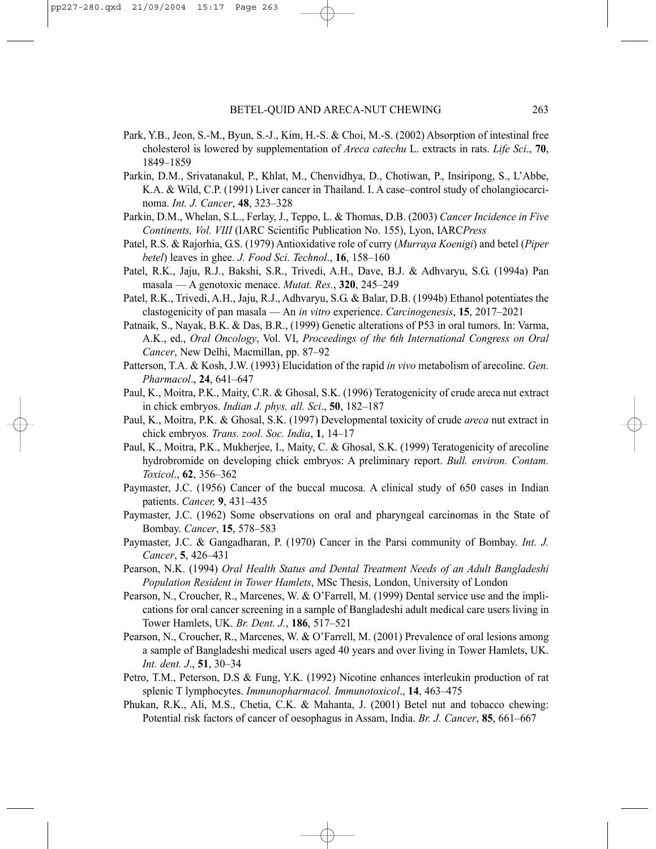- Park, Y.B., Jeon, S.-M., Byun, S.-J., Kim, H.-S. & Choi, M.-S. (2002) Absorption of intestinal free cholesterol is lowered by supplementation of *Areca catechu* L. extracts in rats. *Life Sci*., **70**, 1849–1859
- Parkin, D.M., Srivatanakul, P., Khlat, M., Chenvidhya, D., Chotiwan, P., Insiripong, S., L'Abbe, K.A. & Wild, C.P. (1991) Liver cancer in Thailand. I. A case–control study of cholangiocarcinoma. *Int. J. Cancer*, **48**, 323–328
- Parkin, D.M., Whelan, S.L., Ferlay, J., Teppo, L. & Thomas, D.B. (2003) *Cancer Incidence in Five Continents, Vol. VIII* (IARC Scientific Publication No. 155), Lyon, IARC*Press*
- Patel, R.S. & Rajorhia, G.S. (1979) Antioxidative role of curry (*Murraya Koenigi*) and betel (*Piper betel*) leaves in ghee. *J. Food Sci. Technol*., **16**, 158–160
- Patel, R.K., Jaju, R.J., Bakshi, S.R., Trivedi, A.H., Dave, B.J. & Adhvaryu, S.G. (1994a) Pan masala — A genotoxic menace. *Mutat. Res.*, **320**, 245–249
- Patel, R.K., Trivedi, A.H., Jaju, R.J., Adhvaryu, S.G. & Balar, D.B. (1994b) Ethanol potentiates the clastogenicity of pan masala — An *in vitro* experience. *Carcinogenesis*, **15**, 2017–2021
- Patnaik, S., Nayak, B.K. & Das, B.R., (1999) Genetic alterations of P53 in oral tumors. In: Varma, A.K., ed., *Oral Oncology*, Vol. VI, *Proceedings of the 6th International Congress on Oral Cancer*, New Delhi, Macmillan, pp. 87–92
- Patterson, T.A. & Kosh, J.W. (1993) Elucidation of the rapid *in vivo* metabolism of arecoline. *Gen. Pharmacol*., **24**, 641–647
- Paul, K., Moitra, P.K., Maity, C.R. & Ghosal, S.K. (1996) Teratogenicity of crude areca nut extract in chick embryos. *Indian J. phys. all. Sci*., **50**, 182–187
- Paul, K., Moitra, P.K. & Ghosal, S.K. (1997) Developmental toxicity of crude *areca* nut extract in chick embryos. *Trans. zool. Soc. India*, **1**, 14–17
- Paul, K., Moitra, P.K., Mukherjee, I., Maity, C. & Ghosal, S.K. (1999) Teratogenicity of arecoline hydrobromide on developing chick embryos: A preliminary report. *Bull. environ. Contam. Toxicol*., **62**, 356–362
- Paymaster, J.C. (1956) Cancer of the buccal mucosa. A clinical study of 650 cases in Indian patients. *Cancer,* **9**, 431–435
- Paymaster, J.C. (1962) Some observations on oral and pharyngeal carcinomas in the State of Bombay. *Cancer*, **15**, 578–583
- Paymaster, J.C. & Gangadharan, P. (1970) Cancer in the Parsi community of Bombay. *Int. J. Cancer*, **5**, 426–431
- Pearson, N.K. (1994) *Oral Health Status and Dental Treatment Needs of an Adult Bangladeshi Population Resident in Tower Hamlets*, MSc Thesis, London, University of London
- Pearson, N., Croucher, R., Marcenes, W. & O'Farrell, M. (1999) Dental service use and the implications for oral cancer screening in a sample of Bangladeshi adult medical care users living in Tower Hamlets, UK. *Br. Dent. J.*, **186**, 517–521
- Pearson, N., Croucher, R., Marcenes, W. & O'Farrell, M. (2001) Prevalence of oral lesions among a sample of Bangladeshi medical users aged 40 years and over living in Tower Hamlets, UK. *Int. dent. J*., **51**, 30–34
- Petro, T.M., Peterson, D.S & Fung, Y.K. (1992) Nicotine enhances interleukin production of rat splenic T lymphocytes. *Immunopharmacol. Immunotoxicol*., **14**, 463–475
- Phukan, R.K., Ali, M.S., Chetia, C.K. & Mahanta, J. (2001) Betel nut and tobacco chewing: Potential risk factors of cancer of oesophagus in Assam, India. *Br. J. Cancer*, **85**, 661–667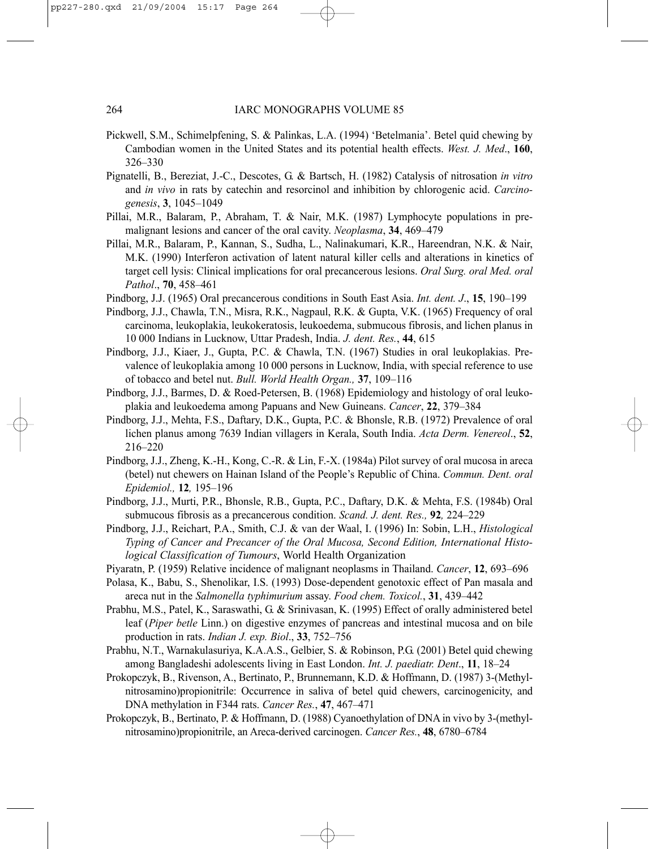- Pickwell, S.M., Schimelpfening, S. & Palinkas, L.A. (1994) 'Betelmania'. Betel quid chewing by Cambodian women in the United States and its potential health effects. *West. J. Med*., **160**, 326–330
- Pignatelli, B., Bereziat, J.-C., Descotes, G. & Bartsch, H. (1982) Catalysis of nitrosation *in vitro* and *in vivo* in rats by catechin and resorcinol and inhibition by chlorogenic acid. *Carcinogenesis*, **3**, 1045–1049
- Pillai, M.R., Balaram, P., Abraham, T. & Nair, M.K. (1987) Lymphocyte populations in premalignant lesions and cancer of the oral cavity. *Neoplasma*, **34**, 469–479
- Pillai, M.R., Balaram, P., Kannan, S., Sudha, L., Nalinakumari, K.R., Hareendran, N.K. & Nair, M.K. (1990) Interferon activation of latent natural killer cells and alterations in kinetics of target cell lysis: Clinical implications for oral precancerous lesions. *Oral Surg. oral Med. oral Pathol*., **70**, 458–461
- Pindborg, J.J. (1965) Oral precancerous conditions in South East Asia. *Int. dent. J*., **15**, 190–199
- Pindborg, J.J., Chawla, T.N., Misra, R.K., Nagpaul, R.K. & Gupta, V.K. (1965) Frequency of oral carcinoma, leukoplakia, leukokeratosis, leukoedema, submucous fibrosis, and lichen planus in 10 000 Indians in Lucknow, Uttar Pradesh, India. *J. dent. Res.*, **44**, 615
- Pindborg, J.J., Kiaer, J., Gupta, P.C. & Chawla, T.N. (1967) Studies in oral leukoplakias. Prevalence of leukoplakia among 10 000 persons in Lucknow, India, with special reference to use of tobacco and betel nut. *Bull. World Health Organ.,* **37**, 109–116
- Pindborg, J.J., Barmes, D. & Roed-Petersen, B. (1968) Epidemiology and histology of oral leukoplakia and leukoedema among Papuans and New Guineans. *Cancer*, **22**, 379–384
- Pindborg, J.J., Mehta, F.S., Daftary, D.K., Gupta, P.C. & Bhonsle, R.B. (1972) Prevalence of oral lichen planus among 7639 Indian villagers in Kerala, South India. *Acta Derm. Venereol*., **52**, 216–220
- Pindborg, J.J., Zheng, K.-H., Kong, C.-R. & Lin, F.-X. (1984a) Pilot survey of oral mucosa in areca (betel) nut chewers on Hainan Island of the People's Republic of China. *Commun. Dent. oral Epidemiol.,* **12***,* 195–196
- Pindborg, J.J., Murti, P.R., Bhonsle, R.B., Gupta, P.C., Daftary, D.K. & Mehta, F.S. (1984b) Oral submucous fibrosis as a precancerous condition. *Scand. J. dent. Res.,* **92***,* 224–229
- Pindborg, J.J., Reichart, P.A., Smith, C.J. & van der Waal, I. (1996) In: Sobin, L.H., *Histological Typing of Cancer and Precancer of the Oral Mucosa, Second Edition, International Histological Classification of Tumours*, World Health Organization
- Piyaratn, P. (1959) Relative incidence of malignant neoplasms in Thailand. *Cancer*, **12**, 693–696
- Polasa, K., Babu, S., Shenolikar, I.S. (1993) Dose-dependent genotoxic effect of Pan masala and areca nut in the *Salmonella typhimurium* assay. *Food chem. Toxicol.*, **31**, 439–442
- Prabhu, M.S., Patel, K., Saraswathi, G. & Srinivasan, K. (1995) Effect of orally administered betel leaf (*Piper betle* Linn.) on digestive enzymes of pancreas and intestinal mucosa and on bile production in rats. *Indian J. exp. Biol*., **33**, 752–756
- Prabhu, N.T., Warnakulasuriya, K.A.A.S., Gelbier, S. & Robinson, P.G. (2001) Betel quid chewing among Bangladeshi adolescents living in East London. *Int. J. paediatr. Dent*., **11**, 18–24
- Prokopczyk, B., Rivenson, A., Bertinato, P., Brunnemann, K.D. & Hoffmann, D. (1987) 3-(Methylnitrosamino)propionitrile: Occurrence in saliva of betel quid chewers, carcinogenicity, and DNA methylation in F344 rats. *Cancer Res.*, **47**, 467–471
- Prokopczyk, B., Bertinato, P. & Hoffmann, D. (1988) Cyanoethylation of DNA in vivo by 3-(methylnitrosamino)propionitrile, an Areca-derived carcinogen. *Cancer Res.*, **48**, 6780–6784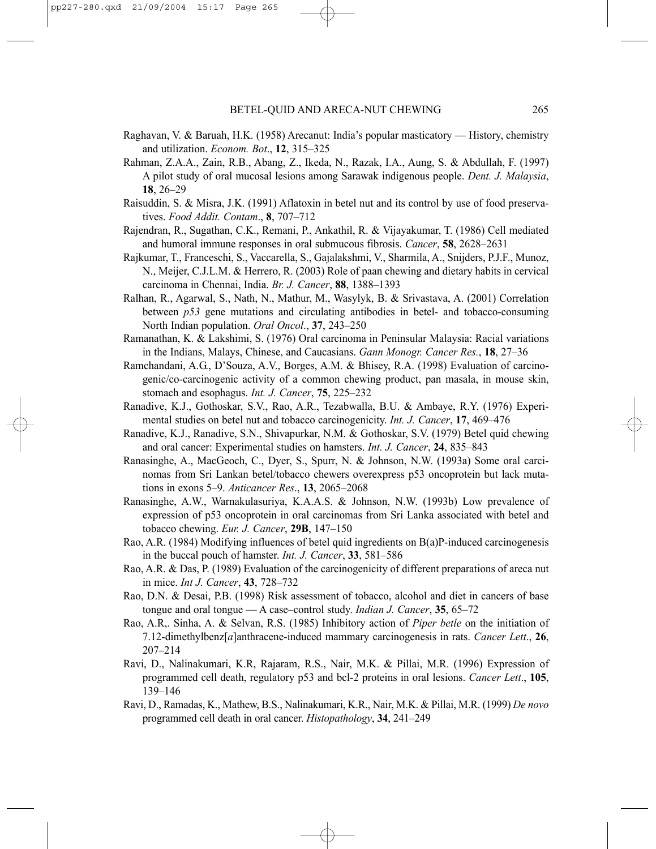- Raghavan, V. & Baruah, H.K. (1958) Arecanut: India's popular masticatory History, chemistry and utilization. *Econom. Bot*., **12**, 315–325
- Rahman, Z.A.A., Zain, R.B., Abang, Z., Ikeda, N., Razak, I.A., Aung, S. & Abdullah, F. (1997) A pilot study of oral mucosal lesions among Sarawak indigenous people. *Dent. J. Malaysia*, **18**, 26–29
- Raisuddin, S. & Misra, J.K. (1991) Aflatoxin in betel nut and its control by use of food preservatives. *Food Addit. Contam*., **8**, 707–712
- Rajendran, R., Sugathan, C.K., Remani, P., Ankathil, R. & Vijayakumar, T. (1986) Cell mediated and humoral immune responses in oral submucous fibrosis. *Cancer*, **58**, 2628–2631
- Rajkumar, T., Franceschi, S., Vaccarella, S., Gajalakshmi, V., Sharmila, A., Snijders, P.J.F., Munoz, N., Meijer, C.J.L.M. & Herrero, R. (2003) Role of paan chewing and dietary habits in cervical carcinoma in Chennai, India. *Br. J. Cancer*, **88**, 1388–1393
- Ralhan, R., Agarwal, S., Nath, N., Mathur, M., Wasylyk, B. & Srivastava, A. (2001) Correlation between *p53* gene mutations and circulating antibodies in betel- and tobacco-consuming North Indian population. *Oral Oncol*., **37**, 243–250
- Ramanathan, K. & Lakshimi, S. (1976) Oral carcinoma in Peninsular Malaysia: Racial variations in the Indians, Malays, Chinese, and Caucasians. *Gann Monogr. Cancer Res.*, **18**, 27–36
- Ramchandani, A.G., D'Souza, A.V., Borges, A.M. & Bhisey, R.A. (1998) Evaluation of carcinogenic/co-carcinogenic activity of a common chewing product, pan masala, in mouse skin, stomach and esophagus. *Int. J. Cancer*, **75**, 225–232
- Ranadive, K.J., Gothoskar, S.V., Rao, A.R., Tezabwalla, B.U. & Ambaye, R.Y. (1976) Experimental studies on betel nut and tobacco carcinogenicity. *Int. J. Cancer*, **17**, 469–476
- Ranadive, K.J., Ranadive, S.N., Shivapurkar, N.M. & Gothoskar, S.V. (1979) Betel quid chewing and oral cancer: Experimental studies on hamsters. *Int. J. Cancer*, **24**, 835–843
- Ranasinghe, A., MacGeoch, C., Dyer, S., Spurr, N. & Johnson, N.W. (1993a) Some oral carcinomas from Sri Lankan betel/tobacco chewers overexpress p53 oncoprotein but lack mutations in exons 5–9. *Anticancer Res*., **13**, 2065–2068
- Ranasinghe, A.W., Warnakulasuriya, K.A.A.S. & Johnson, N.W. (1993b) Low prevalence of expression of p53 oncoprotein in oral carcinomas from Sri Lanka associated with betel and tobacco chewing. *Eur. J. Cancer*, **29B**, 147–150
- Rao, A.R. (1984) Modifying influences of betel quid ingredients on B(a)P-induced carcinogenesis in the buccal pouch of hamster. *Int. J. Cancer*, **33**, 581–586
- Rao, A.R. & Das, P. (1989) Evaluation of the carcinogenicity of different preparations of areca nut in mice. *Int J. Cancer*, **43**, 728–732
- Rao, D.N. & Desai, P.B. (1998) Risk assessment of tobacco, alcohol and diet in cancers of base tongue and oral tongue — A case–control study. *Indian J. Cancer*, **35**, 65–72
- Rao, A.R,. Sinha, A. & Selvan, R.S. (1985) Inhibitory action of *Piper betle* on the initiation of 7.12-dimethylbenz[*a*]anthracene-induced mammary carcinogenesis in rats. *Cancer Lett*., **26**, 207–214
- Ravi, D., Nalinakumari, K.R, Rajaram, R.S., Nair, M.K. & Pillai, M.R. (1996) Expression of programmed cell death, regulatory p53 and bcl-2 proteins in oral lesions. *Cancer Lett*., **105**, 139–146
- Ravi, D., Ramadas, K., Mathew, B.S., Nalinakumari, K.R., Nair, M.K. & Pillai, M.R. (1999) *De novo* programmed cell death in oral cancer. *Histopathology*, **34**, 241–249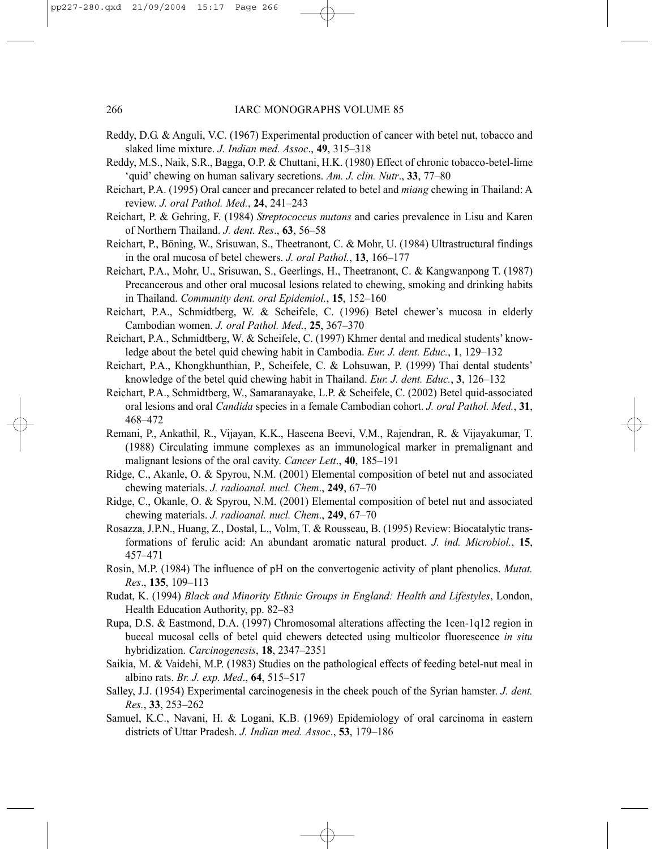- Reddy, D.G. & Anguli, V.C. (1967) Experimental production of cancer with betel nut, tobacco and slaked lime mixture. *J. Indian med. Assoc*., **49**, 315–318
- Reddy, M.S., Naik, S.R., Bagga, O.P. & Chuttani, H.K. (1980) Effect of chronic tobacco-betel-lime 'quid' chewing on human salivary secretions. *Am. J. clin. Nutr*., **33**, 77–80
- Reichart, P.A. (1995) Oral cancer and precancer related to betel and *miang* chewing in Thailand: A review. *J. oral Pathol. Med.*, **24**, 241–243
- Reichart, P. & Gehring, F. (1984) *Streptococcus mutans* and caries prevalence in Lisu and Karen of Northern Thailand. *J. dent. Res*., **63**, 56–58
- Reichart, P., Böning, W., Srisuwan, S., Theetranont, C. & Mohr, U. (1984) Ultrastructural findings in the oral mucosa of betel chewers. *J. oral Pathol.*, **13**, 166–177
- Reichart, P.A., Mohr, U., Srisuwan, S., Geerlings, H., Theetranont, C. & Kangwanpong T. (1987) Precancerous and other oral mucosal lesions related to chewing, smoking and drinking habits in Thailand. *Community dent. oral Epidemiol.*, **15**, 152–160
- Reichart, P.A., Schmidtberg, W. & Scheifele, C. (1996) Betel chewer's mucosa in elderly Cambodian women. *J. oral Pathol. Med.*, **25**, 367–370
- Reichart, P.A., Schmidtberg, W. & Scheifele, C. (1997) Khmer dental and medical students' knowledge about the betel quid chewing habit in Cambodia. *Eur. J. dent. Educ.*, **1**, 129–132
- Reichart, P.A., Khongkhunthian, P., Scheifele, C. & Lohsuwan, P. (1999) Thai dental students' knowledge of the betel quid chewing habit in Thailand. *Eur. J. dent. Educ.*, **3**, 126–132
- Reichart, P.A., Schmidtberg, W., Samaranayake, L.P. & Scheifele, C. (2002) Betel quid-associated oral lesions and oral *Candida* species in a female Cambodian cohort. *J. oral Pathol. Med.*, **31**, 468–472
- Remani, P., Ankathil, R., Vijayan, K.K., Haseena Beevi, V.M., Rajendran, R. & Vijayakumar, T. (1988) Circulating immune complexes as an immunological marker in premalignant and malignant lesions of the oral cavity. *Cancer Lett*., **40**, 185–191
- Ridge, C., Akanle, O. & Spyrou, N.M. (2001) Elemental composition of betel nut and associated chewing materials. *J. radioanal. nucl. Chem*., **249**, 67–70
- Ridge, C., Okanle, O. & Spyrou, N.M. (2001) Elemental composition of betel nut and associated chewing materials. *J. radioanal. nucl. Chem*., **249**, 67–70
- Rosazza, J.P.N., Huang, Z., Dostal, L., Volm, T. & Rousseau, B. (1995) Review: Biocatalytic transformations of ferulic acid: An abundant aromatic natural product. *J. ind. Microbiol.*, **15**, 457–471
- Rosin, M.P. (1984) The influence of pH on the convertogenic activity of plant phenolics. *Mutat. Res*., **135**, 109–113
- Rudat, K. (1994) *Black and Minority Ethnic Groups in England: Health and Lifestyles*, London, Health Education Authority, pp. 82–83
- Rupa, D.S. & Eastmond, D.A. (1997) Chromosomal alterations affecting the 1cen-1q12 region in buccal mucosal cells of betel quid chewers detected using multicolor fluorescence *in situ* hybridization. *Carcinogenesis*, **18**, 2347–2351
- Saikia, M. & Vaidehi, M.P. (1983) Studies on the pathological effects of feeding betel-nut meal in albino rats. *Br. J. exp. Med*., **64**, 515–517
- Salley, J.J. (1954) Experimental carcinogenesis in the cheek pouch of the Syrian hamster. *J. dent. Res.*, **33**, 253–262
- Samuel, K.C., Navani, H. & Logani, K.B. (1969) Epidemiology of oral carcinoma in eastern districts of Uttar Pradesh. *J. Indian med. Assoc*., **53**, 179–186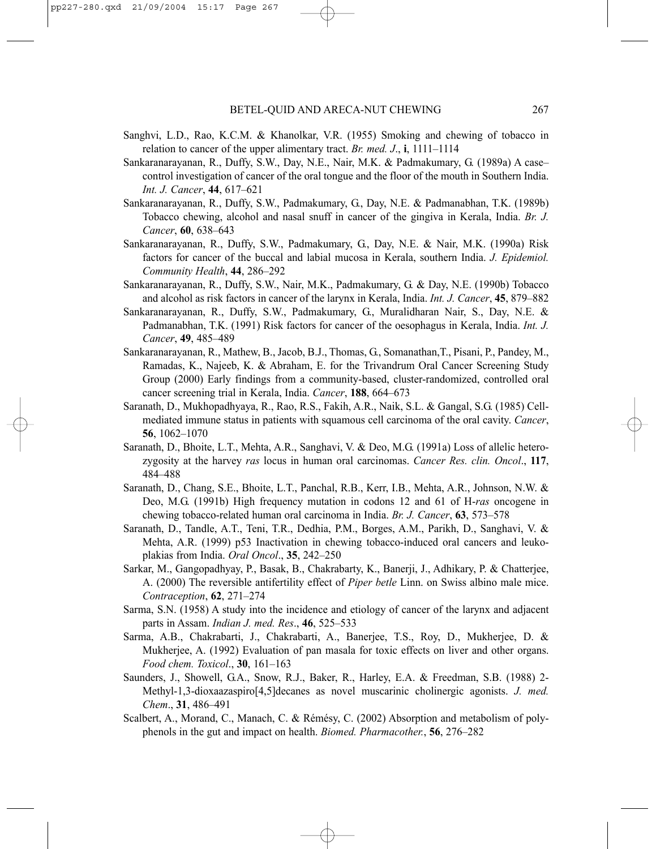- Sanghvi, L.D., Rao, K.C.M. & Khanolkar, V.R. (1955) Smoking and chewing of tobacco in relation to cancer of the upper alimentary tract. *Br. med. J*., **i**, 1111–1114
- Sankaranarayanan, R., Duffy, S.W., Day, N.E., Nair, M.K. & Padmakumary, G. (1989a) A case– control investigation of cancer of the oral tongue and the floor of the mouth in Southern India. *Int. J. Cancer*, **44**, 617–621
- Sankaranarayanan, R., Duffy, S.W., Padmakumary, G., Day, N.E. & Padmanabhan, T.K. (1989b) Tobacco chewing, alcohol and nasal snuff in cancer of the gingiva in Kerala, India. *Br. J. Cancer*, **60**, 638–643
- Sankaranarayanan, R., Duffy, S.W., Padmakumary, G., Day, N.E. & Nair, M.K. (1990a) Risk factors for cancer of the buccal and labial mucosa in Kerala, southern India. *J. Epidemiol. Community Health*, **44**, 286–292
- Sankaranarayanan, R., Duffy, S.W., Nair, M.K., Padmakumary, G. & Day, N.E. (1990b) Tobacco and alcohol as risk factors in cancer of the larynx in Kerala, India. *Int. J. Cancer*, **45**, 879–882
- Sankaranarayanan, R., Duffy, S.W., Padmakumary, G., Muralidharan Nair, S., Day, N.E. & Padmanabhan, T.K. (1991) Risk factors for cancer of the oesophagus in Kerala, India. *Int. J. Cancer*, **49**, 485–489
- Sankaranarayanan, R., Mathew, B., Jacob, B.J., Thomas, G., Somanathan,T., Pisani, P., Pandey, M., Ramadas, K., Najeeb, K. & Abraham, E. for the Trivandrum Oral Cancer Screening Study Group (2000) Early findings from a community-based, cluster-randomized, controlled oral cancer screening trial in Kerala, India. *Cancer*, **188**, 664–673
- Saranath, D., Mukhopadhyaya, R., Rao, R.S., Fakih, A.R., Naik, S.L. & Gangal, S.G. (1985) Cellmediated immune status in patients with squamous cell carcinoma of the oral cavity. *Cancer*, **56**, 1062–1070
- Saranath, D., Bhoite, L.T., Mehta, A.R., Sanghavi, V. & Deo, M.G. (1991a) Loss of allelic heterozygosity at the harvey *ras* locus in human oral carcinomas. *Cancer Res. clin. Oncol*., **117**, 484–488
- Saranath, D., Chang, S.E., Bhoite, L.T., Panchal, R.B., Kerr, I.B., Mehta, A.R., Johnson, N.W. & Deo, M.G. (1991b) High frequency mutation in codons 12 and 61 of H-*ras* oncogene in chewing tobacco-related human oral carcinoma in India. *Br. J. Cancer*, **63**, 573–578
- Saranath, D., Tandle, A.T., Teni, T.R., Dedhia, P.M., Borges, A.M., Parikh, D., Sanghavi, V. & Mehta, A.R. (1999) p53 Inactivation in chewing tobacco-induced oral cancers and leukoplakias from India. *Oral Oncol*., **35**, 242–250
- Sarkar, M., Gangopadhyay, P., Basak, B., Chakrabarty, K., Banerji, J., Adhikary, P. & Chatterjee, A. (2000) The reversible antifertility effect of *Piper betle* Linn. on Swiss albino male mice. *Contraception*, **62**, 271–274
- Sarma, S.N. (1958) A study into the incidence and etiology of cancer of the larynx and adjacent parts in Assam. *Indian J. med. Res*., **46**, 525–533
- Sarma, A.B., Chakrabarti, J., Chakrabarti, A., Banerjee, T.S., Roy, D., Mukherjee, D. & Mukherjee, A. (1992) Evaluation of pan masala for toxic effects on liver and other organs. *Food chem. Toxicol*., **30**, 161–163
- Saunders, J., Showell, G.A., Snow, R.J., Baker, R., Harley, E.A. & Freedman, S.B. (1988) 2- Methyl-1,3-dioxaazaspiro[4,5]decanes as novel muscarinic cholinergic agonists. *J. med. Chem*., **31**, 486–491
- Scalbert, A., Morand, C., Manach, C. & Rémésy, C. (2002) Absorption and metabolism of polyphenols in the gut and impact on health. *Biomed. Pharmacother.*, **56**, 276–282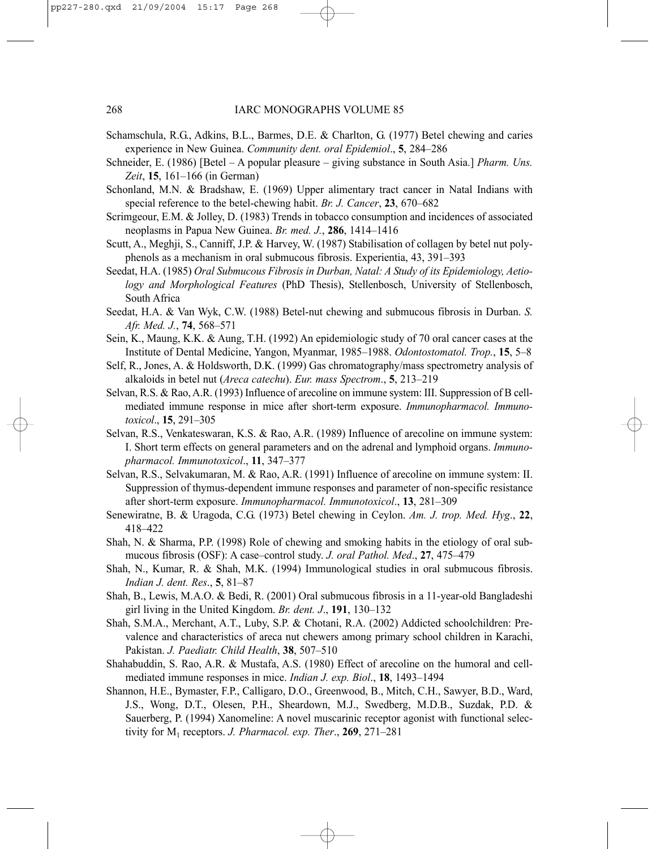- Schamschula, R.G., Adkins, B.L., Barmes, D.E. & Charlton, G. (1977) Betel chewing and caries experience in New Guinea. *Community dent. oral Epidemiol*., **5**, 284–286
- Schneider, E. (1986) [Betel A popular pleasure giving substance in South Asia.] *Pharm. Uns. Zeit*, **15**, 161–166 (in German)
- Schonland, M.N. & Bradshaw, E. (1969) Upper alimentary tract cancer in Natal Indians with special reference to the betel-chewing habit. *Br. J. Cancer*, **23**, 670–682
- Scrimgeour, E.M. & Jolley, D. (1983) Trends in tobacco consumption and incidences of associated neoplasms in Papua New Guinea. *Br. med. J.*, **286**, 1414–1416
- Scutt, A., Meghji, S., Canniff, J.P. & Harvey, W. (1987) Stabilisation of collagen by betel nut polyphenols as a mechanism in oral submucous fibrosis. Experientia, 43, 391–393
- Seedat, H.A. (1985) *Oral Submucous Fibrosis in Durban, Natal: A Study of its Epidemiology, Aetiology and Morphological Features* (PhD Thesis), Stellenbosch, University of Stellenbosch, South Africa
- Seedat, H.A. & Van Wyk, C.W. (1988) Betel-nut chewing and submucous fibrosis in Durban. *S. Afr. Med. J.*, **74**, 568–571
- Sein, K., Maung, K.K. & Aung, T.H. (1992) An epidemiologic study of 70 oral cancer cases at the Institute of Dental Medicine, Yangon, Myanmar, 1985–1988. *Odontostomatol. Trop.*, **15**, 5–8
- Self, R., Jones, A. & Holdsworth, D.K. (1999) Gas chromatography/mass spectrometry analysis of alkaloids in betel nut (*Areca catechu*). *Eur. mass Spectrom*., **5**, 213–219
- Selvan, R.S. & Rao, A.R. (1993) Influence of arecoline on immune system: III. Suppression of B cellmediated immune response in mice after short-term exposure. *Immunopharmacol. Immunotoxicol*., **15**, 291–305
- Selvan, R.S., Venkateswaran, K.S. & Rao, A.R. (1989) Influence of arecoline on immune system: I. Short term effects on general parameters and on the adrenal and lymphoid organs. *Immunopharmacol. Immunotoxicol*., **11**, 347–377
- Selvan, R.S., Selvakumaran, M. & Rao, A.R. (1991) Influence of arecoline on immune system: II. Suppression of thymus-dependent immune responses and parameter of non-specific resistance after short-term exposure. *Immunopharmacol. Immunotoxicol*., **13**, 281–309
- Senewiratne, B. & Uragoda, C.G. (1973) Betel chewing in Ceylon. *Am. J. trop. Med. Hyg*., **22**, 418–422
- Shah, N. & Sharma, P.P. (1998) Role of chewing and smoking habits in the etiology of oral submucous fibrosis (OSF): A case–control study. *J. oral Pathol. Med*., **27**, 475–479
- Shah, N., Kumar, R. & Shah, M.K. (1994) Immunological studies in oral submucous fibrosis. *Indian J. dent. Res*., **5**, 81–87
- Shah, B., Lewis, M.A.O. & Bedi, R. (2001) Oral submucous fibrosis in a 11-year-old Bangladeshi girl living in the United Kingdom. *Br. dent. J*., **191**, 130–132
- Shah, S.M.A., Merchant, A.T., Luby, S.P. & Chotani, R.A. (2002) Addicted schoolchildren: Prevalence and characteristics of areca nut chewers among primary school children in Karachi, Pakistan. *J. Paediatr. Child Health*, **38**, 507–510
- Shahabuddin, S. Rao, A.R. & Mustafa, A.S. (1980) Effect of arecoline on the humoral and cellmediated immune responses in mice. *Indian J. exp. Biol*., **18**, 1493–1494
- Shannon, H.E., Bymaster, F.P., Calligaro, D.O., Greenwood, B., Mitch, C.H., Sawyer, B.D., Ward, J.S., Wong, D.T., Olesen, P.H., Sheardown, M.J., Swedberg, M.D.B., Suzdak, P.D. & Sauerberg, P. (1994) Xanomeline: A novel muscarinic receptor agonist with functional selectivity for M1 receptors. *J. Pharmacol. exp. Ther*., **269**, 271–281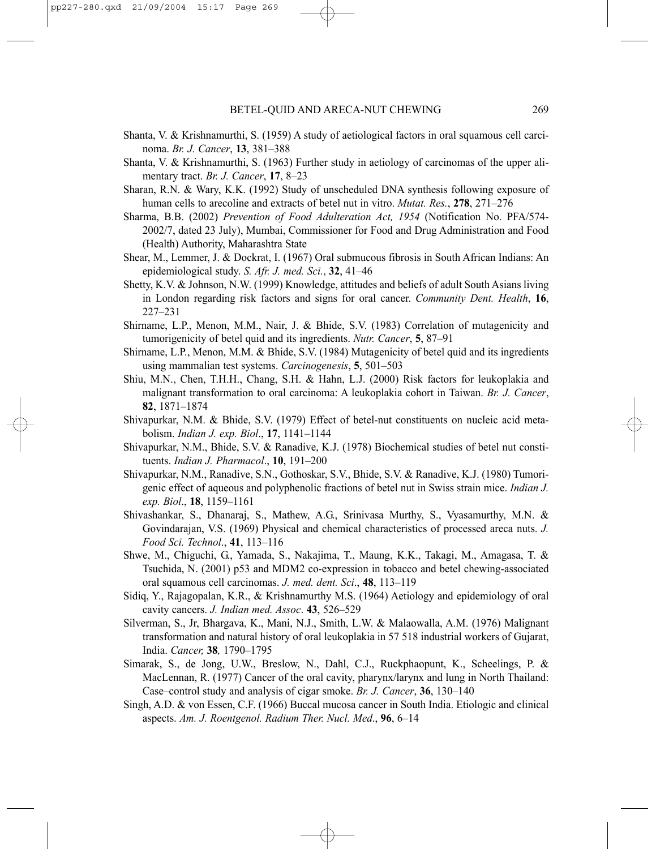- Shanta, V. & Krishnamurthi, S. (1959) A study of aetiological factors in oral squamous cell carcinoma. *Br. J. Cancer*, **13**, 381–388
- Shanta, V. & Krishnamurthi, S. (1963) Further study in aetiology of carcinomas of the upper alimentary tract. *Br. J. Cancer*, **17**, 8–23
- Sharan, R.N. & Wary, K.K. (1992) Study of unscheduled DNA synthesis following exposure of human cells to arecoline and extracts of betel nut in vitro. *Mutat. Res.*, **278**, 271–276
- Sharma, B.B. (2002) *Prevention of Food Adulteration Act, 1954* (Notification No. PFA/574- 2002/7, dated 23 July), Mumbai, Commissioner for Food and Drug Administration and Food (Health) Authority, Maharashtra State
- Shear, M., Lemmer, J. & Dockrat, I. (1967) Oral submucous fibrosis in South African Indians: An epidemiological study. *S. Afr. J. med. Sci.*, **32**, 41–46
- Shetty, K.V. & Johnson, N.W. (1999) Knowledge, attitudes and beliefs of adult South Asians living in London regarding risk factors and signs for oral cancer. *Community Dent. Health*, **16**, 227–231
- Shirname, L.P., Menon, M.M., Nair, J. & Bhide, S.V. (1983) Correlation of mutagenicity and tumorigenicity of betel quid and its ingredients. *Nutr. Cancer*, **5**, 87–91
- Shirname, L.P., Menon, M.M. & Bhide, S.V. (1984) Mutagenicity of betel quid and its ingredients using mammalian test systems. *Carcinogenesis*, **5**, 501–503
- Shiu, M.N., Chen, T.H.H., Chang, S.H. & Hahn, L.J. (2000) Risk factors for leukoplakia and malignant transformation to oral carcinoma: A leukoplakia cohort in Taiwan. *Br. J. Cancer*, **82**, 1871–1874
- Shivapurkar, N.M. & Bhide, S.V. (1979) Effect of betel-nut constituents on nucleic acid metabolism. *Indian J. exp. Biol*., **17**, 1141–1144
- Shivapurkar, N.M., Bhide, S.V. & Ranadive, K.J. (1978) Biochemical studies of betel nut constituents. *Indian J. Pharmacol*., **10**, 191–200
- Shivapurkar, N.M., Ranadive, S.N., Gothoskar, S.V., Bhide, S.V. & Ranadive, K.J. (1980) Tumorigenic effect of aqueous and polyphenolic fractions of betel nut in Swiss strain mice. *Indian J. exp. Biol*., **18**, 1159–1161
- Shivashankar, S., Dhanaraj, S., Mathew, A.G., Srinivasa Murthy, S., Vyasamurthy, M.N. & Govindarajan, V.S. (1969) Physical and chemical characteristics of processed areca nuts. *J. Food Sci. Technol*., **41**, 113–116
- Shwe, M., Chiguchi, G., Yamada, S., Nakajima, T., Maung, K.K., Takagi, M., Amagasa, T. & Tsuchida, N. (2001) p53 and MDM2 co-expression in tobacco and betel chewing-associated oral squamous cell carcinomas. *J. med. dent. Sci*., **48**, 113–119
- Sidiq, Y., Rajagopalan, K.R., & Krishnamurthy M.S. (1964) Aetiology and epidemiology of oral cavity cancers. *J. Indian med. Assoc*. **43**, 526–529
- Silverman, S., Jr, Bhargava, K., Mani, N.J., Smith, L.W. & Malaowalla, A.M. (1976) Malignant transformation and natural history of oral leukoplakia in 57 518 industrial workers of Gujarat, India. *Cancer,* **38***,* 1790–1795
- Simarak, S., de Jong, U.W., Breslow, N., Dahl, C.J., Ruckphaopunt, K., Scheelings, P. & MacLennan, R. (1977) Cancer of the oral cavity, pharynx/larynx and lung in North Thailand: Case–control study and analysis of cigar smoke. *Br. J. Cancer*, **36**, 130–140
- Singh, A.D. & von Essen, C.F. (1966) Buccal mucosa cancer in South India. Etiologic and clinical aspects. *Am. J. Roentgenol. Radium Ther. Nucl. Med*., **96**, 6–14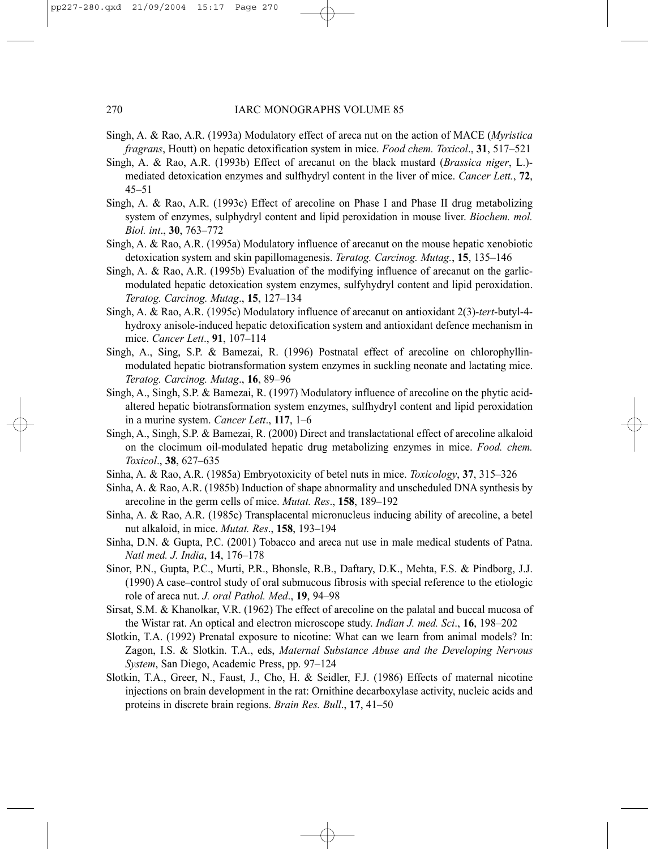## 270 IARC MONOGRAPHS VOLUME 85

- Singh, A. & Rao, A.R. (1993a) Modulatory effect of areca nut on the action of MACE (*Myristica fragrans*, Houtt) on hepatic detoxification system in mice. *Food chem. Toxicol*., **31**, 517–521
- Singh, A. & Rao, A.R. (1993b) Effect of arecanut on the black mustard (*Brassica niger*, L.) mediated detoxication enzymes and sulfhydryl content in the liver of mice. *Cancer Lett.*, **72**, 45–51
- Singh, A. & Rao, A.R. (1993c) Effect of arecoline on Phase I and Phase II drug metabolizing system of enzymes, sulphydryl content and lipid peroxidation in mouse liver. *Biochem. mol. Biol. int*., **30**, 763–772
- Singh, A. & Rao, A.R. (1995a) Modulatory influence of arecanut on the mouse hepatic xenobiotic detoxication system and skin papillomagenesis. *Teratog. Carcinog. Mutag.*, **15**, 135–146
- Singh, A. & Rao, A.R. (1995b) Evaluation of the modifying influence of arecanut on the garlicmodulated hepatic detoxication system enzymes, sulfyhydryl content and lipid peroxidation. *Teratog. Carcinog. Mutag*., **15**, 127–134
- Singh, A. & Rao, A.R. (1995c) Modulatory influence of arecanut on antioxidant 2(3)-*tert*-butyl-4 hydroxy anisole-induced hepatic detoxification system and antioxidant defence mechanism in mice. *Cancer Lett*., **91**, 107–114
- Singh, A., Sing, S.P. & Bamezai, R. (1996) Postnatal effect of arecoline on chlorophyllinmodulated hepatic biotransformation system enzymes in suckling neonate and lactating mice. *Teratog. Carcinog. Mutag*., **16**, 89–96
- Singh, A., Singh, S.P. & Bamezai, R. (1997) Modulatory influence of arecoline on the phytic acidaltered hepatic biotransformation system enzymes, sulfhydryl content and lipid peroxidation in a murine system. *Cancer Lett*., **117**, 1–6
- Singh, A., Singh, S.P. & Bamezai, R. (2000) Direct and translactational effect of arecoline alkaloid on the clocimum oil-modulated hepatic drug metabolizing enzymes in mice. *Food. chem. Toxicol*., **38**, 627–635
- Sinha, A. & Rao, A.R. (1985a) Embryotoxicity of betel nuts in mice. *Toxicology*, **37**, 315–326
- Sinha, A. & Rao, A.R. (1985b) Induction of shape abnormality and unscheduled DNA synthesis by arecoline in the germ cells of mice. *Mutat. Res*., **158**, 189–192
- Sinha, A. & Rao, A.R. (1985c) Transplacental micronucleus inducing ability of arecoline, a betel nut alkaloid, in mice. *Mutat. Res*., **158**, 193–194
- Sinha, D.N. & Gupta, P.C. (2001) Tobacco and areca nut use in male medical students of Patna. *Natl med. J. India*, **14**, 176–178
- Sinor, P.N., Gupta, P.C., Murti, P.R., Bhonsle, R.B., Daftary, D.K., Mehta, F.S. & Pindborg, J.J. (1990) A case–control study of oral submucous fibrosis with special reference to the etiologic role of areca nut. *J. oral Pathol. Med*., **19**, 94–98
- Sirsat, S.M. & Khanolkar, V.R. (1962) The effect of arecoline on the palatal and buccal mucosa of the Wistar rat. An optical and electron microscope study. *Indian J. med. Sci*., **16**, 198–202
- Slotkin, T.A. (1992) Prenatal exposure to nicotine: What can we learn from animal models? In: Zagon, I.S. & Slotkin. T.A., eds, *Maternal Substance Abuse and the Developing Nervous System*, San Diego, Academic Press, pp. 97–124
- Slotkin, T.A., Greer, N., Faust, J., Cho, H. & Seidler, F.J. (1986) Effects of maternal nicotine injections on brain development in the rat: Ornithine decarboxylase activity, nucleic acids and proteins in discrete brain regions. *Brain Res. Bull*., **17**, 41–50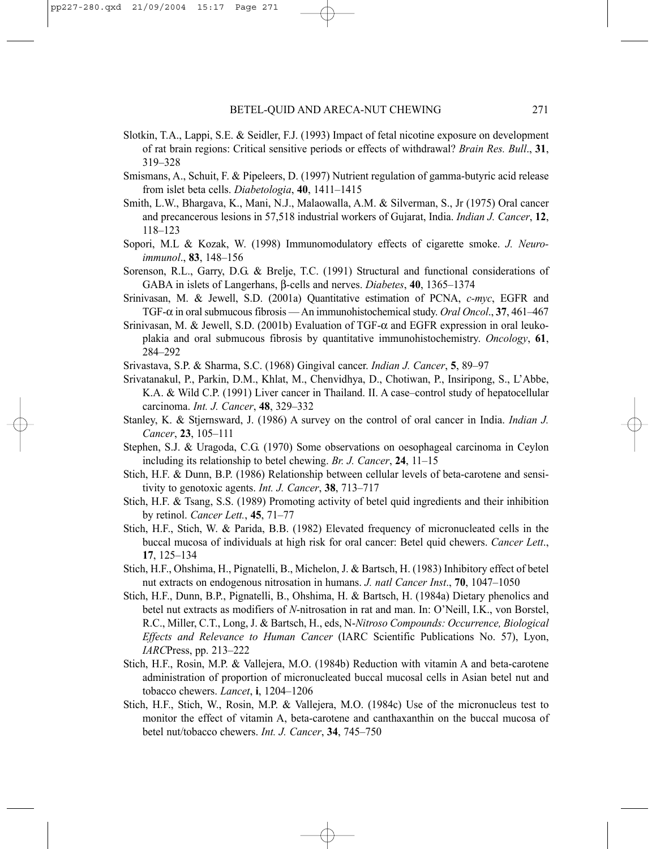- Slotkin, T.A., Lappi, S.E. & Seidler, F.J. (1993) Impact of fetal nicotine exposure on development of rat brain regions: Critical sensitive periods or effects of withdrawal? *Brain Res. Bull*., **31**, 319–328
- Smismans, A., Schuit, F. & Pipeleers, D. (1997) Nutrient regulation of gamma-butyric acid release from islet beta cells. *Diabetologia*, **40**, 1411–1415
- Smith, L.W., Bhargava, K., Mani, N.J., Malaowalla, A.M. & Silverman, S., Jr (1975) Oral cancer and precancerous lesions in 57,518 industrial workers of Gujarat, India. *Indian J. Cancer*, **12**, 118–123
- Sopori, M.L & Kozak, W. (1998) Immunomodulatory effects of cigarette smoke. *J. Neuroimmunol*., **83**, 148–156
- Sorenson, R.L., Garry, D.G. & Brelje, T.C. (1991) Structural and functional considerations of GABA in islets of Langerhans, β-cells and nerves. *Diabetes*, **40**, 1365–1374
- Srinivasan, M. & Jewell, S.D. (2001a) Quantitative estimation of PCNA, *c-myc*, EGFR and TGF-α in oral submucous fibrosis — An immunohistochemical study. *Oral Oncol*., **37**, 461–467
- Srinivasan, M. & Jewell, S.D. (2001b) Evaluation of TGF-α and EGFR expression in oral leukoplakia and oral submucous fibrosis by quantitative immunohistochemistry. *Oncology*, **61**, 284–292
- Srivastava, S.P. & Sharma, S.C. (1968) Gingival cancer. *Indian J. Cancer*, **5**, 89–97
- Srivatanakul, P., Parkin, D.M., Khlat, M., Chenvidhya, D., Chotiwan, P., Insiripong, S., L'Abbe, K.A. & Wild C.P. (1991) Liver cancer in Thailand. II. A case–control study of hepatocellular carcinoma. *Int. J. Cancer*, **48**, 329–332
- Stanley, K. & Stjernsward, J. (1986) A survey on the control of oral cancer in India. *Indian J. Cancer*, **23**, 105–111
- Stephen, S.J. & Uragoda, C.G. (1970) Some observations on oesophageal carcinoma in Ceylon including its relationship to betel chewing. *Br. J. Cancer*, **24**, 11–15
- Stich, H.F. & Dunn, B.P. (1986) Relationship between cellular levels of beta-carotene and sensitivity to genotoxic agents. *Int. J. Cancer*, **38**, 713–717
- Stich, H.F. & Tsang, S.S. (1989) Promoting activity of betel quid ingredients and their inhibition by retinol. *Cancer Lett.*, **45**, 71–77
- Stich, H.F., Stich, W. & Parida, B.B. (1982) Elevated frequency of micronucleated cells in the buccal mucosa of individuals at high risk for oral cancer: Betel quid chewers. *Cancer Lett*., **17**, 125–134
- Stich, H.F., Ohshima, H., Pignatelli, B., Michelon, J. & Bartsch, H. (1983) Inhibitory effect of betel nut extracts on endogenous nitrosation in humans. *J. natl Cancer Inst*., **70**, 1047–1050
- Stich, H.F., Dunn, B.P., Pignatelli, B., Ohshima, H. & Bartsch, H. (1984a) Dietary phenolics and betel nut extracts as modifiers of *N*-nitrosation in rat and man. In: O'Neill, I.K., von Borstel, R.C., Miller, C.T., Long, J. & Bartsch, H., eds, N-*Nitroso Compounds: Occurrence, Biological Effects and Relevance to Human Cancer* (IARC Scientific Publications No. 57), Lyon, *IARC*Press, pp. 213–222
- Stich, H.F., Rosin, M.P. & Vallejera, M.O. (1984b) Reduction with vitamin A and beta-carotene administration of proportion of micronucleated buccal mucosal cells in Asian betel nut and tobacco chewers. *Lancet*, **i**, 1204–1206
- Stich, H.F., Stich, W., Rosin, M.P. & Vallejera, M.O. (1984c) Use of the micronucleus test to monitor the effect of vitamin A, beta-carotene and canthaxanthin on the buccal mucosa of betel nut/tobacco chewers. *Int. J. Cancer*, **34**, 745–750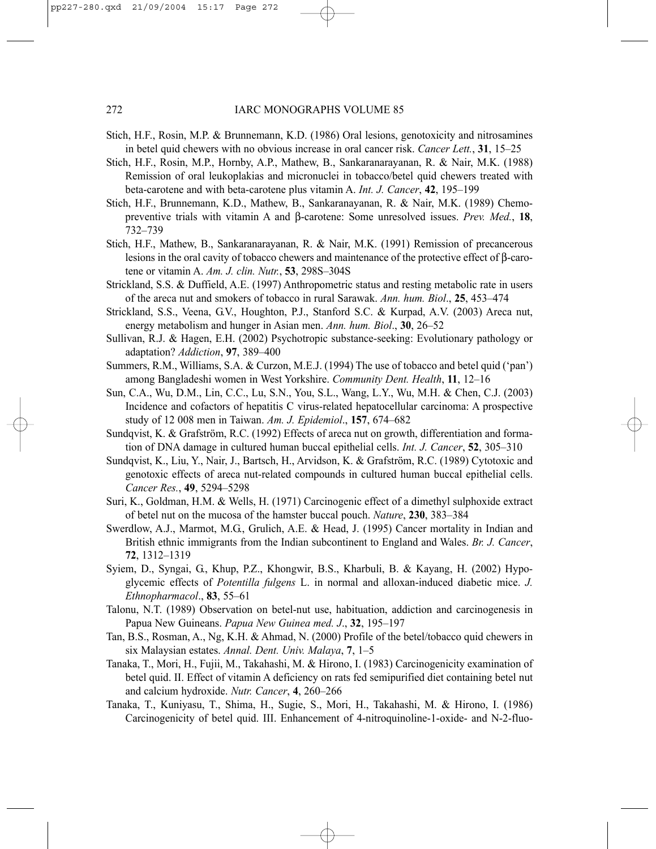- Stich, H.F., Rosin, M.P. & Brunnemann, K.D. (1986) Oral lesions, genotoxicity and nitrosamines in betel quid chewers with no obvious increase in oral cancer risk. *Cancer Lett.*, **31**, 15–25
- Stich, H.F., Rosin, M.P., Hornby, A.P., Mathew, B., Sankaranarayanan, R. & Nair, M.K. (1988) Remission of oral leukoplakias and micronuclei in tobacco/betel quid chewers treated with beta-carotene and with beta-carotene plus vitamin A. *Int. J. Cancer*, **42**, 195–199
- Stich, H.F., Brunnemann, K.D., Mathew, B., Sankaranayanan, R. & Nair, M.K. (1989) Chemopreventive trials with vitamin A and β-carotene: Some unresolved issues. *Prev. Med.*, **18**, 732–739
- Stich, H.F., Mathew, B., Sankaranarayanan, R. & Nair, M.K. (1991) Remission of precancerous lesions in the oral cavity of tobacco chewers and maintenance of the protective effect of β-carotene or vitamin A. *Am. J. clin. Nutr.*, **53**, 298S–304S
- Strickland, S.S. & Duffield, A.E. (1997) Anthropometric status and resting metabolic rate in users of the areca nut and smokers of tobacco in rural Sarawak. *Ann. hum. Biol*., **25**, 453–474
- Strickland, S.S., Veena, G.V., Houghton, P.J., Stanford S.C. & Kurpad, A.V. (2003) Areca nut, energy metabolism and hunger in Asian men. *Ann. hum. Biol*., **30**, 26–52
- Sullivan, R.J. & Hagen, E.H. (2002) Psychotropic substance-seeking: Evolutionary pathology or adaptation? *Addiction*, **97**, 389–400
- Summers, R.M., Williams, S.A. & Curzon, M.E.J. (1994) The use of tobacco and betel quid ('pan') among Bangladeshi women in West Yorkshire. *Community Dent. Health*, **11**, 12–16
- Sun, C.A., Wu, D.M., Lin, C.C., Lu, S.N., You, S.L., Wang, L.Y., Wu, M.H. & Chen, C.J. (2003) Incidence and cofactors of hepatitis C virus-related hepatocellular carcinoma: A prospective study of 12 008 men in Taiwan. *Am. J. Epidemiol*., **157**, 674–682
- Sundqvist, K. & Grafström, R.C. (1992) Effects of areca nut on growth, differentiation and formation of DNA damage in cultured human buccal epithelial cells. *Int. J. Cancer*, **52**, 305–310
- Sundqvist, K., Liu, Y., Nair, J., Bartsch, H., Arvidson, K. & Grafström, R.C. (1989) Cytotoxic and genotoxic effects of areca nut-related compounds in cultured human buccal epithelial cells. *Cancer Res.*, **49**, 5294–5298
- Suri, K., Goldman, H.M. & Wells, H. (1971) Carcinogenic effect of a dimethyl sulphoxide extract of betel nut on the mucosa of the hamster buccal pouch. *Nature*, **230**, 383–384
- Swerdlow, A.J., Marmot, M.G., Grulich, A.E. & Head, J. (1995) Cancer mortality in Indian and British ethnic immigrants from the Indian subcontinent to England and Wales. *Br. J. Cancer*, **72**, 1312–1319
- Syiem, D., Syngai, G., Khup, P.Z., Khongwir, B.S., Kharbuli, B. & Kayang, H. (2002) Hypoglycemic effects of *Potentilla fulgens* L. in normal and alloxan-induced diabetic mice. *J. Ethnopharmacol*., **83**, 55–61
- Talonu, N.T. (1989) Observation on betel-nut use, habituation, addiction and carcinogenesis in Papua New Guineans. *Papua New Guinea med. J*., **32**, 195–197
- Tan, B.S., Rosman, A., Ng, K.H. & Ahmad, N. (2000) Profile of the betel/tobacco quid chewers in six Malaysian estates. *Annal. Dent. Univ. Malaya*, **7**, 1–5
- Tanaka, T., Mori, H., Fujii, M., Takahashi, M. & Hirono, I. (1983) Carcinogenicity examination of betel quid. II. Effect of vitamin A deficiency on rats fed semipurified diet containing betel nut and calcium hydroxide. *Nutr. Cancer*, **4**, 260–266
- Tanaka, T., Kuniyasu, T., Shima, H., Sugie, S., Mori, H., Takahashi, M. & Hirono, I. (1986) Carcinogenicity of betel quid. III. Enhancement of 4-nitroquinoline-1-oxide- and N-2-fluo-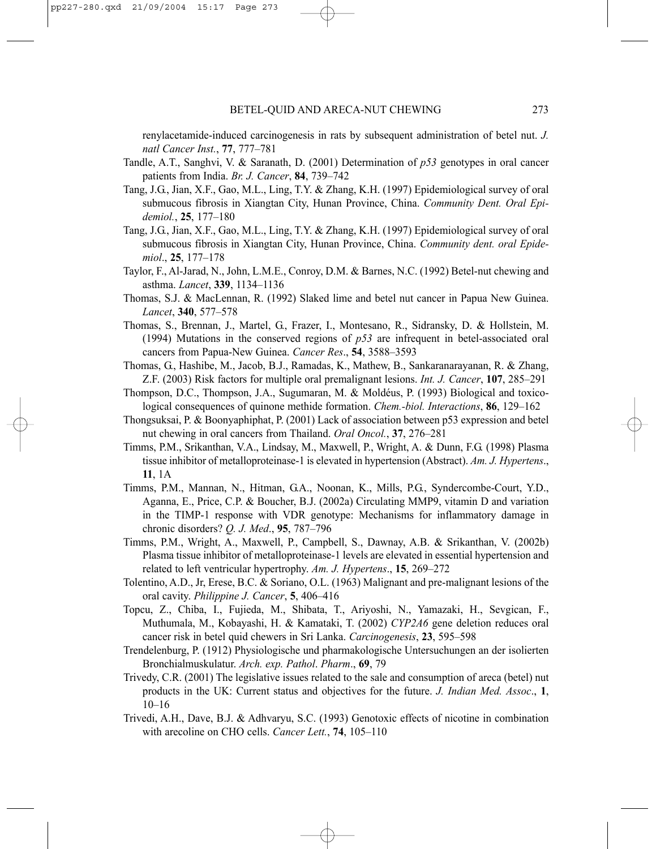renylacetamide-induced carcinogenesis in rats by subsequent administration of betel nut. *J. natl Cancer Inst.*, **77**, 777–781

- Tandle, A.T., Sanghvi, V. & Saranath, D. (2001) Determination of *p53* genotypes in oral cancer patients from India. *Br. J. Cancer*, **84**, 739–742
- Tang, J.G., Jian, X.F., Gao, M.L., Ling, T.Y. & Zhang, K.H. (1997) Epidemiological survey of oral submucous fibrosis in Xiangtan City, Hunan Province, China. *Community Dent. Oral Epidemiol.*, **25**, 177–180
- Tang, J.G., Jian, X.F., Gao, M.L., Ling, T.Y. & Zhang, K.H. (1997) Epidemiological survey of oral submucous fibrosis in Xiangtan City, Hunan Province, China. *Community dent. oral Epidemiol*., **25**, 177–178
- Taylor, F., Al-Jarad, N., John, L.M.E., Conroy, D.M. & Barnes, N.C. (1992) Betel-nut chewing and asthma. *Lancet*, **339**, 1134–1136
- Thomas, S.J. & MacLennan, R. (1992) Slaked lime and betel nut cancer in Papua New Guinea. *Lancet*, **340**, 577–578
- Thomas, S., Brennan, J., Martel, G., Frazer, I., Montesano, R., Sidransky, D. & Hollstein, M. (1994) Mutations in the conserved regions of *p53* are infrequent in betel-associated oral cancers from Papua-New Guinea. *Cancer Res*., **54**, 3588–3593
- Thomas, G., Hashibe, M., Jacob, B.J., Ramadas, K., Mathew, B., Sankaranarayanan, R. & Zhang, Z.F. (2003) Risk factors for multiple oral premalignant lesions. *Int. J. Cancer*, **107**, 285–291
- Thompson, D.C., Thompson, J.A., Sugumaran, M. & Moldéus, P. (1993) Biological and toxicological consequences of quinone methide formation. *Chem.-biol. Interactions*, **86**, 129–162
- Thongsuksai, P. & Boonyaphiphat, P. (2001) Lack of association between p53 expression and betel nut chewing in oral cancers from Thailand. *Oral Oncol.*, **37**, 276–281
- Timms, P.M., Srikanthan, V.A., Lindsay, M., Maxwell, P., Wright, A. & Dunn, F.G. (1998) Plasma tissue inhibitor of metalloproteinase-1 is elevated in hypertension (Abstract). *Am. J. Hypertens*., **11**, 1A
- Timms, P.M., Mannan, N., Hitman, G.A., Noonan, K., Mills, P.G., Syndercombe-Court, Y.D., Aganna, E., Price, C.P. & Boucher, B.J. (2002a) Circulating MMP9, vitamin D and variation in the TIMP-1 response with VDR genotype: Mechanisms for inflammatory damage in chronic disorders? *Q. J. Med*., **95**, 787–796
- Timms, P.M., Wright, A., Maxwell, P., Campbell, S., Dawnay, A.B. & Srikanthan, V. (2002b) Plasma tissue inhibitor of metalloproteinase-1 levels are elevated in essential hypertension and related to left ventricular hypertrophy. *Am. J. Hypertens*., **15**, 269–272
- Tolentino, A.D., Jr, Erese, B.C. & Soriano, O.L. (1963) Malignant and pre-malignant lesions of the oral cavity. *Philippine J. Cancer*, **5**, 406–416
- Topcu, Z., Chiba, I., Fujieda, M., Shibata, T., Ariyoshi, N., Yamazaki, H., Sevgican, F., Muthumala, M., Kobayashi, H. & Kamataki, T. (2002) *CYP2A6* gene deletion reduces oral cancer risk in betel quid chewers in Sri Lanka. *Carcinogenesis*, **23**, 595–598
- Trendelenburg, P. (1912) Physiologische und pharmakologische Untersuchungen an der isolierten Bronchialmuskulatur. *Arch. exp. Pathol*. *Pharm*., **69**, 79
- Trivedy, C.R. (2001) The legislative issues related to the sale and consumption of areca (betel) nut products in the UK: Current status and objectives for the future. *J. Indian Med. Assoc*., **1**, 10–16
- Trivedi, A.H., Dave, B.J. & Adhvaryu, S.C. (1993) Genotoxic effects of nicotine in combination with arecoline on CHO cells. *Cancer Lett.*, **74**, 105–110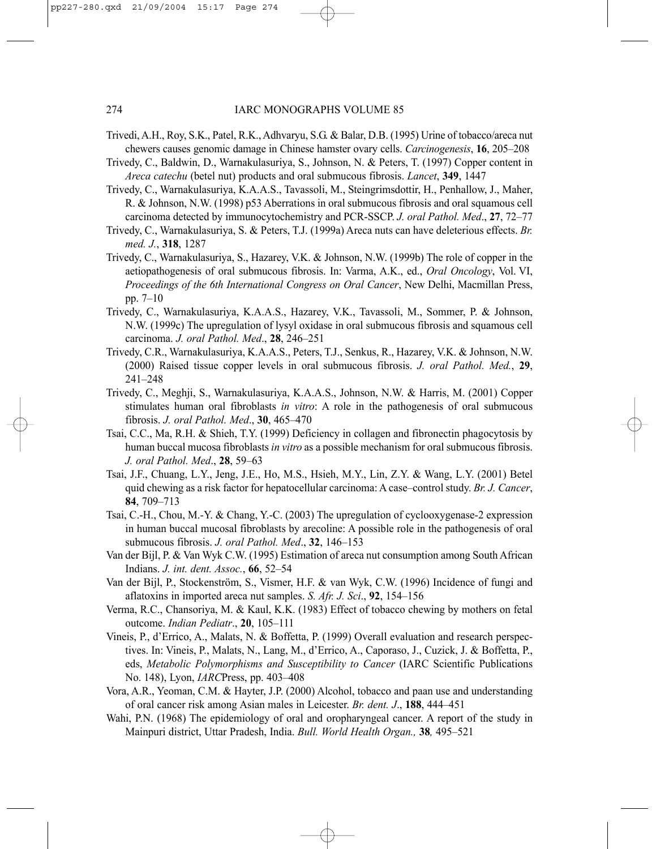- Trivedi, A.H., Roy, S.K., Patel, R.K., Adhvaryu, S.G. & Balar, D.B. (1995) Urine of tobacco/areca nut chewers causes genomic damage in Chinese hamster ovary cells. *Carcinogenesis*, **16**, 205–208
- Trivedy, C., Baldwin, D., Warnakulasuriya, S., Johnson, N. & Peters, T. (1997) Copper content in *Areca catechu* (betel nut) products and oral submucous fibrosis. *Lancet*, **349**, 1447
- Trivedy, C., Warnakulasuriya, K.A.A.S., Tavassoli, M., Steingrimsdottir, H., Penhallow, J., Maher, R. & Johnson, N.W. (1998) p53 Aberrations in oral submucous fibrosis and oral squamous cell carcinoma detected by immunocytochemistry and PCR-SSCP. *J. oral Pathol. Med*., **27**, 72–77
- Trivedy, C., Warnakulasuriya, S. & Peters, T.J. (1999a) Areca nuts can have deleterious effects. *Br. med. J.*, **318**, 1287
- Trivedy, C., Warnakulasuriya, S., Hazarey, V.K. & Johnson, N.W. (1999b) The role of copper in the aetiopathogenesis of oral submucous fibrosis. In: Varma, A.K., ed., *Oral Oncology*, Vol. VI, *Proceedings of the 6th International Congress on Oral Cancer*, New Delhi, Macmillan Press, pp. 7–10
- Trivedy, C., Warnakulasuriya, K.A.A.S., Hazarey, V.K., Tavassoli, M., Sommer, P. & Johnson, N.W. (1999c) The upregulation of lysyl oxidase in oral submucous fibrosis and squamous cell carcinoma. *J. oral Pathol. Med*., **28**, 246–251
- Trivedy, C.R., Warnakulasuriya, K.A.A.S., Peters, T.J., Senkus, R., Hazarey, V.K. & Johnson, N.W. (2000) Raised tissue copper levels in oral submucous fibrosis. *J. oral Pathol. Med.*, **29**, 241–248
- Trivedy, C., Meghji, S., Warnakulasuriya, K.A.A.S., Johnson, N.W. & Harris, M. (2001) Copper stimulates human oral fibroblasts *in vitro*: A role in the pathogenesis of oral submucous fibrosis. *J. oral Pathol. Med*., **30**, 465–470
- Tsai, C.C., Ma, R.H. & Shieh, T.Y. (1999) Deficiency in collagen and fibronectin phagocytosis by human buccal mucosa fibroblasts *in vitro* as a possible mechanism for oral submucous fibrosis. *J. oral Pathol. Med*., **28**, 59–63
- Tsai, J.F., Chuang, L.Y., Jeng, J.E., Ho, M.S., Hsieh, M.Y., Lin, Z.Y. & Wang, L.Y. (2001) Betel quid chewing as a risk factor for hepatocellular carcinoma: A case–control study. *Br. J. Cancer*, **84**, 709–713
- Tsai, C.-H., Chou, M.-Y. & Chang, Y.-C. (2003) The upregulation of cyclooxygenase-2 expression in human buccal mucosal fibroblasts by arecoline: A possible role in the pathogenesis of oral submucous fibrosis. *J. oral Pathol. Med*., **32**, 146–153
- Van der Bijl, P. & Van Wyk C.W. (1995) Estimation of areca nut consumption among South African Indians. *J. int. dent. Assoc.*, **66**, 52–54
- Van der Bijl, P., Stockenström, S., Vismer, H.F. & van Wyk, C.W. (1996) Incidence of fungi and aflatoxins in imported areca nut samples. *S. Afr. J. Sci*., **92**, 154–156
- Verma, R.C., Chansoriya, M. & Kaul, K.K. (1983) Effect of tobacco chewing by mothers on fetal outcome. *Indian Pediatr*., **20**, 105–111
- Vineis, P., d'Errico, A., Malats, N. & Boffetta, P. (1999) Overall evaluation and research perspectives. In: Vineis, P., Malats, N., Lang, M., d'Errico, A., Caporaso, J., Cuzick, J. & Boffetta, P., eds, *Metabolic Polymorphisms and Susceptibility to Cancer* (IARC Scientific Publications No. 148), Lyon, *IARC*Press, pp. 403–408
- Vora, A.R., Yeoman, C.M. & Hayter, J.P. (2000) Alcohol, tobacco and paan use and understanding of oral cancer risk among Asian males in Leicester. *Br. dent. J*., **188**, 444–451
- Wahi, P.N. (1968) The epidemiology of oral and oropharyngeal cancer. A report of the study in Mainpuri district, Uttar Pradesh, India. *Bull. World Health Organ.,* **38***,* 495–521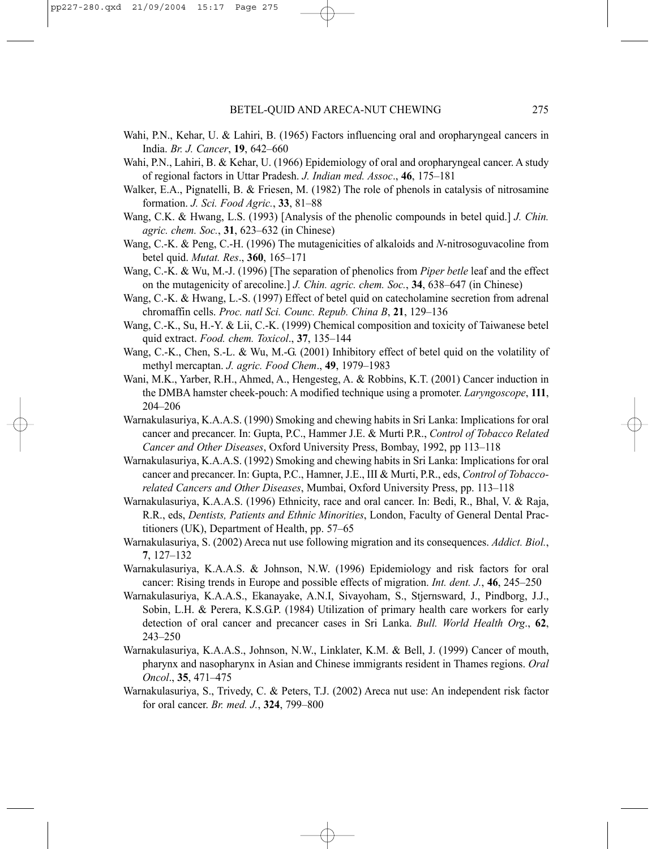- Wahi, P.N., Kehar, U. & Lahiri, B. (1965) Factors influencing oral and oropharyngeal cancers in India. *Br. J. Cancer*, **19**, 642–660
- Wahi, P.N., Lahiri, B. & Kehar, U. (1966) Epidemiology of oral and oropharyngeal cancer. A study of regional factors in Uttar Pradesh. *J. Indian med. Assoc*., **46**, 175–181
- Walker, E.A., Pignatelli, B. & Friesen, M. (1982) The role of phenols in catalysis of nitrosamine formation. *J. Sci. Food Agric.*, **33**, 81–88
- Wang, C.K. & Hwang, L.S. (1993) [Analysis of the phenolic compounds in betel quid.] *J. Chin. agric. chem. Soc.*, **31**, 623–632 (in Chinese)
- Wang, C.-K. & Peng, C.-H. (1996) The mutagenicities of alkaloids and *N*-nitrosoguvacoline from betel quid. *Mutat. Res*., **360**, 165–171
- Wang, C.-K. & Wu, M.-J. (1996) [The separation of phenolics from *Piper betle* leaf and the effect on the mutagenicity of arecoline.] *J. Chin. agric. chem. Soc.*, **34**, 638–647 (in Chinese)
- Wang, C.-K. & Hwang, L.-S. (1997) Effect of betel quid on catecholamine secretion from adrenal chromaffin cells. *Proc. natl Sci. Counc. Repub. China B*, **21**, 129–136
- Wang, C.-K., Su, H.-Y. & Lii, C.-K. (1999) Chemical composition and toxicity of Taiwanese betel quid extract. *Food. chem. Toxicol*., **37**, 135–144
- Wang, C.-K., Chen, S.-L. & Wu, M.-G. (2001) Inhibitory effect of betel quid on the volatility of methyl mercaptan. *J. agric. Food Chem*., **49**, 1979–1983
- Wani, M.K., Yarber, R.H., Ahmed, A., Hengesteg, A. & Robbins, K.T. (2001) Cancer induction in the DMBA hamster cheek-pouch: A modified technique using a promoter. *Laryngoscope*, **111**, 204–206
- Warnakulasuriya, K.A.A.S. (1990) Smoking and chewing habits in Sri Lanka: Implications for oral cancer and precancer. In: Gupta, P.C., Hammer J.E. & Murti P.R., *Control of Tobacco Related Cancer and Other Diseases*, Oxford University Press, Bombay, 1992, pp 113–118
- Warnakulasuriya, K.A.A.S. (1992) Smoking and chewing habits in Sri Lanka: Implications for oral cancer and precancer. In: Gupta, P.C., Hamner, J.E., III & Murti, P.R., eds, *Control of Tobaccorelated Cancers and Other Diseases*, Mumbai, Oxford University Press, pp. 113–118
- Warnakulasuriya, K.A.A.S. (1996) Ethnicity, race and oral cancer. In: Bedi, R., Bhal, V. & Raja, R.R., eds, *Dentists, Patients and Ethnic Minorities*, London, Faculty of General Dental Practitioners (UK), Department of Health, pp. 57–65
- Warnakulasuriya, S. (2002) Areca nut use following migration and its consequences. *Addict. Biol.*, **7**, 127–132
- Warnakulasuriya, K.A.A.S. & Johnson, N.W. (1996) Epidemiology and risk factors for oral cancer: Rising trends in Europe and possible effects of migration. *Int. dent. J.*, **46**, 245–250
- Warnakulasuriya, K.A.A.S., Ekanayake, A.N.I, Sivayoham, S., Stjernsward, J., Pindborg, J.J., Sobin, L.H. & Perera, K.S.G.P. (1984) Utilization of primary health care workers for early detection of oral cancer and precancer cases in Sri Lanka. *Bull. World Health Org*., **62**, 243–250
- Warnakulasuriya, K.A.A.S., Johnson, N.W., Linklater, K.M. & Bell, J. (1999) Cancer of mouth, pharynx and nasopharynx in Asian and Chinese immigrants resident in Thames regions. *Oral Oncol*., **35**, 471–475
- Warnakulasuriya, S., Trivedy, C. & Peters, T.J. (2002) Areca nut use: An independent risk factor for oral cancer. *Br. med. J.*, **324**, 799–800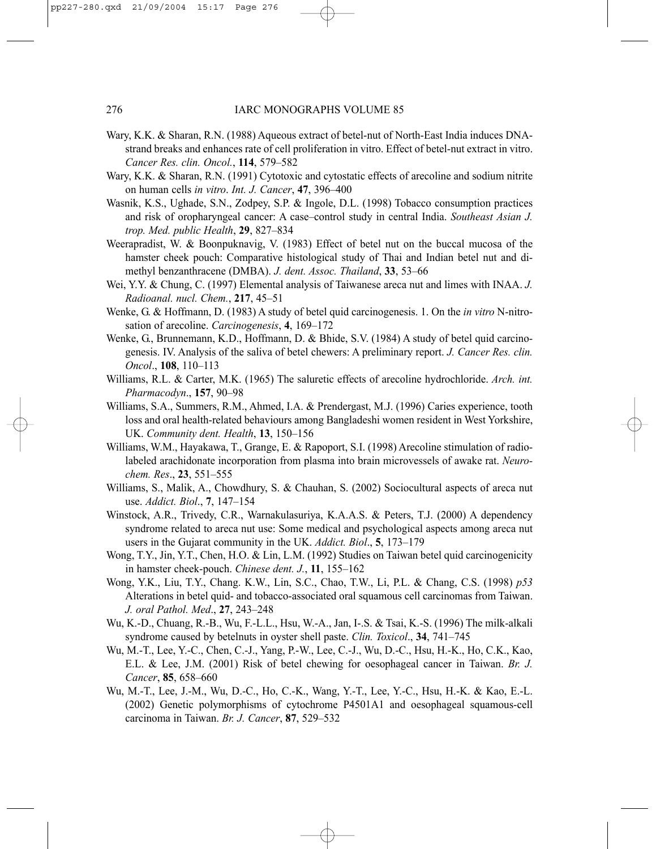- Wary, K.K. & Sharan, R.N. (1988) Aqueous extract of betel-nut of North-East India induces DNAstrand breaks and enhances rate of cell proliferation in vitro. Effect of betel-nut extract in vitro. *Cancer Res. clin. Oncol.*, **114**, 579–582
- Wary, K.K. & Sharan, R.N. (1991) Cytotoxic and cytostatic effects of arecoline and sodium nitrite on human cells *in vitro*. *Int. J. Cancer*, **47**, 396–400
- Wasnik, K.S., Ughade, S.N., Zodpey, S.P. & Ingole, D.L. (1998) Tobacco consumption practices and risk of oropharyngeal cancer: A case–control study in central India. *Southeast Asian J. trop. Med. public Health*, **29**, 827–834
- Weerapradist, W. & Boonpuknavig, V. (1983) Effect of betel nut on the buccal mucosa of the hamster cheek pouch: Comparative histological study of Thai and Indian betel nut and dimethyl benzanthracene (DMBA). *J. dent. Assoc. Thailand*, **33**, 53–66
- Wei, Y.Y. & Chung, C. (1997) Elemental analysis of Taiwanese areca nut and limes with INAA. *J. Radioanal. nucl. Chem.*, **217**, 45–51
- Wenke, G. & Hoffmann, D. (1983) A study of betel quid carcinogenesis. 1. On the *in vitro* N-nitrosation of arecoline. *Carcinogenesis*, **4**, 169–172
- Wenke, G., Brunnemann, K.D., Hoffmann, D. & Bhide, S.V. (1984) A study of betel quid carcinogenesis. IV. Analysis of the saliva of betel chewers: A preliminary report. *J. Cancer Res. clin. Oncol*., **108**, 110–113
- Williams, R.L. & Carter, M.K. (1965) The saluretic effects of arecoline hydrochloride. *Arch. int. Pharmacodyn*., **157**, 90–98
- Williams, S.A., Summers, R.M., Ahmed, I.A. & Prendergast, M.J. (1996) Caries experience, tooth loss and oral health-related behaviours among Bangladeshi women resident in West Yorkshire, UK. *Community dent. Health*, **13**, 150–156
- Williams, W.M., Hayakawa, T., Grange, E. & Rapoport, S.I. (1998) Arecoline stimulation of radiolabeled arachidonate incorporation from plasma into brain microvessels of awake rat. *Neurochem. Res*., **23**, 551–555
- Williams, S., Malik, A., Chowdhury, S. & Chauhan, S. (2002) Sociocultural aspects of areca nut use. *Addict. Biol*., **7**, 147–154
- Winstock, A.R., Trivedy, C.R., Warnakulasuriya, K.A.A.S. & Peters, T.J. (2000) A dependency syndrome related to areca nut use: Some medical and psychological aspects among areca nut users in the Gujarat community in the UK. *Addict. Biol*., **5**, 173–179
- Wong, T.Y., Jin, Y.T., Chen, H.O. & Lin, L.M. (1992) Studies on Taiwan betel quid carcinogenicity in hamster cheek-pouch. *Chinese dent. J.*, **11**, 155–162
- Wong, Y.K., Liu, T.Y., Chang. K.W., Lin, S.C., Chao, T.W., Li, P.L. & Chang, C.S. (1998) *p53* Alterations in betel quid- and tobacco-associated oral squamous cell carcinomas from Taiwan. *J. oral Pathol. Med*., **27**, 243–248
- Wu, K.-D., Chuang, R.-B., Wu, F.-L.L., Hsu, W.-A., Jan, I-.S. & Tsai, K.-S. (1996) The milk-alkali syndrome caused by betelnuts in oyster shell paste. *Clin. Toxicol*., **34**, 741–745
- Wu, M.-T., Lee, Y.-C., Chen, C.-J., Yang, P.-W., Lee, C.-J., Wu, D.-C., Hsu, H.-K., Ho, C.K., Kao, E.L. & Lee, J.M. (2001) Risk of betel chewing for oesophageal cancer in Taiwan. *Br. J. Cancer*, **85**, 658–660
- Wu, M.-T., Lee, J.-M., Wu, D.-C., Ho, C.-K., Wang, Y.-T., Lee, Y.-C., Hsu, H.-K. & Kao, E.-L. (2002) Genetic polymorphisms of cytochrome P4501A1 and oesophageal squamous-cell carcinoma in Taiwan. *Br. J. Cancer*, **87**, 529–532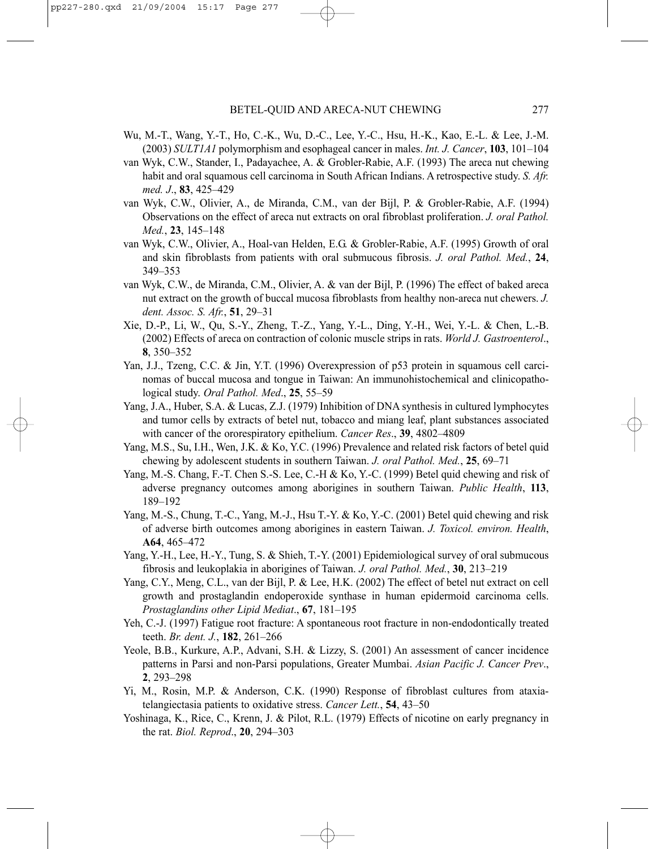- Wu, M.-T., Wang, Y.-T., Ho, C.-K., Wu, D.-C., Lee, Y.-C., Hsu, H.-K., Kao, E.-L. & Lee, J.-M. (2003) *SULT1A1* polymorphism and esophageal cancer in males. *Int. J. Cancer*, **103**, 101–104
- van Wyk, C.W., Stander, I., Padayachee, A. & Grobler-Rabie, A.F. (1993) The areca nut chewing habit and oral squamous cell carcinoma in South African Indians. A retrospective study. *S. Afr. med. J*., **83**, 425–429
- van Wyk, C.W., Olivier, A., de Miranda, C.M., van der Bijl, P. & Grobler-Rabie, A.F. (1994) Observations on the effect of areca nut extracts on oral fibroblast proliferation. *J. oral Pathol. Med.*, **23**, 145–148
- van Wyk, C.W., Olivier, A., Hoal-van Helden, E.G. & Grobler-Rabie, A.F. (1995) Growth of oral and skin fibroblasts from patients with oral submucous fibrosis. *J. oral Pathol. Med.*, **24**, 349–353
- van Wyk, C.W., de Miranda, C.M., Olivier, A. & van der Bijl, P. (1996) The effect of baked areca nut extract on the growth of buccal mucosa fibroblasts from healthy non-areca nut chewers. *J. dent. Assoc. S. Afr.*, **51**, 29–31
- Xie, D.-P., Li, W., Qu, S.-Y., Zheng, T.-Z., Yang, Y.-L., Ding, Y.-H., Wei, Y.-L. & Chen, L.-B. (2002) Effects of areca on contraction of colonic muscle strips in rats. *World J. Gastroenterol*., **8**, 350–352
- Yan, J.J., Tzeng, C.C. & Jin, Y.T. (1996) Overexpression of p53 protein in squamous cell carcinomas of buccal mucosa and tongue in Taiwan: An immunohistochemical and clinicopathological study. *Oral Pathol. Med*., **25**, 55–59
- Yang, J.A., Huber, S.A. & Lucas, Z.J. (1979) Inhibition of DNA synthesis in cultured lymphocytes and tumor cells by extracts of betel nut, tobacco and miang leaf, plant substances associated with cancer of the ororespiratory epithelium. *Cancer Res*., **39**, 4802–4809
- Yang, M.S., Su, I.H., Wen, J.K. & Ko, Y.C. (1996) Prevalence and related risk factors of betel quid chewing by adolescent students in southern Taiwan. *J. oral Pathol. Med.*, **25**, 69–71
- Yang, M.-S. Chang, F.-T. Chen S.-S. Lee, C.-H & Ko, Y.-C. (1999) Betel quid chewing and risk of adverse pregnancy outcomes among aborigines in southern Taiwan. *Public Health*, **113**, 189–192
- Yang, M.-S., Chung, T.-C., Yang, M.-J., Hsu T.-Y. & Ko, Y.-C. (2001) Betel quid chewing and risk of adverse birth outcomes among aborigines in eastern Taiwan. *J. Toxicol. environ. Health*, **A64**, 465–472
- Yang, Y.-H., Lee, H.-Y., Tung, S. & Shieh, T.-Y. (2001) Epidemiological survey of oral submucous fibrosis and leukoplakia in aborigines of Taiwan. *J. oral Pathol. Med.*, **30**, 213–219
- Yang, C.Y., Meng, C.L., van der Bijl, P. & Lee, H.K. (2002) The effect of betel nut extract on cell growth and prostaglandin endoperoxide synthase in human epidermoid carcinoma cells. *Prostaglandins other Lipid Mediat*., **67**, 181–195
- Yeh, C.-J. (1997) Fatigue root fracture: A spontaneous root fracture in non-endodontically treated teeth. *Br. dent. J.*, **182**, 261–266
- Yeole, B.B., Kurkure, A.P., Advani, S.H. & Lizzy, S. (2001) An assessment of cancer incidence patterns in Parsi and non-Parsi populations, Greater Mumbai. *Asian Pacific J. Cancer Prev*., **2**, 293–298
- Yi, M., Rosin, M.P. & Anderson, C.K. (1990) Response of fibroblast cultures from ataxiatelangiectasia patients to oxidative stress. *Cancer Lett.*, **54**, 43–50
- Yoshinaga, K., Rice, C., Krenn, J. & Pilot, R.L. (1979) Effects of nicotine on early pregnancy in the rat. *Biol. Reprod*., **20**, 294–303